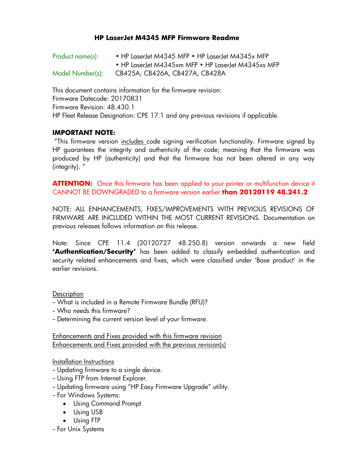# **HP LaserJet M4345 MFP Firmware Readme**

| Product name(s): | • HP LaserJet M4345 MFP • HP LaserJet M4345x MFP    |
|------------------|-----------------------------------------------------|
|                  | • HP LaserJet M4345xm MFP • HP LaserJet M4345xs MFP |
| Model Number(s): | CB425A, CB426A, CB427A, CB428A                      |

This document contains information for the firmware revision: Firmware Datecode: 20170831 Firmware Revision: 48.430.1 HP Fleet Release Designation: CPE 17.1 and any previous revisions if applicable.

### **IMPORTANT NOTE:**

"This firmware version includes code signing verification functionality. Firmware signed by HP guarantees the integrity and authenticity of the code; meaning that the firmware was produced by HP (authenticity) and that the firmware has not been altered in any way (integrity). "

**ATTENTION:** Once this firmware has been applied to your printer or multifunction device it CANNOT BE DOWNGRADED to a firmware version earlier **than 20120119 48.241.2**

NOTE: ALL ENHANCEMENTS, FIXES/IMPROVEMENTS WITH PREVIOUS REVISIONS OF FIRMWARE ARE INCLUDED WITHIN THE MOST CURRENT REVISIONS. Documentation on previous releases follows information on this release.

Note: Since CPE 11.4 (20120727 48.250.8) version onwards a new field **'Authentication/Security'** has been added to classify embedded authentication and security related enhancements and fixes, which were classified under 'Base product' in the earlier revisions.

**Description** 

- -- What is included in a Remote Firmware Bundle (RFU)?
- -- Who needs this firmware?
- -- Determining the current version level of your firmware.

Enhancements and Fixes provided with this firmware revision Enhancements and Fixes provided with the previous revision(s)

Installation Instructions

- -- Updating firmware to a single device.
- Using FTP from Internet Explorer.
- Updating firmware using "HP Easy Firmware Upqrade" utility.
- -- For Windows Systems:
	- Using Command Prompt
	- Using USB
	- Using FTP
- -- For Unix Systems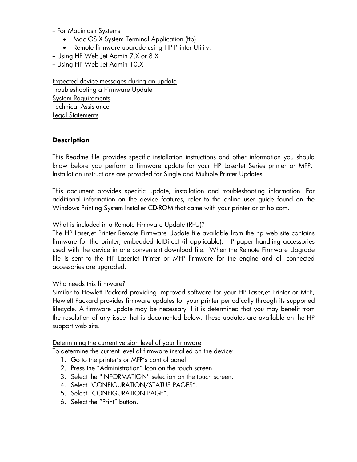-- For Macintosh Systems

- Mac OS X System Terminal Application (ftp).
- Remote firmware upgrade using HP Printer Utility.
- -- Using HP Web Jet Admin 7.X or 8.X
- -- Using HP Web Jet Admin 10.X

Expected device messages during an update Troubleshooting a Firmware Update System Requirements Technical Assistance Legal Statements

# **Description**

This Readme file provides specific installation instructions and other information you should know before you perform a firmware update for your HP LaserJet Series printer or MFP. Installation instructions are provided for Single and Multiple Printer Updates.

This document provides specific update, installation and troubleshooting information. For additional information on the device features, refer to the online user guide found on the Windows Printing System Installer CD-ROM that came with your printer or at hp.com.

## What is included in a Remote Firmware Update (RFU)?

The HP LaserJet Printer Remote Firmware Update file available from the hp web site contains firmware for the printer, embedded JetDirect (if applicable), HP paper handling accessories used with the device in one convenient download file. When the Remote Firmware Upgrade file is sent to the HP LaserJet Printer or MFP firmware for the engine and all connected accessories are upgraded.

## Who needs this firmware?

Similar to Hewlett Packard providing improved software for your HP LaserJet Printer or MFP, Hewlett Packard provides firmware updates for your printer periodically through its supported lifecycle. A firmware update may be necessary if it is determined that you may benefit from the resolution of any issue that is documented below. These updates are available on the HP support web site.

#### Determining the current version level of your firmware

To determine the current level of firmware installed on the device:

- 1. Go to the printer's or MFP's control panel.
- 2. Press the "Administration" Icon on the touch screen.
- 3. Select the "INFORMATION" selection on the touch screen.
- 4. Select "CONFIGURATION/STATUS PAGES".
- 5. Select "CONFIGURATION PAGE".
- 6. Select the "Print" button.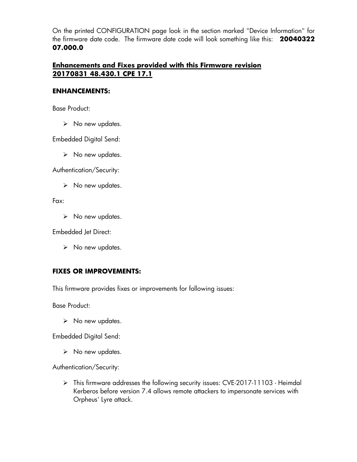On the printed CONFIGURATION page look in the section marked "Device Information" for the firmware date code. The firmware date code will look something like this: **20040322 07.000.0**

# **Enhancements and Fixes provided with this Firmware revision 20170831 48.430.1 CPE 17.1**

# **ENHANCEMENTS:**

Base Product:

 $\triangleright$  No new updates.

Embedded Digital Send:

 $\triangleright$  No new updates.

Authentication/Security:

 $\triangleright$  No new updates.

Fax:

 $\triangleright$  No new updates.

Embedded Jet Direct:

 $\triangleright$  No new updates.

# **FIXES OR IMPROVEMENTS:**

This firmware provides fixes or improvements for following issues:

Base Product:

 $\triangleright$  No new updates.

Embedded Digital Send:

 $\triangleright$  No new updates.

Authentication/Security:

 This firmware addresses the following security issues: CVE-2017-11103 - Heimdal Kerberos before version 7.4 allows remote attackers to impersonate services with Orpheus' Lyre attack.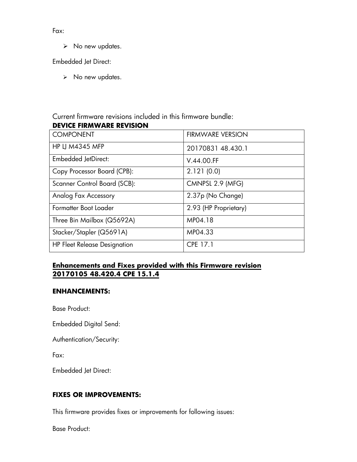Fax:

 $\triangleright$  No new updates.

Embedded Jet Direct:

 $\triangleright$  No new updates.

# Current firmware revisions included in this firmware bundle:

# **DEVICE FIRMWARE REVISION**

| <b>COMPONENT</b>                    | <b>FIRMWARE VERSION</b> |
|-------------------------------------|-------------------------|
| <b>HP LJ M4345 MFP</b>              | 20170831 48.430.1       |
| <b>Embedded JetDirect:</b>          | V.44.00.FF              |
| Copy Processor Board (CPB):         | 2.121(0.0)              |
| Scanner Control Board (SCB):        | CMNPSL 2.9 (MFG)        |
| Analog Fax Accessory                | 2.37p (No Change)       |
| Formatter Boot Loader               | 2.93 (HP Proprietary)   |
| Three Bin Mailbox (Q5692A)          | MP04.18                 |
| Stacker/Stapler (Q5691A)            | MP04.33                 |
| <b>HP Fleet Release Designation</b> | CPE 17.1                |

# **Enhancements and Fixes provided with this Firmware revision 20170105 48.420.4 CPE 15.1.4**

## **ENHANCEMENTS:**

Base Product:

Embedded Digital Send:

Authentication/Security:

Fax:

Embedded Jet Direct:

# **FIXES OR IMPROVEMENTS:**

This firmware provides fixes or improvements for following issues:

Base Product: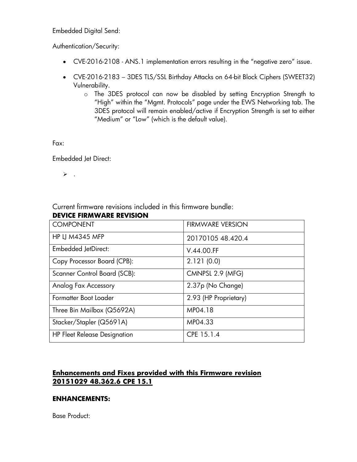# Embedded Digital Send:

Authentication/Security:

- CVE-2016-2108 ANS.1 implementation errors resulting in the "negative zero" issue.
- CVE-2016-2183 3DES TLS/SSL Birthday Attacks on 64-bit Block Ciphers (SWEET32) Vulnerability.
	- o The 3DES protocol can now be disabled by setting Encryption Strength to "High" within the "Mgmt. Protocols" page under the EWS Networking tab. The 3DES protocol will remain enabled/active if Encryption Strength is set to either "Medium" or "Low" (which is the default value).

Fax:

Embedded Jet Direct:

 $\triangleright$  .

Current firmware revisions included in this firmware bundle:

# **DEVICE FIRMWARE REVISION**

| <b>COMPONENT</b>             | <b>FIRMWARE VERSION</b> |
|------------------------------|-------------------------|
| <b>HP LJ M4345 MFP</b>       | 20170105 48.420.4       |
| <b>Embedded JetDirect:</b>   | V.44.00.FF              |
| Copy Processor Board (CPB):  | 2.121(0.0)              |
| Scanner Control Board (SCB): | CMNPSL 2.9 (MFG)        |
| Analog Fax Accessory         | 2.37p (No Change)       |
| Formatter Boot Loader        | 2.93 (HP Proprietary)   |
| Three Bin Mailbox (Q5692A)   | MP04.18                 |
| Stacker/Stapler (Q5691A)     | MP04.33                 |
| HP Fleet Release Designation | CPE 15.1.4              |

# **Enhancements and Fixes provided with this Firmware revision 20151029 48.362.6 CPE 15.1**

# **ENHANCEMENTS:**

Base Product: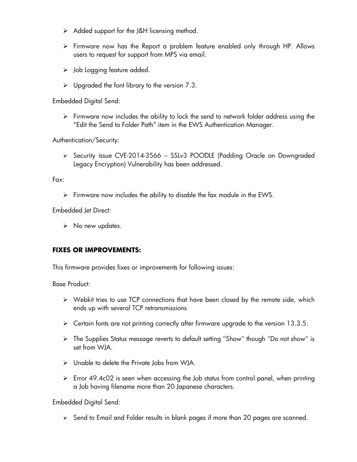- $\triangleright$  Added support for the J&H licensing method.
- $\triangleright$  Firmware now has the Report a problem feature enabled only through HP. Allows users to request for support from MPS via email.
- $\triangleright$  Job Logging feature added.
- $\triangleright$  Upgraded the font library to the version 7.3.

Embedded Digital Send:

 $\triangleright$  Firmware now includes the ability to lock the send to network folder address using the "Edit the Send to Folder Path" item in the EWS Authentication Manager.

Authentication/Security:

> Security issue CVE-2014-3566 - SSLv3 POODLE (Padding Oracle on Downgraded Legacy Encryption) Vulnerability has been addressed.

Fax:

 $\triangleright$  Firmware now includes the ability to disable the fax module in the EWS.

Embedded Jet Direct:

 $\triangleright$  No new updates.

# **FIXES OR IMPROVEMENTS:**

This firmware provides fixes or improvements for following issues:

Base Product:

- $\triangleright$  Webkit tries to use TCP connections that have been closed by the remote side, which ends up with several TCP retransmissions
- $\triangleright$  Certain fonts are not printing correctly after firmware upgrade to the version 13.3.5.
- The Supplies Status message reverts to default setting "Show" though "Do not show" is set from WJA.
- $\triangleright$  Unable to delete the Private Jobs from WJA.
- Error 49.4c02 is seen when accessing the Job status from control panel, when printing a Job having filename more than 20 Japanese characters.

Embedded Digital Send:

 $\triangleright$  Send to Email and Folder results in blank pages if more than 20 pages are scanned.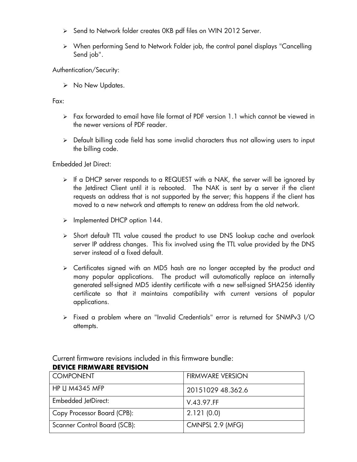- Send to Network folder creates OKB pdf files on WIN 2012 Server.
- When performing Send to Network Folder job, the control panel displays "Cancelling Send job".

Authentication/Security:

> No New Updates.

Fax:

- $\triangleright$  Fax forwarded to email have file format of PDF version 1.1 which cannot be viewed in the newer versions of PDF reader.
- > Default billing code field has some invalid characters thus not allowing users to input the billing code.

Embedded Jet Direct:

- $\triangleright$  If a DHCP server responds to a REQUEST with a NAK, the server will be ignored by the Jetdirect Client until it is rebooted. The NAK is sent by a server if the client requests an address that is not supported by the server; this happens if the client has moved to a new network and attempts to renew an address from the old network.
- $\triangleright$  Implemented DHCP option 144.
- > Short default TTL value caused the product to use DNS lookup cache and overlook server IP address changes. This fix involved using the TTL value provided by the DNS server instead of a fixed default.
- Certificates signed with an MD5 hash are no longer accepted by the product and many popular applications. The product will automatically replace an internally generated self-signed MD5 identity certificate with a new self-signed SHA256 identity certificate so that it maintains compatibility with current versions of popular applications.
- Fixed a problem where an "Invalid Credentials" error is returned for SNMPv3 I/O attempts.

| <b>COMPONENT</b>             | <b>FIRMWARE VERSION</b> |
|------------------------------|-------------------------|
| <b>HP LJ M4345 MFP</b>       | 20151029 48.362.6       |
| <b>Embedded JetDirect:</b>   | V.43.97.FF              |
| Copy Processor Board (CPB):  | 2.121(0.0)              |
| Scanner Control Board (SCB): | CMNPSL 2.9 (MFG)        |

Current firmware revisions included in this firmware bundle:

## **DEVICE FIRMWARE REVISION**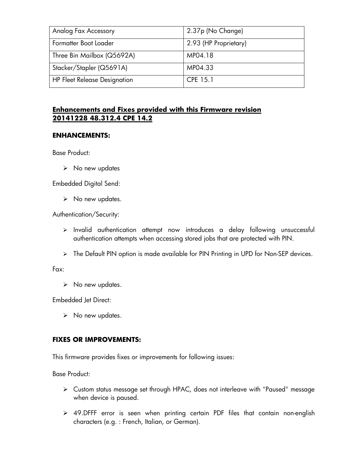| <b>Analog Fax Accessory</b>         | 2.37p (No Change)     |
|-------------------------------------|-----------------------|
| Formatter Boot Loader               | 2.93 (HP Proprietary) |
| Three Bin Mailbox (Q5692A)          | MP04.18               |
| Stacker/Stapler (Q5691A)            | MP04.33               |
| <b>HP Fleet Release Designation</b> | CPE 15.1              |

# **Enhancements and Fixes provided with this Firmware revision 20141228 48.312.4 CPE 14.2**

## **ENHANCEMENTS:**

Base Product:

 $\triangleright$  No new updates

Embedded Digital Send:

 $\triangleright$  No new updates.

Authentication/Security:

- > Invalid authentication attempt now introduces a delay following unsuccessful authentication attempts when accessing stored jobs that are protected with PIN.
- The Default PIN option is made available for PIN Printing in UPD for Non-SEP devices.

Fax:

 $\triangleright$  No new updates.

Embedded Jet Direct:

 $\triangleright$  No new updates.

## **FIXES OR IMPROVEMENTS:**

This firmware provides fixes or improvements for following issues:

Base Product:

- Custom status message set through HPAC, does not interleave with "Paused" message when device is paused.
- 49.DFFF error is seen when printing certain PDF files that contain non-english characters (e.g. : French, Italian, or German).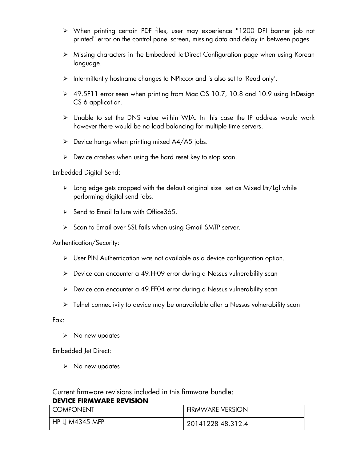- When printing certain PDF files, user may experience "1200 DPI banner job not printed" error on the control panel screen, missing data and delay in between pages.
- Missing characters in the Embedded JetDirect Configuration page when using Korean language.
- $\triangleright$  Intermittently hostname changes to NPIxxxx and is also set to 'Read only'.
- 49.5F11 error seen when printing from Mac OS 10.7, 10.8 and 10.9 using InDesign CS 6 application.
- Unable to set the DNS value within WJA. In this case the IP address would work however there would be no load balancing for multiple time servers.
- $\triangleright$  Device hangs when printing mixed A4/A5 jobs.
- $\triangleright$  Device crashes when using the hard reset key to stop scan.

### Embedded Digital Send:

- $\triangleright$  Long edge gets cropped with the default original size set as Mixed Ltr/Lgl while performing digital send jobs.
- $\triangleright$  Send to Email failure with Office 365.
- $\triangleright$  Scan to Email over SSL fails when using Gmail SMTP server.

#### Authentication/Security:

- User PIN Authentication was not available as a device configuration option.
- Device can encounter a 49.FF09 error during a Nessus vulnerability scan
- Device can encounter a 49.FF04 error during a Nessus vulnerability scan
- $\triangleright$  Telnet connectivity to device may be unavailable after a Nessus vulnerability scan

#### Fax:

 $\triangleright$  No new updates

Embedded Jet Direct:

 $\triangleright$  No new updates

Current firmware revisions included in this firmware bundle:

## **DEVICE FIRMWARE REVISION**

| I COMPONENT     | <b>FIRMWARE VERSION</b> |
|-----------------|-------------------------|
| HP LJ M4345 MFP | 20141228 48.312.4       |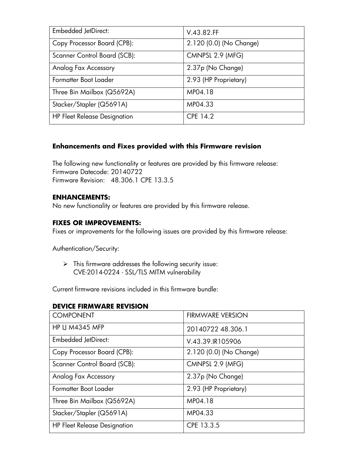| <b>Embedded JetDirect:</b>          | V.43.82.FF              |
|-------------------------------------|-------------------------|
| Copy Processor Board (CPB):         | 2.120 (0.0) (No Change) |
| Scanner Control Board (SCB):        | CMNPSL 2.9 (MFG)        |
| <b>Analog Fax Accessory</b>         | 2.37p (No Change)       |
| Formatter Boot Loader               | 2.93 (HP Proprietary)   |
| Three Bin Mailbox (Q5692A)          | MP04.18                 |
| Stacker/Stapler (Q5691A)            | MP04.33                 |
| <b>HP Fleet Release Designation</b> | CPE 14.2                |

# **Enhancements and Fixes provided with this Firmware revision**

The following new functionality or features are provided by this firmware release: Firmware Datecode: 20140722 Firmware Revision: 48.306.1 CPE 13.3.5

# **ENHANCEMENTS:**

No new functionality or features are provided by this firmware release.

# **FIXES OR IMPROVEMENTS:**

Fixes or improvements for the following issues are provided by this firmware release:

Authentication/Security:

 $\triangleright$  This firmware addresses the following security issue: CVE-2014-0224 - SSL/TLS MITM vulnerability

Current firmware revisions included in this firmware bundle:

## **DEVICE FIRMWARE REVISION**

| <b>COMPONENT</b>                    | <b>FIRMWARE VERSION</b> |
|-------------------------------------|-------------------------|
| <b>HP LJ M4345 MFP</b>              | 20140722 48.306.1       |
| <b>Embedded JetDirect:</b>          | V.43.39.IR105906        |
| Copy Processor Board (CPB):         | 2.120 (0.0) (No Change) |
| Scanner Control Board (SCB):        | CMNPSL 2.9 (MFG)        |
| <b>Analog Fax Accessory</b>         | 2.37p (No Change)       |
| Formatter Boot Loader               | 2.93 (HP Proprietary)   |
| Three Bin Mailbox (Q5692A)          | MP04.18                 |
| Stacker/Stapler (Q5691A)            | MP04.33                 |
| <b>HP Fleet Release Designation</b> | CPE 13.3.5              |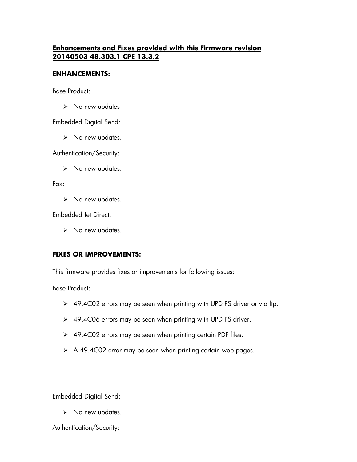# **Enhancements and Fixes provided with this Firmware revision 20140503 48.303.1 CPE 13.3.2**

## **ENHANCEMENTS:**

Base Product:

 $\triangleright$  No new updates

Embedded Digital Send:

 $\triangleright$  No new updates.

Authentication/Security:

 $\triangleright$  No new updates.

Fax:

 $\triangleright$  No new updates.

Embedded Jet Direct:

 $\triangleright$  No new updates.

## **FIXES OR IMPROVEMENTS:**

This firmware provides fixes or improvements for following issues:

Base Product:

- ▶ 49.4C02 errors may be seen when printing with UPD PS driver or via ftp.
- ▶ 49.4C06 errors may be seen when printing with UPD PS driver.
- ▶ 49.4C02 errors may be seen when printing certain PDF files.
- $\triangleright$  A 49.4C02 error may be seen when printing certain web pages.

Embedded Digital Send:

 $\triangleright$  No new updates.

Authentication/Security: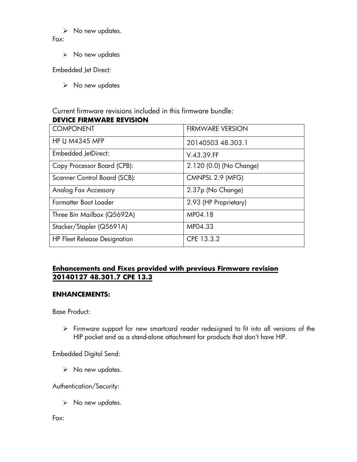$\triangleright$  No new updates.

Fax:

 $\triangleright$  No new updates

Embedded Jet Direct:

 $\triangleright$  No new updates

#### Current firmware revisions included in this firmware bundle: **DEVICE FIRMWARE REVISION**

| <b>COMPONENT</b>                    | <b>FIRMWARE VERSION</b> |
|-------------------------------------|-------------------------|
| <b>HP LJ M4345 MFP</b>              | 20140503 48.303.1       |
| <b>Embedded JetDirect:</b>          | V.43.39.FF              |
| Copy Processor Board (CPB):         | 2.120 (0.0) (No Change) |
| Scanner Control Board (SCB):        | CMNPSL 2.9 (MFG)        |
| Analog Fax Accessory                | 2.37p (No Change)       |
| Formatter Boot Loader               | 2.93 (HP Proprietary)   |
| Three Bin Mailbox (Q5692A)          | MP04.18                 |
| Stacker/Stapler (Q5691A)            | MP04.33                 |
| <b>HP Fleet Release Designation</b> | CPE 13.3.2              |

# **Enhancements and Fixes provided with previous Firmware revision 20140127 48.301.7 CPE 13.3**

# **ENHANCEMENTS:**

Base Product:

 Firmware support for new smartcard reader redesigned to fit into all versions of the HIP pocket and as a stand-alone attachment for products that don't have HIP.

Embedded Digital Send:

 $\triangleright$  No new updates.

Authentication/Security:

 $\triangleright$  No new updates.

Fax: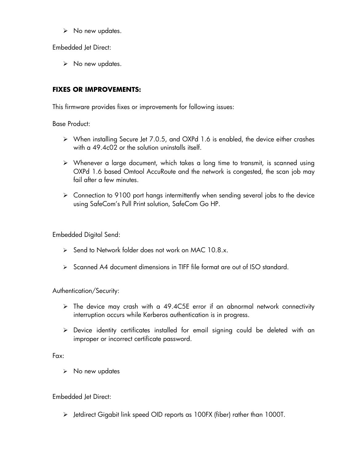$\triangleright$  No new updates.

Embedded Jet Direct:

 $\triangleright$  No new updates.

# **FIXES OR IMPROVEMENTS:**

This firmware provides fixes or improvements for following issues:

Base Product:

- When installing Secure Jet 7.0.5, and OXPd 1.6 is enabled, the device either crashes with a 49.4c02 or the solution uninstalls itself.
- Whenever a large document, which takes a long time to transmit, is scanned using OXPd 1.6 based Omtool AccuRoute and the network is congested, the scan job may fail after a few minutes.
- Connection to 9100 port hangs intermittently when sending several jobs to the device using SafeCom's Pull Print solution, SafeCom Go HP.

Embedded Digital Send:

- $\triangleright$  Send to Network folder does not work on MAC 10.8.x.
- $\triangleright$  Scanned A4 document dimensions in TIFF file format are out of ISO standard.

Authentication/Security:

- The device may crash with a 49.4C5E error if an abnormal network connectivity interruption occurs while Kerberos authentication is in progress.
- Device identity certificates installed for email signing could be deleted with an improper or incorrect certificate password.

Fax:

 $\triangleright$  No new updates

Embedded Jet Direct:

Jetdirect Gigabit link speed OID reports as 100FX (fiber) rather than 1000T.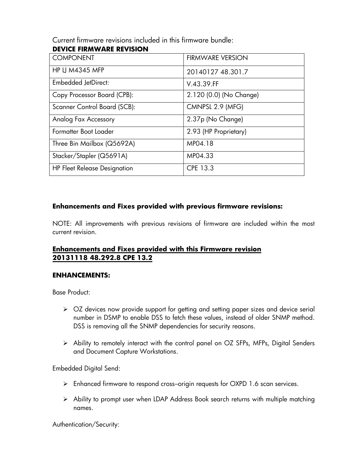Current firmware revisions included in this firmware bundle:

# **DEVICE FIRMWARE REVISION**

| <b>COMPONENT</b>                    | <b>FIRMWARE VERSION</b> |
|-------------------------------------|-------------------------|
| <b>HP LJ M4345 MFP</b>              | 20140127 48.301.7       |
| <b>Embedded JetDirect:</b>          | V.43.39.FF              |
| Copy Processor Board (CPB):         | 2.120 (0.0) (No Change) |
| Scanner Control Board (SCB):        | CMNPSL 2.9 (MFG)        |
| Analog Fax Accessory                | 2.37p (No Change)       |
| Formatter Boot Loader               | 2.93 (HP Proprietary)   |
| Three Bin Mailbox (Q5692A)          | MP04.18                 |
| Stacker/Stapler (Q5691A)            | MP04.33                 |
| <b>HP Fleet Release Designation</b> | CPE 13.3                |

# **Enhancements and Fixes provided with previous firmware revisions:**

NOTE: All improvements with previous revisions of firmware are included within the most current revision.

# **Enhancements and Fixes provided with this Firmware revision 20131118 48.292.8 CPE 13.2**

# **ENHANCEMENTS:**

Base Product:

- ▶ OZ devices now provide support for getting and setting paper sizes and device serial number in DSMP to enable DSS to fetch these values, instead of older SNMP method. DSS is removing all the SNMP dependencies for security reasons.
- Ability to remotely interact with the control panel on OZ SFPs, MFPs, Digital Senders and Document Capture Workstations.

Embedded Digital Send:

- Enhanced firmware to respond cross–origin requests for OXPD 1.6 scan services.
- Ability to prompt user when LDAP Address Book search returns with multiple matching names.

Authentication/Security: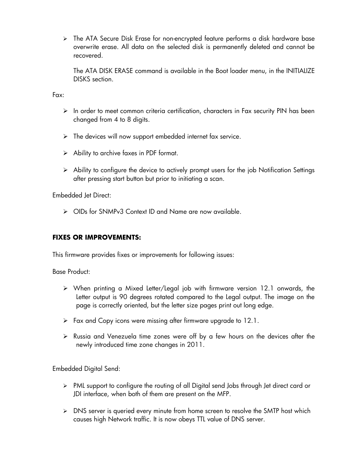The ATA Secure Disk Erase for non-encrypted feature performs a disk hardware base overwrite erase. All data on the selected disk is permanently deleted and cannot be recovered.

The ATA DISK ERASE command is available in the Boot loader menu, in the INITIALIZE DISKS section.

Fax:

- $\triangleright$  In order to meet common criteria certification, characters in Fax security PIN has been changed from 4 to 8 digits.
- $\triangleright$  The devices will now support embedded internet fax service.
- $\triangleright$  Ability to archive faxes in PDF format.
- $\triangleright$  Ability to configure the device to actively prompt users for the job Notification Settings after pressing start button but prior to initiating a scan.

Embedded Jet Direct:

OIDs for SNMPv3 Context ID and Name are now available.

## **FIXES OR IMPROVEMENTS:**

This firmware provides fixes or improvements for following issues:

Base Product:

- When printing a Mixed Letter/Legal job with firmware version 12.1 onwards, the Letter output is 90 degrees rotated compared to the Legal output. The image on the page is correctly oriented, but the letter size pages print out long edge.
- $\triangleright$  Fax and Copy icons were missing after firmware upgrade to 12.1.
- Russia and Venezuela time zones were off by a few hours on the devices after the newly introduced time zone changes in 2011.

Embedded Digital Send:

- PML support to configure the routing of all Digital send Jobs through Jet direct card or JDI interface, when both of them are present on the MFP.
- > DNS server is queried every minute from home screen to resolve the SMTP host which causes high Network traffic. It is now obeys TTL value of DNS server.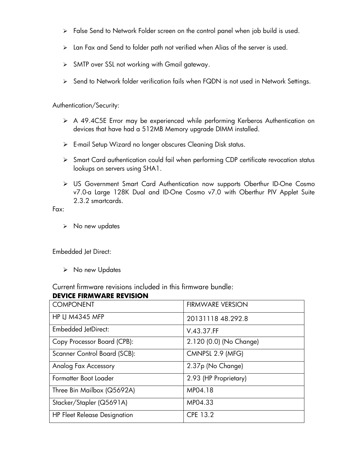- > False Send to Network Folder screen on the control panel when job build is used.
- $\triangleright$  Lan Fax and Send to folder path not verified when Alias of the server is used.
- SMTP over SSL not working with Gmail gateway.
- $\triangleright$  Send to Network folder verification fails when FQDN is not used in Network Settings.

Authentication/Security:

- A 49.4C5E Error may be experienced while performing Kerberos Authentication on devices that have had a 512MB Memory upgrade DIMM installed.
- E-mail Setup Wizard no longer obscures Cleaning Disk status.
- Smart Card authentication could fail when performing CDP certificate revocation status lookups on servers using SHA1.
- US Government Smart Card Authentication now supports Oberthur ID-One Cosmo v7.0-a Large 128K Dual and ID-One Cosmo v7.0 with Oberthur PIV Applet Suite 2.3.2 smartcards.

Fax:

 $\triangleright$  No new updates

Embedded Jet Direct:

> No new Updates

Current firmware revisions included in this firmware bundle:

# **DEVICE FIRMWARE REVISION**

| <b>COMPONENT</b>                    | <b>FIRMWARE VERSION</b> |
|-------------------------------------|-------------------------|
| <b>HP LJ M4345 MFP</b>              | 20131118 48.292.8       |
| <b>Embedded JetDirect:</b>          | V.43.37.FF              |
| Copy Processor Board (CPB):         | 2.120 (0.0) (No Change) |
| Scanner Control Board (SCB):        | CMNPSL 2.9 (MFG)        |
| Analog Fax Accessory                | 2.37p (No Change)       |
| Formatter Boot Loader               | 2.93 (HP Proprietary)   |
| Three Bin Mailbox (Q5692A)          | MP04.18                 |
| Stacker/Stapler (Q5691A)            | MP04.33                 |
| <b>HP Fleet Release Designation</b> | CPE 13.2                |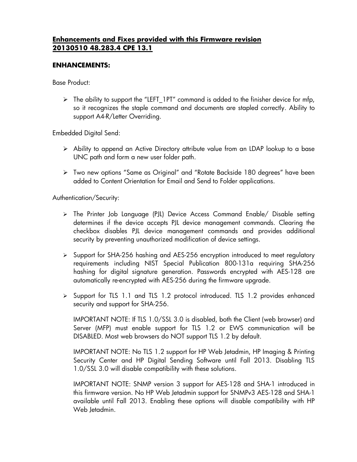# **Enhancements and Fixes provided with this Firmware revision 20130510 48.283.4 CPE 13.1**

#### **ENHANCEMENTS:**

Base Product:

 $\triangleright$  The ability to support the "LEFT\_1PT" command is added to the finisher device for mfp, so it recognizes the staple command and documents are stapled correctly. Ability to support A4-R/Letter Overriding.

Embedded Digital Send:

- Ability to append an Active Directory attribute value from an LDAP lookup to a base UNC path and form a new user folder path.
- Two new options "Same as Original" and "Rotate Backside 180 degrees" have been added to Content Orientation for Email and Send to Folder applications.

Authentication/Security:

- The Printer Job Language (PJL) Device Access Command Enable/ Disable setting determines if the device accepts PJL device management commands. Clearing the checkbox disables PJL device management commands and provides additional security by preventing unauthorized modification of device settings.
- $\geq$  Support for SHA-256 hashing and AES-256 encryption introduced to meet regulatory requirements including NIST Special Publication 800-131a requiring SHA-256 hashing for digital signature generation. Passwords encrypted with AES-128 are automatically re-encrypted with AES-256 during the firmware upgrade.
- > Support for TLS 1.1 and TLS 1.2 protocol introduced. TLS 1.2 provides enhanced security and support for SHA-256.

IMPORTANT NOTE: If TLS 1.0/SSL 3.0 is disabled, both the Client (web browser) and Server (MFP) must enable support for TLS 1.2 or EWS communication will be DISABLED. Most web browsers do NOT support TLS 1.2 by default.

IMPORTANT NOTE: No TLS 1.2 support for HP Web Jetadmin, HP Imaging & Printing Security Center and HP Digital Sending Software until Fall 2013. Disabling TLS 1.0/SSL 3.0 will disable compatibility with these solutions.

IMPORTANT NOTE: SNMP version 3 support for AES-128 and SHA-1 introduced in this firmware version. No HP Web Jetadmin support for SNMPv3 AES-128 and SHA-1 available until Fall 2013. Enabling these options will disable compatibility with HP Web Jetadmin.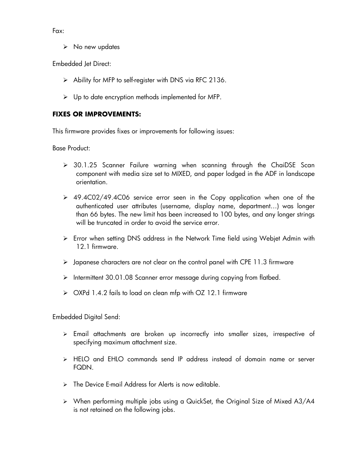Fax:

 $\triangleright$  No new updates

Embedded Jet Direct:

- $\triangleright$  Ability for MFP to self-register with DNS via RFC 2136.
- $\triangleright$  Up to date encryption methods implemented for MFP.

# **FIXES OR IMPROVEMENTS:**

This firmware provides fixes or improvements for following issues:

Base Product:

- 30.1.25 Scanner Failure warning when scanning through the ChaiDSE Scan component with media size set to MIXED, and paper lodged in the ADF in landscape orientation.
- 49.4C02/49.4C06 service error seen in the Copy application when one of the authenticated user attributes (username, display name, department…) was longer than 66 bytes. The new limit has been increased to 100 bytes, and any longer strings will be truncated in order to avoid the service error.
- Error when setting DNS address in the Network Time field using Webjet Admin with 12.1 firmware.
- $\triangleright$  Japanese characters are not clear on the control panel with CPE 11.3 firmware
- $\triangleright$  Intermittent 30.01.08 Scanner error message during copying from flatbed.
- OXPd 1.4.2 fails to load on clean mfp with OZ 12.1 firmware

Embedded Digital Send:

- Email attachments are broken up incorrectly into smaller sizes, irrespective of specifying maximum attachment size.
- HELO and EHLO commands send IP address instead of domain name or server FQDN.
- $\triangleright$  The Device E-mail Address for Alerts is now editable.
- When performing multiple jobs using a QuickSet, the Original Size of Mixed A3/A4 is not retained on the following jobs.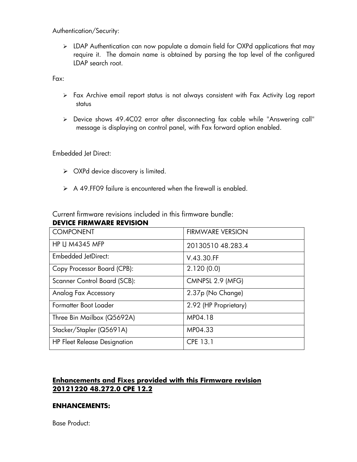Authentication/Security:

 LDAP Authentication can now populate a domain field for OXPd applications that may require it. The domain name is obtained by parsing the top level of the configured LDAP search root.

Fax:

- Fax Archive email report status is not always consistent with Fax Activity Log report status
- Device shows 49.4C02 error after disconnecting fax cable while "Answering call" message is displaying on control panel, with Fax forward option enabled.

Embedded Jet Direct:

- $\triangleright$  OXPd device discovery is limited.
- $\triangleright$  A 49. FF09 failure is encountered when the firewall is enabled.

Current firmware revisions included in this firmware bundle:

### **DEVICE FIRMWARE REVISION**

| <b>COMPONENT</b>                    | <b>FIRMWARE VERSION</b> |
|-------------------------------------|-------------------------|
| <b>HP LJ M4345 MFP</b>              | 20130510 48.283.4       |
| <b>Embedded JetDirect:</b>          | V.43.30.FF              |
| Copy Processor Board (CPB):         | 2.120(0.0)              |
| Scanner Control Board (SCB):        | CMNPSL 2.9 (MFG)        |
| Analog Fax Accessory                | 2.37p (No Change)       |
| Formatter Boot Loader               | 2.92 (HP Proprietary)   |
| Three Bin Mailbox (Q5692A)          | MP04.18                 |
| Stacker/Stapler (Q5691A)            | MP04.33                 |
| <b>HP Fleet Release Designation</b> | CPE 13.1                |

# **Enhancements and Fixes provided with this Firmware revision 20121220 48.272.0 CPE 12.2**

## **ENHANCEMENTS:**

Base Product: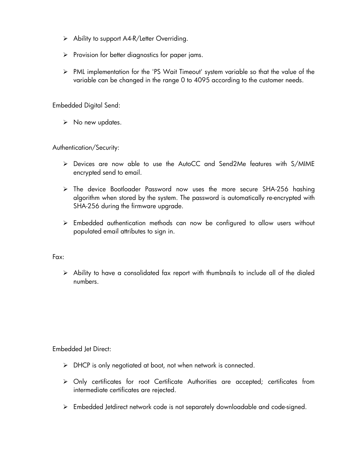- > Ability to support A4-R/Letter Overriding.
- $\triangleright$  Provision for better diagnostics for paper jams.
- PML implementation for the 'PS Wait Timeout' system variable so that the value of the variable can be changed in the range 0 to 4095 according to the customer needs.

Embedded Digital Send:

 $\triangleright$  No new updates.

#### Authentication/Security:

- Devices are now able to use the AutoCC and Send2Me features with S/MIME encrypted send to email.
- The device Bootloader Password now uses the more secure SHA-256 hashing algorithm when stored by the system. The password is automatically re-encrypted with SHA-256 during the firmware upgrade.
- Embedded authentication methods can now be configured to allow users without populated email attributes to sign in.

Fax:

 $\triangleright$  Ability to have a consolidated fax report with thumbnails to include all of the dialed numbers.

Embedded Jet Direct:

- $\triangleright$  DHCP is only negotiated at boot, not when network is connected.
- Only certificates for root Certificate Authorities are accepted; certificates from intermediate certificates are rejected.
- Embedded Jetdirect network code is not separately downloadable and code-signed.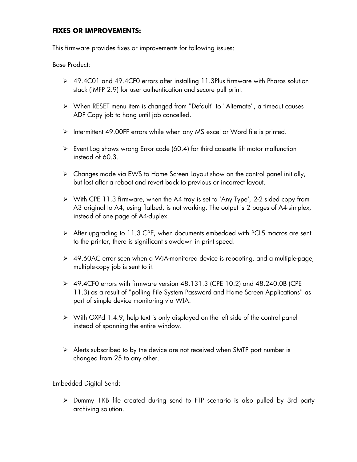## **FIXES OR IMPROVEMENTS:**

This firmware provides fixes or improvements for following issues:

Base Product:

- 49.4C01 and 49.4CF0 errors after installing 11.3Plus firmware with Pharos solution stack (iMFP 2.9) for user authentication and secure pull print.
- When RESET menu item is changed from "Default" to "Alternate", a timeout causes ADF Copy job to hang until job cancelled.
- > Intermittent 49.00FF errors while when any MS excel or Word file is printed.
- $\triangleright$  Event Log shows wrong Error code (60.4) for third cassette lift motor malfunction instead of 60.3.
- Changes made via EWS to Home Screen Layout show on the control panel initially, but lost after a reboot and revert back to previous or incorrect layout.
- With CPE 11.3 firmware, when the A4 tray is set to 'Any Type', 2-2 sided copy from A3 original to A4, using flatbed, is not working. The output is 2 pages of A4-simplex, instead of one page of A4-duplex.
- After upgrading to 11.3 CPE, when documents embedded with PCL5 macros are sent to the printer, there is significant slowdown in print speed.
- > 49.60AC error seen when a WJA-monitored device is rebooting, and a multiple-page, multiple-copy job is sent to it.
- 49.4CF0 errors with firmware version 48.131.3 (CPE 10.2) and 48.240.0B (CPE 11.3) as a result of "polling File System Password and Home Screen Applications" as part of simple device monitoring via WJA.
- $\triangleright$  With OXPd 1.4.9, help text is only displayed on the left side of the control panel instead of spanning the entire window.
- $\triangleright$  Alerts subscribed to by the device are not received when SMTP port number is changed from 25 to any other.

Embedded Digital Send:

 Dummy 1KB file created during send to FTP scenario is also pulled by 3rd party archiving solution.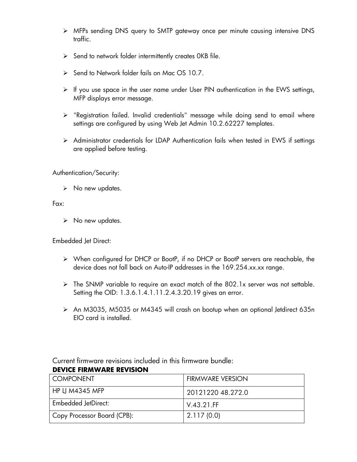- MFPs sending DNS query to SMTP gateway once per minute causing intensive DNS traffic.
- $\triangleright$  Send to network folder intermittently creates OKB file.
- $\triangleright$  Send to Network folder fails on Mac OS 10.7.
- $\triangleright$  If you use space in the user name under User PIN authentication in the EWS settings, MFP displays error message.
- "Registration failed. Invalid credentials" message while doing send to email where settings are configured by using Web Jet Admin 10.2.62227 templates.
- Administrator credentials for LDAP Authentication fails when tested in EWS if settings are applied before testing.

Authentication/Security:

 $\triangleright$  No new updates.

Fax:

 $\triangleright$  No new updates.

Embedded Jet Direct:

- When configured for DHCP or BootP, if no DHCP or BootP servers are reachable, the device does not fall back on Auto-IP addresses in the 169.254.xx.xx range.
- > The SNMP variable to require an exact match of the 802.1x server was not settable. Setting the OID: 1.3.6.1.4.1.11.2.4.3.20.19 gives an error.
- An M3035, M5035 or M4345 will crash on bootup when an optional Jetdirect 635n EIO card is installed.

| <b>DEVICE FIRMWARE REVISION</b> |                   |
|---------------------------------|-------------------|
| <b>COMPONENT</b>                | FIRMWARE VERSION  |
| $HP$ LJ M4345 MFP               | 20121220 48.272.0 |
| <b>Embedded JetDirect:</b>      | V.43.21.FF        |
| Copy Processor Board (CPB):     | 2.117(0.0)        |

Current firmware revisions included in this firmware bundle: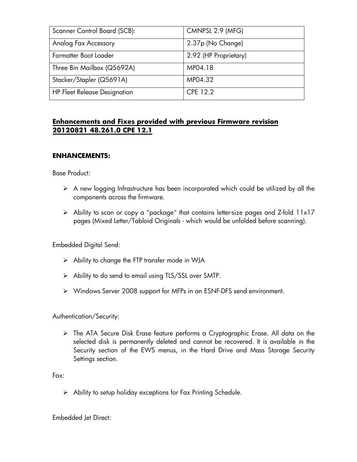| Scanner Control Board (SCB): | CMNPSL 2.9 (MFG)      |
|------------------------------|-----------------------|
| <b>Analog Fax Accessory</b>  | 2.37p (No Change)     |
| <b>Formatter Boot Loader</b> | 2.92 (HP Proprietary) |
| Three Bin Mailbox (Q5692A)   | MP04.18               |
| Stacker/Stapler (Q5691A)     | MP04.32               |
| HP Fleet Release Designation | CPE 12.2              |

# **Enhancements and Fixes provided with previous Firmware revision 20120821 48.261.0 CPE 12.1**

# **ENHANCEMENTS:**

Base Product:

- $\triangleright$  A new logging Infrastructure has been incorporated which could be utilized by all the components across the firmware.
- Ability to scan or copy a "package" that contains letter-size pages and Z-fold 11x17 pages (Mixed Letter/Tabloid Originals - which would be unfolded before scanning).

Embedded Digital Send:

- $\triangleright$  Ability to change the FTP transfer mode in WJA
- Ability to do send to email using TLS/SSL over SMTP.
- Windows Server 2008 support for MFPs in an ESNF-DFS send environment.

Authentication/Security:

 The ATA Secure Disk Erase feature performs a Cryptographic Erase. All data on the selected disk is permanently deleted and cannot be recovered. It is available in the Security section of the EWS menus, in the Hard Drive and Mass Storage Security Settings section.

Fax:

Ability to setup holiday exceptions for Fax Printing Schedule.

Embedded Jet Direct: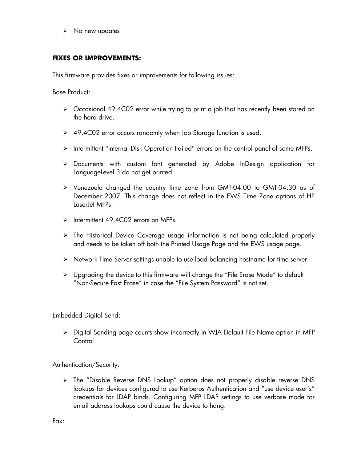$\triangleright$  No new updates

## **FIXES OR IMPROVEMENTS:**

This firmware provides fixes or improvements for following issues:

Base Product:

- Occasional 49.4C02 error while trying to print a job that has recently been stored on the hard drive.
- 49.4C02 error occurs randomly when Job Storage function is used.
- > Intermittent "Internal Disk Operation Failed" errors on the control panel of some MFPs.
- Documents with custom font generated by Adobe InDesign application for LanguageLevel 3 do not get printed.
- Venezuela changed the country time zone from GMT-04:00 to GMT-04:30 as of December 2007. This change does not reflect in the EWS Time Zone options of HP LaserJet MFPs.
- $\triangleright$  Intermittent 49.4C02 errors on MFPs.
- > The Historical Device Coverage usage information is not being calculated properly and needs to be taken off both the Printed Usage Page and the EWS usage page.
- Network Time Server settings unable to use load balancing hostname for time server.
- Upgrading the device to this firmware will change the "File Erase Mode" to default "Non-Secure Fast Erase" in case the "File System Password" is not set.

## Embedded Digital Send:

 Digital Sending page counts show incorrectly in WJA Default File Name option in MFP **Control** 

#### Authentication/Security:

 The "Disable Reverse DNS Lookup" option does not properly disable reverse DNS lookups for devices configured to use Kerberos Authentication and "use device user's" credentials for LDAP binds. Configuring MFP LDAP settings to use verbose mode for email address lookups could cause the device to hang.

Fax: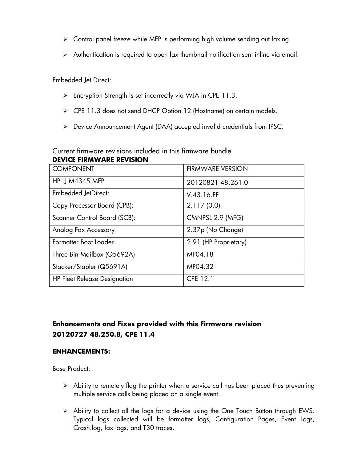- Control panel freeze while MFP is performing high volume sending out faxing.
- $\triangleright$  Authentication is required to open fax thumbnail notification sent inline via email.

Embedded Jet Direct:

- $\triangleright$  Encryption Strength is set incorrectly via WJA in CPE 11.3.
- CPE 11.3 does not send DHCP Option 12 (Hostname) on certain models.
- Device Announcement Agent (DAA) accepted invalid credentials from IPSC.

Current firmware revisions included in this firmware bundle **DEVICE FIRMWARE REVISION**

| <b>COMPONENT</b>                    | <b>FIRMWARE VERSION</b> |
|-------------------------------------|-------------------------|
| <b>HP LJ M4345 MFP</b>              | 20120821 48.261.0       |
| <b>Embedded JetDirect:</b>          | V.43.16.FF              |
| Copy Processor Board (CPB):         | 2.117(0.0)              |
| Scanner Control Board (SCB):        | CMNPSL 2.9 (MFG)        |
| Analog Fax Accessory                | 2.37p (No Change)       |
| Formatter Boot Loader               | 2.91 (HP Proprietary)   |
| Three Bin Mailbox (Q5692A)          | MP04.18                 |
| Stacker/Stapler (Q5691A)            | MP04.32                 |
| <b>HP Fleet Release Designation</b> | CPE 12.1                |

# **Enhancements and Fixes provided with this Firmware revision 20120727 48.250.8, CPE 11.4**

#### **ENHANCEMENTS:**

Base Product:

- $\triangleright$  Ability to remotely flag the printer when a service call has been placed thus preventing multiple service calls being placed on a single event.
- Ability to collect all the logs for a device using the One Touch Button through EWS. Typical logs collected will be formatter logs, Configuration Pages, Event Logs, Crash.log, fax logs, and T30 traces.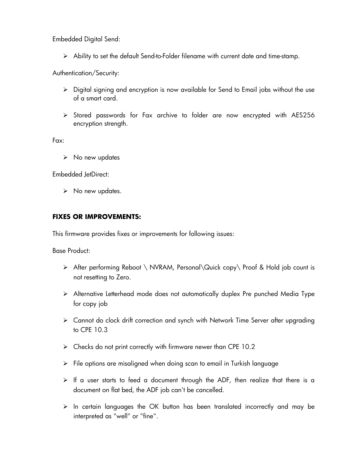Embedded Digital Send:

Ability to set the default Send-to-Folder filename with current date and time-stamp.

Authentication/Security:

- $\triangleright$  Digital signing and encryption is now available for Send to Email jobs without the use of a smart card.
- $\triangleright$  Stored passwords for Fax archive to folder are now encrypted with AES256 encryption strength.

Fax:

 $\triangleright$  No new updates

Embedded JetDirect:

 $\triangleright$  No new updates.

## **FIXES OR IMPROVEMENTS:**

This firmware provides fixes or improvements for following issues:

Base Product:

- After performing Reboot \ NVRAM, Personal\Quick copy\ Proof & Hold job count is not resetting to Zero.
- Alternative Letterhead mode does not automatically duplex Pre punched Media Type for copy job
- Cannot do clock drift correction and synch with Network Time Server after upgrading to CPE 10.3
- $\triangleright$  Checks do not print correctly with firmware newer than CPE 10.2
- $\triangleright$  File options are misaligned when doing scan to email in Turkish language
- $\triangleright$  If a user starts to feed a document through the ADF, then realize that there is a document on flat bed, the ADF job can't be cancelled.
- $\triangleright$  In certain languages the OK button has been translated incorrectly and may be interpreted as "well" or "fine".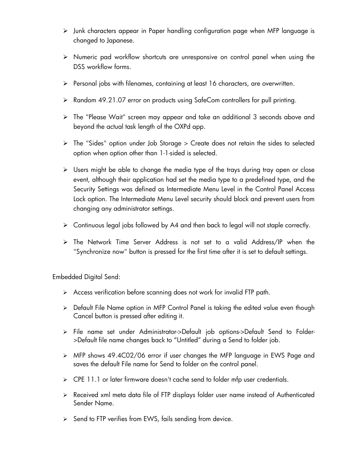- Junk characters appear in Paper handling configuration page when MFP language is changed to Japanese.
- Numeric pad workflow shortcuts are unresponsive on control panel when using the DSS workflow forms.
- $\triangleright$  Personal jobs with filenames, containing at least 16 characters, are overwritten.
- $\triangleright$  Random 49.21.07 error on products using SafeCom controllers for pull printing.
- The "Please Wait" screen may appear and take an additional 3 seconds above and beyond the actual task length of the OXPd app.
- The "Sides" option under Job Storage > Create does not retain the sides to selected option when option other than 1-1-sided is selected.
- $\triangleright$  Users might be able to change the media type of the trays during tray open or close event, although their application had set the media type to a predefined type, and the Security Settings was defined as Intermediate Menu Level in the Control Panel Access Lock option. The Intermediate Menu Level security should block and prevent users from changing any administrator settings.
- $\triangleright$  Continuous legal jobs followed by A4 and then back to legal will not staple correctly.
- The Network Time Server Address is not set to a valid Address/IP when the "Synchronize now" button is pressed for the first time after it is set to default settings.

Embedded Digital Send:

- $\triangleright$  Access verification before scanning does not work for invalid FTP path.
- Default File Name option in MFP Control Panel is taking the edited value even though Cancel button is pressed after editing it.
- File name set under Administrator->Default job options->Default Send to Folder- >Default file name changes back to "Untitled" during a Send to folder job.
- MFP shows 49.4C02/06 error if user changes the MFP language in EWS Page and saves the default File name for Send to folder on the control panel.
- CPE 11.1 or later firmware doesn't cache send to folder mfp user credentials.
- Received xml meta data file of FTP displays folder user name instead of Authenticated Sender Name.
- $\triangleright$  Send to FTP verifies from EWS, fails sending from device.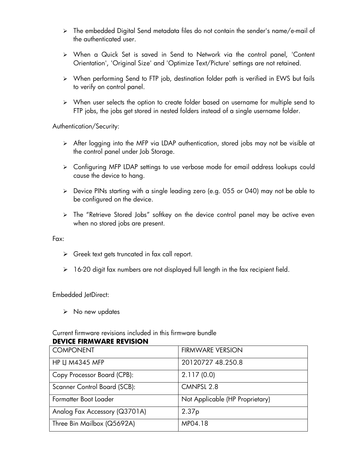- $\triangleright$  The embedded Digital Send metadata files do not contain the sender's name/e-mail of the authenticated user.
- When a Quick Set is saved in Send to Network via the control panel, 'Content Orientation', 'Original Size' and 'Optimize Text/Picture' settings are not retained.
- When performing Send to FTP job, destination folder path is verified in EWS but fails to verify on control panel.
- When user selects the option to create folder based on username for multiple send to FTP jobs, the jobs get stored in nested folders instead of a single username folder.

Authentication/Security:

- $\triangleright$  After logging into the MFP via LDAP authentication, stored jobs may not be visible at the control panel under Job Storage.
- Configuring MFP LDAP settings to use verbose mode for email address lookups could cause the device to hang.
- Device PINs starting with a single leading zero (e.g. 055 or 040) may not be able to be configured on the device.
- The "Retrieve Stored Jobs" softkey on the device control panel may be active even when no stored jobs are present.

Fax:

- $\triangleright$  Greek text gets truncated in fax call report.
- $\geq$  16-20 digit fax numbers are not displayed full length in the fax recipient field.

Embedded JetDirect:

 $\triangleright$  No new updates

Current firmware revisions included in this firmware bundle

#### **DEVICE FIRMWARE REVISION**

| <b>COMPONENT</b>              | <b>FIRMWARE VERSION</b>         |
|-------------------------------|---------------------------------|
| <b>HP LJ M4345 MFP</b>        | 20120727 48.250.8               |
| Copy Processor Board (CPB):   | 2.117(0.0)                      |
| Scanner Control Board (SCB):  | <b>CMNPSL 2.8</b>               |
| Formatter Boot Loader         | Not Applicable (HP Proprietary) |
| Analog Fax Accessory (Q3701A) | 2.37 <sub>p</sub>               |
| Three Bin Mailbox (Q5692A)    | MP04.18                         |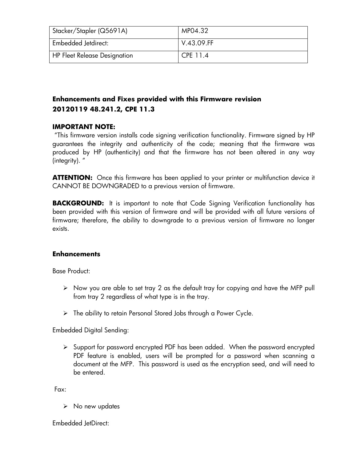| Stacker/Stapler (Q5691A)            | MP04.32    |
|-------------------------------------|------------|
| Embedded Jetdirect:                 | V.43.09.FF |
| <b>HP Fleet Release Designation</b> | CPE 11.4   |

# **Enhancements and Fixes provided with this Firmware revision 20120119 48.241.2, CPE 11.3**

# **IMPORTANT NOTE:**

"This firmware version installs code signing verification functionality. Firmware signed by HP guarantees the integrity and authenticity of the code; meaning that the firmware was produced by HP (authenticity) and that the firmware has not been altered in any way (integrity). "

**ATTENTION:** Once this firmware has been applied to your printer or multifunction device it CANNOT BE DOWNGRADED to a previous version of firmware.

**BACKGROUND:** It is important to note that Code Signing Verification functionality has been provided with this version of firmware and will be provided with all future versions of firmware; therefore, the ability to downgrade to a previous version of firmware no longer exists.

## **Enhancements**

Base Product:

- $\triangleright$  Now you are able to set tray 2 as the default tray for copying and have the MFP pull from tray 2 regardless of what type is in the tray.
- $\triangleright$  The ability to retain Personal Stored Jobs through a Power Cycle.

Embedded Digital Sending:

 $\triangleright$  Support for password encrypted PDF has been added. When the password encrypted PDF feature is enabled, users will be prompted for a password when scanning a document at the MFP. This password is used as the encryption seed, and will need to be entered.

Fax:

No new updates

Embedded JetDirect: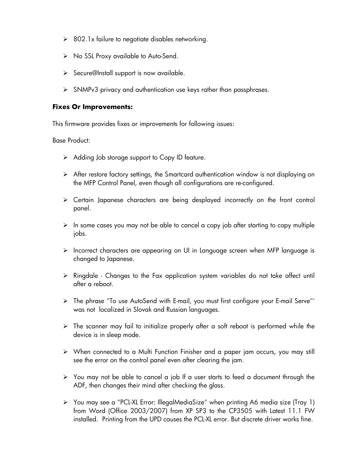- $\geq$  802.1x failure to negotiate disables networking.
- $\triangleright$  No SSL Proxy available to Auto-Send.
- $\triangleright$  Secure@Install support is now available.
- $\triangleright$  SNMPv3 privacy and authentication use keys rather than passphrases.

#### **Fixes Or Improvements:**

This firmware provides fixes or improvements for following issues:

#### Base Product:

- $\triangleright$  Adding Job storage support to Copy ID feature.
- After restore factory settings, the Smartcard authentication window is not displaying on the MFP Control Panel, even though all configurations are re-configured.
- Certain Japanese characters are being desplayed incorrectly on the front control panel.
- $\triangleright$  In some cases you may not be able to cancel a copy job after starting to copy multiple jobs.
- > Incorrect characters are appearing on UI in Language screen when MFP language is changed to Japanese.
- $\triangleright$  Ringdale Changes to the Fax application system variables do not take affect until after a reboot.
- The phrase "To use AutoSend with E-mail, you must first configure your E-mail Serve"' was not localized in Slovak and Russian languages.
- $\triangleright$  The scanner may fail to initialize properly after a soft reboot is performed while the device is in sleep mode.
- When connected to a Multi Function Finisher and a paper jam occurs, you may still see the error on the control panel even after clearing the jam.
- You may not be able to cancel a job If a user starts to feed a document through the ADF, then changes their mind after checking the glass.
- You may see a "PCL-XL Error: IllegalMediaSize" when printing A6 media size (Tray 1) from Word (Office 2003/2007) from XP SP3 to the CP3505 with Latest 11.1 FW installed. Printing from the UPD causes the PCL-XL error. But discrete driver works fine.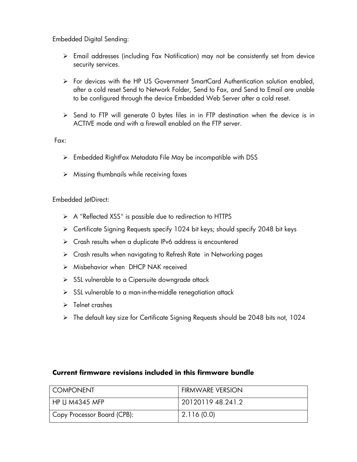Embedded Digital Sending:

- Email addresses (including Fax Notification) may not be consistently set from device security services.
- $\triangleright$  For devices with the HP US Government SmartCard Authentication solution enabled, after a cold reset Send to Network Folder, Send to Fax, and Send to Email are unable to be configured through the device Embedded Web Server after a cold reset.
- $\triangleright$  Send to FTP will generate 0 bytes files in in FTP destination when the device is in ACTIVE mode and with a firewall enabled on the FTP server.

Fax:

- $\triangleright$  Embedded RightFax Metadata File May be incompatible with DSS
- $\triangleright$  Missing thumbnails while receiving faxes

Embedded JetDirect:

- A "Reflected XSS" is possible due to redirection to HTTPS
- Certificate Signing Requests specify 1024 bit keys; should specify 2048 bit keys
- $\triangleright$  Crash results when a duplicate IPv6 address is encountered
- Crash results when navigating to Refresh Rate in Networking pages
- > Misbehavior when DHCP NAK received
- $\triangleright$  SSL vulnerable to a Cipersuite downgrade attack
- $\triangleright$  SSL vulnerable to a man-in-the-middle renegotiation attack
- $\triangleright$  Telnet crashes
- The default key size for Certificate Signing Requests should be 2048 bits not, 1024

| I COMPONENT                 | <b>FIRMWARE VERSION</b> |
|-----------------------------|-------------------------|
| HP LJ M4345 MFP             | 20120119 48.241.2       |
| Copy Processor Board (CPB): | $\vert 2.116(0.0)\vert$ |

# **Current firmware revisions included in this firmware bundle**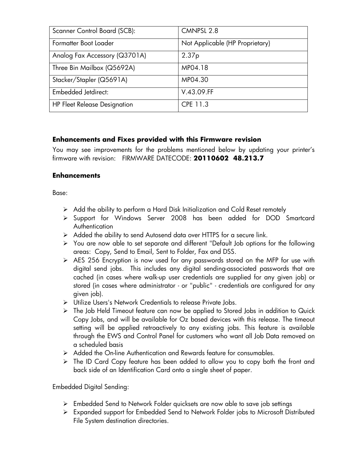| Scanner Control Board (SCB):  | <b>CMNPSL 2.8</b>               |
|-------------------------------|---------------------------------|
| Formatter Boot Loader         | Not Applicable (HP Proprietary) |
| Analog Fax Accessory (Q3701A) | 2.37 <sub>p</sub>               |
| Three Bin Mailbox (Q5692A)    | MP04.18                         |
| Stacker/Stapler (Q5691A)      | MP04.30                         |
| Embedded Jetdirect:           | V.43.09.FF                      |
| HP Fleet Release Designation  | CPE 11.3                        |

# **Enhancements and Fixes provided with this Firmware revision**

You may see improvements for the problems mentioned below by updating your printer's firmware with revision: FIRMWARE DATECODE: **20110602 48.213.7**

## **Enhancements**

Base:

- $\triangleright$  Add the ability to perform a Hard Disk Initialization and Cold Reset remotely
- Support for Windows Server 2008 has been added for DOD Smartcard **Authentication**
- $\triangleright$  Added the ability to send Autosend data over HTTPS for a secure link.
- You are now able to set separate and different "Default Job options for the following areas: Copy, Send to Email, Sent to Folder, Fax and DSS.
- AES 256 Encryption is now used for any passwords stored on the MFP for use with digital send jobs. This includes any digital sending-associated passwords that are cached (in cases where walk-up user credentials are supplied for any given job) or stored (in cases where administrator - or "public" - credentials are configured for any given job).
- > Utilize Users's Network Credentials to release Private Jobs.
- $\triangleright$  The Job Held Timeout feature can now be applied to Stored Jobs in addition to Quick Copy Jobs, and will be available for Oz based devices with this release. The timeout setting will be applied retroactively to any existing jobs. This feature is available through the EWS and Control Panel for customers who want all Job Data removed on a scheduled basis
- $\triangleright$  Added the On-line Authentication and Rewards feature for consumables.
- $\triangleright$  The ID Card Copy feature has been added to allow you to copy both the front and back side of an Identification Card onto a single sheet of paper.

Embedded Digital Sending:

- Embedded Send to Network Folder quicksets are now able to save job settings
- Expanded support for Embedded Send to Network Folder jobs to Microsoft Distributed File System destination directories.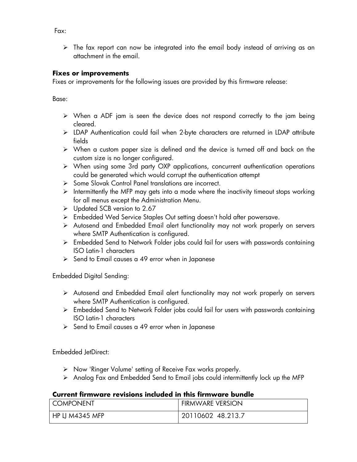### Fax:

 $\triangleright$  The fax report can now be integrated into the email body instead of arriving as an attachment in the email.

# **Fixes or improvements**

Fixes or improvements for the following issues are provided by this firmware release:

Base:

- When a ADF jam is seen the device does not respond correctly to the jam being cleared.
- LDAP Authentication could fail when 2-byte characters are returned in LDAP attribute fields
- When a custom paper size is defined and the device is turned off and back on the custom size is no longer configured.
- When using some 3rd party OXP applications, concurrent authentication operations could be generated which would corrupt the authentication attempt
- Some Slovak Control Panel translations are incorrect.
- $\triangleright$  Intermittently the MFP may gets into a mode where the inactivity timeout stops working for all menus except the Administration Menu.
- Updated SCB version to 2.67
- Embedded Wed Service Staples Out setting doesn't hold after powersave.
- Autosend and Embedded Email alert functionality may not work properly on servers where SMTP Authentication is configured.
- Embedded Send to Network Folder jobs could fail for users with passwords containing ISO Latin-1 characters
- $\triangleright$  Send to Email causes a 49 error when in Japanese

Embedded Digital Sending:

- Autosend and Embedded Email alert functionality may not work properly on servers where SMTP Authentication is configured.
- Embedded Send to Network Folder jobs could fail for users with passwords containing ISO Latin-1 characters
- $\triangleright$  Send to Email causes a 49 error when in Japanese

Embedded JetDirect:

- Now 'Ringer Volume' setting of Receive Fax works properly.
- Analog Fax and Embedded Send to Email jobs could intermittently lock up the MFP

## **Current firmware revisions included in this firmware bundle**

| I COMPONENT       | <b>FIRMWARE VERSION</b> |
|-------------------|-------------------------|
| $HP$ LJ M4345 MFP | 20110602 48.213.7       |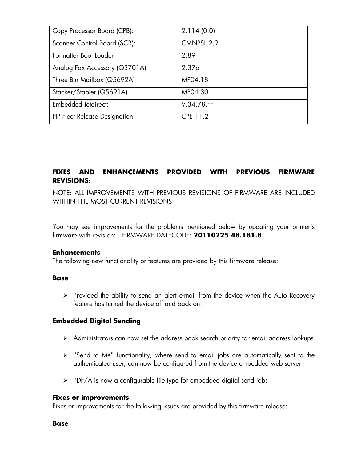| Copy Processor Board (CPB):   | 2.114(0.0)        |
|-------------------------------|-------------------|
| Scanner Control Board (SCB):  | CMNPSL 2.9        |
| Formatter Boot Loader         | 2.89              |
| Analog Fax Accessory (Q3701A) | 2.37 <sub>p</sub> |
| Three Bin Mailbox (Q5692A)    | MP04.18           |
| Stacker/Stapler (Q5691A)      | MP04.30           |
| <b>Embedded Jetdirect:</b>    | V.34.78.FF        |
| HP Fleet Release Designation  | CPE 11.2          |

# **FIXES AND ENHANCEMENTS PROVIDED WITH PREVIOUS FIRMWARE REVISIONS:**

NOTE: ALL IMPROVEMENTS WITH PREVIOUS REVISIONS OF FIRMWARE ARE INCLUDED WITHIN THE MOST CURRENT REVISIONS

You may see improvements for the problems mentioned below by updating your printer's firmware with revision: FIRMWARE DATECODE: **20110225 48.181.8**

#### **Enhancements**

The following new functionality or features are provided by this firmware release:

#### **Base**

 Provided the ability to send an alert e-mail from the device when the Auto Recovery feature has turned the device off and back on.

## **Embedded Digital Sending**

- $\triangleright$  Administrators can now set the address book search priority for email address lookups
- $\triangleright$  "Send to Me" functionality, where send to email jobs are automatically sent to the authenticated user, can now be configured from the device embedded web server
- $\triangleright$  PDF/A is now a configurable file type for embedded digital send jobs

#### **Fixes or improvements**

Fixes or improvements for the following issues are provided by this firmware release:

#### **Base**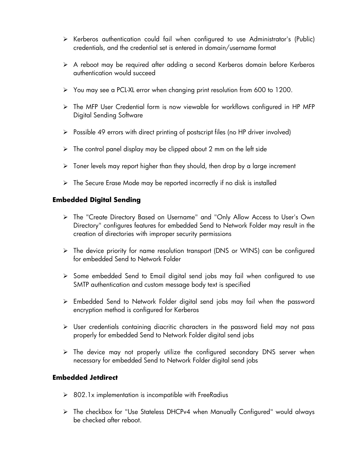- $\triangleright$  Kerberos authentication could fail when configured to use Administrator's (Public) credentials, and the credential set is entered in domain/username format
- A reboot may be required after adding a second Kerberos domain before Kerberos authentication would succeed
- You may see a PCL-XL error when changing print resolution from 600 to 1200.
- The MFP User Credential form is now viewable for workflows configured in HP MFP Digital Sending Software
- $\triangleright$  Possible 49 errors with direct printing of postscript files (no HP driver involved)
- $\triangleright$  The control panel display may be clipped about 2 mm on the left side
- $\triangleright$  Toner levels may report higher than they should, then drop by a large increment
- $\triangleright$  The Secure Erase Mode may be reported incorrectly if no disk is installed

### **Embedded Digital Sending**

- The "Create Directory Based on Username" and "Only Allow Access to User's Own Directory" configures features for embedded Send to Network Folder may result in the creation of directories with improper security permissions
- The device priority for name resolution transport (DNS or WINS) can be configured for embedded Send to Network Folder
- $\triangleright$  Some embedded Send to Email digital send jobs may fail when configured to use SMTP authentication and custom message body text is specified
- Embedded Send to Network Folder digital send jobs may fail when the password encryption method is configured for Kerberos
- User credentials containing diacritic characters in the password field may not pass properly for embedded Send to Network Folder digital send jobs
- $\triangleright$  The device may not properly utilize the configured secondary DNS server when necessary for embedded Send to Network Folder digital send jobs

#### **Embedded Jetdirect**

- $\geq$  802.1x implementation is incompatible with FreeRadius
- The checkbox for "Use Stateless DHCPv4 when Manually Configured" would always be checked after reboot.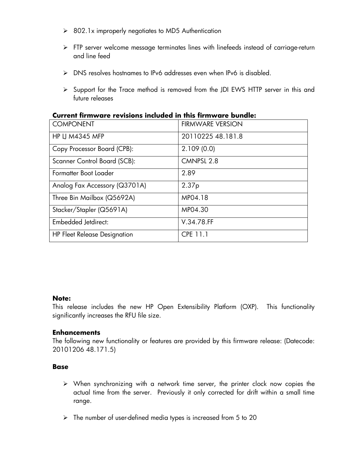- $\geq$  802.1x improperly negotiates to MD5 Authentication
- FTP server welcome message terminates lines with linefeeds instead of carriage-return and line feed
- DNS resolves hostnames to IPv6 addresses even when IPv6 is disabled.
- Support for the Trace method is removed from the JDI EWS HTTP server in this and future releases

| <b>COMPONENT</b>                    | <b>FIRMWARE VERSION</b> |
|-------------------------------------|-------------------------|
| <b>HP LJ M4345 MFP</b>              | 20110225 48.181.8       |
| Copy Processor Board (CPB):         | 2.109(0.0)              |
| Scanner Control Board (SCB):        | <b>CMNPSL 2.8</b>       |
| Formatter Boot Loader               | 2.89                    |
| Analog Fax Accessory (Q3701A)       | 2.37 <sub>p</sub>       |
| Three Bin Mailbox (Q5692A)          | MP04.18                 |
| Stacker/Stapler (Q5691A)            | MP04.30                 |
| <b>Embedded Jetdirect:</b>          | V.34.78.FF              |
| <b>HP Fleet Release Designation</b> | CPE 11.1                |

#### **Current firmware revisions included in this firmware bundle:**

#### **Note:**

This release includes the new HP Open Extensibility Platform (OXP). This functionality significantly increases the RFU file size.

## **Enhancements**

The following new functionality or features are provided by this firmware release: (Datecode: 20101206 48.171.5)

#### **Base**

- When synchronizing with a network time server, the printer clock now copies the actual time from the server. Previously it only corrected for drift within a small time range.
- $\triangleright$  The number of user-defined media types is increased from 5 to 20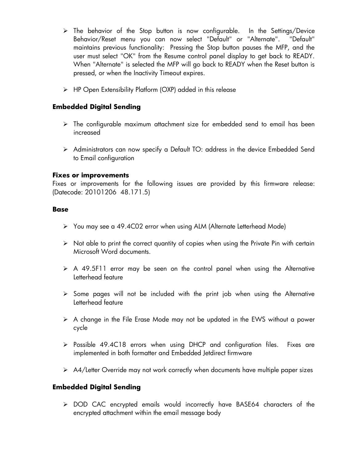- The behavior of the Stop button is now configurable. In the Settings/Device Behavior/Reset menu you can now select "Default" or "Alternate". "Default" maintains previous functionality: Pressing the Stop button pauses the MFP, and the user must select "OK" from the Resume control panel display to get back to READY. When "Alternate" is selected the MFP will go back to READY when the Reset button is pressed, or when the Inactivity Timeout expires.
- > HP Open Extensibility Platform (OXP) added in this release

## **Embedded Digital Sending**

- $\triangleright$  The configurable maximum attachment size for embedded send to email has been increased
- Administrators can now specify a Default TO: address in the device Embedded Send to Email configuration

#### **Fixes or improvements**

Fixes or improvements for the following issues are provided by this firmware release: (Datecode: 20101206 48.171.5)

#### **Base**

- You may see a 49.4C02 error when using ALM (Alternate Letterhead Mode)
- $\triangleright$  Not able to print the correct quantity of copies when using the Private Pin with certain Microsoft Word documents.
- $\triangleright$  A 49.5F11 error may be seen on the control panel when using the Alternative Letterhead feature
- $\triangleright$  Some pages will not be included with the print job when using the Alternative Letterhead feature
- A change in the File Erase Mode may not be updated in the EWS without a power cycle
- Possible 49.4C18 errors when using DHCP and configuration files. Fixes are implemented in both formatter and Embedded Jetdirect firmware
- A4/Letter Override may not work correctly when documents have multiple paper sizes

#### **Embedded Digital Sending**

▶ DOD CAC encrypted emails would incorrectly have BASE64 characters of the encrypted attachment within the email message body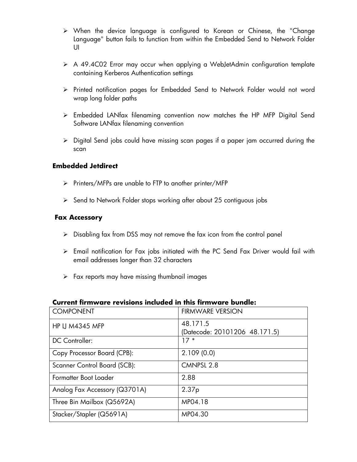- When the device language is configured to Korean or Chinese, the "Change Language" button fails to function from within the Embedded Send to Network Folder UI
- A 49.4C02 Error may occur when applying a WebJetAdmin configuration template containing Kerberos Authentication settings
- Printed notification pages for Embedded Send to Network Folder would not word wrap long folder paths
- Embedded LANfax filenaming convention now matches the HP MFP Digital Send Software LANfax filenaming convention
- Digital Send jobs could have missing scan pages if a paper jam occurred during the scan

## **Embedded Jetdirect**

- $\triangleright$  Printers/MFPs are unable to FTP to another printer/MFP
- $\triangleright$  Send to Network Folder stops working after about 25 contiguous jobs

### **Fax Accessory**

- $\triangleright$  Disabling fax from DSS may not remove the fax icon from the control panel
- Email notification for Fax jobs initiated with the PC Send Fax Driver would fail with email addresses longer than 32 characters
- $\triangleright$  Fax reports may have missing thumbnail images

| <b>COMPONENT</b>              | <b>FIRMWARE VERSION</b>       |
|-------------------------------|-------------------------------|
| <b>HP LJ M4345 MFP</b>        | 48.171.5                      |
|                               | (Datecode: 20101206 48.171.5) |
| DC Controller:                | $17*$                         |
| Copy Processor Board (CPB):   | 2.109(0.0)                    |
| Scanner Control Board (SCB):  | <b>CMNPSL 2.8</b>             |
| Formatter Boot Loader         | 2.88                          |
| Analog Fax Accessory (Q3701A) | 2.37 <sub>p</sub>             |
| Three Bin Mailbox (Q5692A)    | MP04.18                       |
| Stacker/Stapler (Q5691A)      | MP04.30                       |

## **Current firmware revisions included in this firmware bundle:**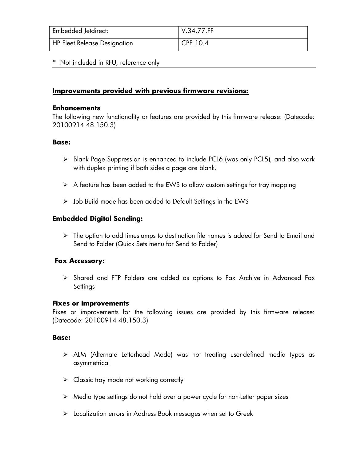| <b>Embedded Jetdirect:</b>   | V.34.77.FF |
|------------------------------|------------|
| HP Fleet Release Designation | CPE 10.4   |

\* Not included in RFU, reference only

## **Improvements provided with previous firmware revisions:**

#### **Enhancements**

The following new functionality or features are provided by this firmware release: (Datecode: 20100914 48.150.3)

#### **Base:**

- Blank Page Suppression is enhanced to include PCL6 (was only PCL5), and also work with duplex printing if both sides a page are blank.
- $\triangleright$  A feature has been added to the EWS to allow custom settings for tray mapping
- Job Build mode has been added to Default Settings in the EWS

### **Embedded Digital Sending:**

 $\triangleright$  The option to add timestamps to destination file names is added for Send to Email and Send to Folder (Quick Sets menu for Send to Folder)

#### **Fax Accessory:**

 $\triangleright$  Shared and FTP Folders are added as options to Fax Archive in Advanced Fax **Settings** 

#### **Fixes or improvements**

Fixes or improvements for the following issues are provided by this firmware release: (Datecode: 20100914 48.150.3)

#### **Base:**

- ALM (Alternate Letterhead Mode) was not treating user-defined media types as asymmetrical
- $\triangleright$  Classic tray mode not working correctly
- Media type settings do not hold over a power cycle for non-Letter paper sizes
- Localization errors in Address Book messages when set to Greek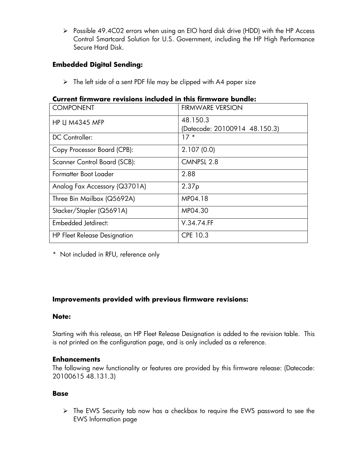Possible 49.4C02 errors when using an EIO hard disk drive (HDD) with the HP Access Control Smartcard Solution for U.S. Government, including the HP High Performance Secure Hard Disk.

# **Embedded Digital Sending:**

 $\triangleright$  The left side of a sent PDF file may be clipped with A4 paper size

| Current firmware revisions included in this firmware bundle: |  |  |  |  |  |  |
|--------------------------------------------------------------|--|--|--|--|--|--|
|--------------------------------------------------------------|--|--|--|--|--|--|

| <b>COMPONENT</b>                    | <b>FIRMWARE VERSION</b>       |
|-------------------------------------|-------------------------------|
| <b>HP LJ M4345 MFP</b>              | 48.150.3                      |
|                                     | (Datecode: 20100914 48.150.3) |
| DC Controller:                      | $17*$                         |
| Copy Processor Board (CPB):         | 2.107(0.0)                    |
| Scanner Control Board (SCB):        | <b>CMNPSL 2.8</b>             |
| Formatter Boot Loader               | 2.88                          |
| Analog Fax Accessory (Q3701A)       | 2.37 <sub>p</sub>             |
| Three Bin Mailbox (Q5692A)          | MP04.18                       |
| Stacker/Stapler (Q5691A)            | MP04.30                       |
| Embedded Jetdirect:                 | V.34.74.FF                    |
| <b>HP Fleet Release Designation</b> | CPE 10.3                      |

\* Not included in RFU, reference only

# **Improvements provided with previous firmware revisions:**

## **Note:**

Starting with this release, an HP Fleet Release Designation is added to the revision table. This is not printed on the configuration page, and is only included as a reference.

## **Enhancements**

The following new functionality or features are provided by this firmware release: (Datecode: 20100615 48.131.3)

## **Base**

> The EWS Security tab now has a checkbox to require the EWS password to see the EWS Information page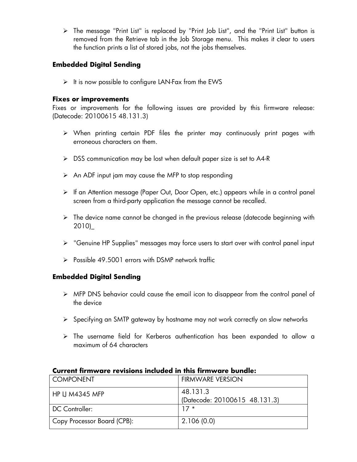The message "Print List" is replaced by "Print Job List", and the "Print List" button is removed from the Retrieve tab in the Job Storage menu. This makes it clear to users the function prints a list of stored jobs, not the jobs themselves.

## **Embedded Digital Sending**

 $\triangleright$  It is now possible to configure LAN-Fax from the EWS

#### **Fixes or improvements**

Fixes or improvements for the following issues are provided by this firmware release: (Datecode: 20100615 48.131.3)

- When printing certain PDF files the printer may continuously print pages with erroneous characters on them.
- $\triangleright$  DSS communication may be lost when default paper size is set to A4-R
- $\triangleright$  An ADF input jam may cause the MFP to stop responding
- If an Attention message (Paper Out, Door Open, etc.) appears while in a control panel screen from a third-party application the message cannot be recalled.
- $\triangleright$  The device name cannot be changed in the previous release (datecode beginning with 2010)\_
- "Genuine HP Supplies" messages may force users to start over with control panel input
- $\triangleright$  Possible 49.5001 errors with DSMP network traffic

# **Embedded Digital Sending**

- MFP DNS behavior could cause the email icon to disappear from the control panel of the device
- Specifying an SMTP gateway by hostname may not work correctly on slow networks
- The username field for Kerberos authentication has been expanded to allow a maximum of 64 characters

| <b>COMPONENT</b>            | FIRMWARE VERSION                          |
|-----------------------------|-------------------------------------------|
| <b>HP LJ M4345 MFP</b>      | 48.131.3<br>(Datecode: 20100615 48.131.3) |
| DC Controller:              | $17*$                                     |
| Copy Processor Board (CPB): | 2.106(0.0)                                |

## **Current firmware revisions included in this firmware bundle:**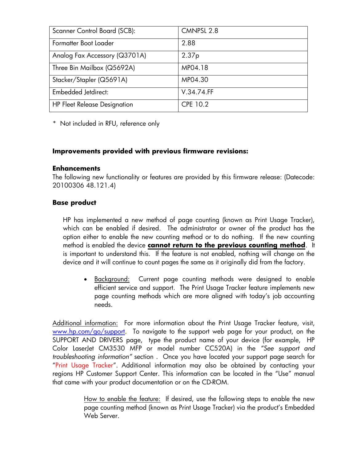| Scanner Control Board (SCB):  | <b>CMNPSL 2.8</b> |
|-------------------------------|-------------------|
| Formatter Boot Loader         | 2.88              |
| Analog Fax Accessory (Q3701A) | 2.37 <sub>p</sub> |
| Three Bin Mailbox (Q5692A)    | MP04.18           |
| Stacker/Stapler (Q5691A)      | MP04.30           |
| Embedded Jetdirect:           | V.34.74.FF        |
| HP Fleet Release Designation  | CPE 10.2          |

\* Not included in RFU, reference only

## **Improvements provided with previous firmware revisions:**

## **Enhancements**

The following new functionality or features are provided by this firmware release: (Datecode: 20100306 48.121.4)

## **Base product**

HP has implemented a new method of page counting (known as Print Usage Tracker), which can be enabled if desired. The administrator or owner of the product has the option either to enable the new counting method or to do nothing. If the new counting method is enabled the device **cannot return to the previous counting method**. It is important to understand this. If the feature is not enabled, nothing will change on the device and it will continue to count pages the same as it originally did from the factory.

 Background: Current page counting methods were designed to enable efficient service and support. The Print Usage Tracker feature implements new page counting methods which are more aligned with today's job accounting needs.

Additional information: For more information about the Print Usage Tracker feature, visit, [www.hp.com/go/support.](http://www.hp.com/go/support) To navigate to the support web page for your product, on the SUPPORT AND DRIVERS page, type the product name of your device (for example, HP Color LaserJet CM3530 MFP or model number CC520A) in the *"See support and troubleshooting information"* section . Once you have located your support page search for "Print Usage Tracker". Additional information may also be obtained by contacting your regions HP Customer Support Center. This information can be located in the "Use" manual that came with your product documentation or on the CD-ROM.

> How to enable the feature: If desired, use the following steps to enable the new page counting method (known as Print Usage Tracker) via the product's Embedded Web Server.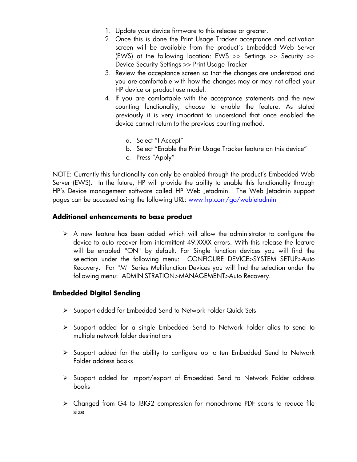- 1. Update your device firmware to this release or greater.
- 2. Once this is done the Print Usage Tracker acceptance and activation screen will be available from the product's Embedded Web Server (EWS) at the following location: EWS >> Settings >> Security >> Device Security Settings >> Print Usage Tracker
- 3. Review the acceptance screen so that the changes are understood and you are comfortable with how the changes may or may not affect your HP device or product use model.
- 4. If you are comfortable with the acceptance statements and the new counting functionality, choose to enable the feature. As stated previously it is very important to understand that once enabled the device cannot return to the previous counting method.
	- a. Select "I Accept"
	- b. Select "Enable the Print Usage Tracker feature on this device"
	- c. Press "Apply"

NOTE: Currently this functionality can only be enabled through the product's Embedded Web Server (EWS). In the future, HP will provide the ability to enable this functionality through HP's Device management software called HP Web Jetadmin. The Web Jetadmin support pages can be accessed using the following URL: [www.hp.com/go/webjetadmin](http://www.hp.com/go/webjetadmin)

## **Additional enhancements to base product**

 $\triangleright$  A new feature has been added which will allow the administrator to configure the device to auto recover from intermittent 49.XXXX errors. With this release the feature will be enabled "ON" by default. For Single function devices you will find the selection under the following menu: CONFIGURE DEVICE>SYSTEM SETUP>Auto Recovery. For "M" Series Multifunction Devices you will find the selection under the following menu: ADMINISTRATION>MANAGEMENT>Auto Recovery.

# **Embedded Digital Sending**

- Support added for Embedded Send to Network Folder Quick Sets
- $\triangleright$  Support added for a single Embedded Send to Network Folder alias to send to multiple network folder destinations
- $\triangleright$  Support added for the ability to configure up to ten Embedded Send to Network Folder address books
- Support added for import/export of Embedded Send to Network Folder address books
- Changed from G4 to JBIG2 compression for monochrome PDF scans to reduce file size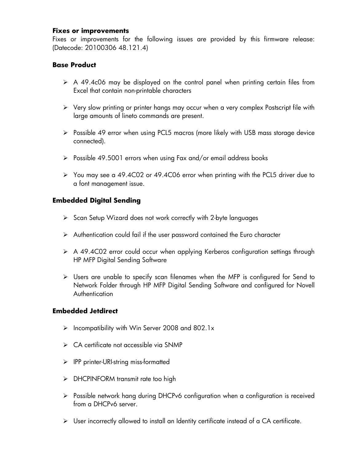#### **Fixes or improvements**

Fixes or improvements for the following issues are provided by this firmware release: (Datecode: 20100306 48.121.4)

## **Base Product**

- A 49.4c06 may be displayed on the control panel when printing certain files from Excel that contain non-printable characters
- Very slow printing or printer hangs may occur when a very complex Postscript file with large amounts of lineto commands are present.
- Possible 49 error when using PCL5 macros (more likely with USB mass storage device connected).
- $\triangleright$  Possible 49.5001 errors when using Fax and/or email address books
- You may see a 49.4C02 or 49.4C06 error when printing with the PCL5 driver due to a font management issue.

## **Embedded Digital Sending**

- $\triangleright$  Scan Setup Wizard does not work correctly with 2-byte languages
- $\triangleright$  Authentication could fail if the user password contained the Euro character
- A 49.4C02 error could occur when applying Kerberos configuration settings through HP MFP Digital Sending Software
- Users are unable to specify scan filenames when the MFP is configured for Send to Network Folder through HP MFP Digital Sending Software and configured for Novell Authentication

## **Embedded Jetdirect**

- $\triangleright$  Incompatibility with Win Server 2008 and 802.1x
- $\triangleright$  CA certificate not accessible via SNMP
- $\triangleright$  IPP printer-URI-string miss-formatted
- $\triangleright$  DHCPINFORM transmit rate too high
- Possible network hang during DHCPv6 configuration when a configuration is received from a DHCPv6 server.
- $\triangleright$  User incorrectly allowed to install an Identity certificate instead of a CA certificate.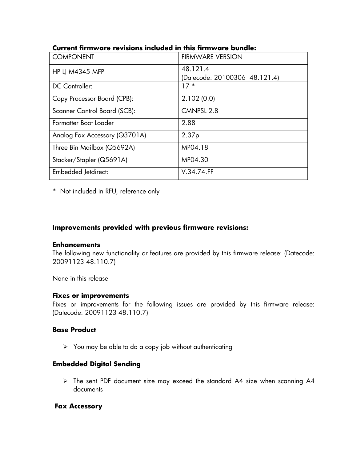| <b>COMPONENT</b>              | <b>FIRMWARE VERSION</b>                   |
|-------------------------------|-------------------------------------------|
| <b>HP LJ M4345 MFP</b>        | 48.121.4<br>(Datecode: 20100306 48.121.4) |
| DC Controller:                | $17*$                                     |
| Copy Processor Board (CPB):   | 2.102(0.0)                                |
| Scanner Control Board (SCB):  | <b>CMNPSL 2.8</b>                         |
| Formatter Boot Loader         | 2.88                                      |
| Analog Fax Accessory (Q3701A) | 2.37 <sub>p</sub>                         |
| Three Bin Mailbox (Q5692A)    | MP04.18                                   |
| Stacker/Stapler (Q5691A)      | MP04.30                                   |
| <b>Embedded Jetdirect:</b>    | V.34.74.FF                                |

**Current firmware revisions included in this firmware bundle:**

\* Not included in RFU, reference only

### **Improvements provided with previous firmware revisions:**

#### **Enhancements**

The following new functionality or features are provided by this firmware release: (Datecode: 20091123 48.110.7)

None in this release

## **Fixes or improvements**

Fixes or improvements for the following issues are provided by this firmware release: (Datecode: 20091123 48.110.7)

## **Base Product**

 $\triangleright$  You may be able to do a copy job without authenticating

## **Embedded Digital Sending**

 The sent PDF document size may exceed the standard A4 size when scanning A4 documents

## **Fax Accessory**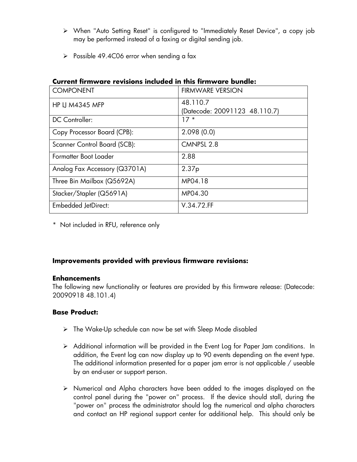- When "Auto Setting Reset" is configured to "Immediately Reset Device", a copy job may be performed instead of a faxing or digital sending job.
- $\triangleright$  Possible 49.4C06 error when sending a fax

| <b>COMPONENT</b>              | <b>FIRMWARE VERSION</b>                   |
|-------------------------------|-------------------------------------------|
| <b>HP LJ M4345 MFP</b>        | 48.110.7<br>(Datecode: 20091123 48.110.7) |
| DC Controller:                | $17*$                                     |
| Copy Processor Board (CPB):   | 2.098(0.0)                                |
| Scanner Control Board (SCB):  | CMNPSL 2.8                                |
| Formatter Boot Loader         | 2.88                                      |
| Analog Fax Accessory (Q3701A) | 2.37 <sub>p</sub>                         |
| Three Bin Mailbox (Q5692A)    | MP04.18                                   |
| Stacker/Stapler (Q5691A)      | MP04.30                                   |
| <b>Embedded JetDirect:</b>    | V.34.72.FF                                |

## **Current firmware revisions included in this firmware bundle:**

\* Not included in RFU, reference only

# **Improvements provided with previous firmware revisions:**

## **Enhancements**

The following new functionality or features are provided by this firmware release: (Datecode: 20090918 48.101.4)

# **Base Product:**

- > The Wake-Up schedule can now be set with Sleep Mode disabled
- Additional information will be provided in the Event Log for Paper Jam conditions. In addition, the Event log can now display up to 90 events depending on the event type. The additional information presented for a paper jam error is not applicable / useable by an end-user or support person.
- $\triangleright$  Numerical and Alpha characters have been added to the images displayed on the control panel during the "power on" process. If the device should stall, during the "power on" process the administrator should log the numerical and alpha characters and contact an HP regional support center for additional help. This should only be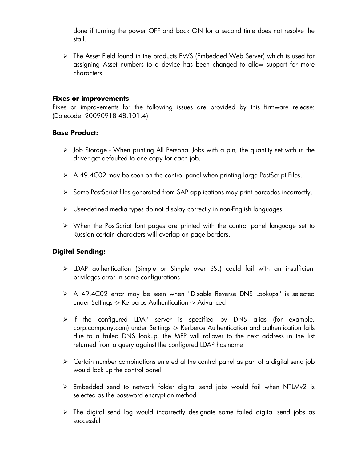done if turning the power OFF and back ON for a second time does not resolve the stall.

 The Asset Field found in the products EWS (Embedded Web Server) which is used for assigning Asset numbers to a device has been changed to allow support for more characters.

### **Fixes or improvements**

Fixes or improvements for the following issues are provided by this firmware release: (Datecode: 20090918 48.101.4)

## **Base Product:**

- $\triangleright$  Job Storage When printing All Personal Jobs with a pin, the quantity set with in the driver get defaulted to one copy for each job.
- $\triangleright$  A 49.4C02 may be seen on the control panel when printing large PostScript Files.
- $\triangleright$  Some PostScript files generated from SAP applications may print barcodes incorrectly.
- User-defined media types do not display correctly in non-English languages
- When the PostScript font pages are printed with the control panel language set to Russian certain characters will overlap on page borders.

# **Digital Sending:**

- LDAP authentication (Simple or Simple over SSL) could fail with an insufficient privileges error in some configurations
- A 49.4C02 error may be seen when "Disable Reverse DNS Lookups" is selected under Settings -> Kerberos Authentication -> Advanced
- $\triangleright$  If the configured LDAP server is specified by DNS alias (for example, corp.company.com) under Settings -> Kerberos Authentication and authentication fails due to a failed DNS lookup, the MFP will rollover to the next address in the list returned from a query against the configured LDAP hostname
- $\triangleright$  Certain number combinations entered at the control panel as part of a digital send job would lock up the control panel
- Embedded send to network folder digital send jobs would fail when NTLMv2 is selected as the password encryption method
- $\triangleright$  The digital send log would incorrectly designate some failed digital send jobs as successful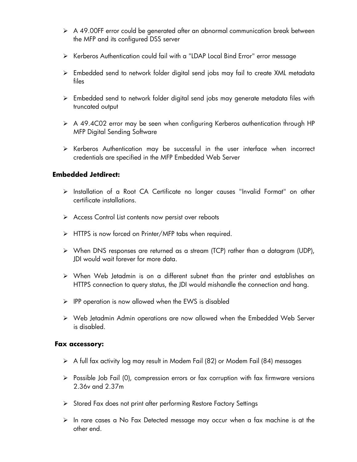- A 49.00FF error could be generated after an abnormal communication break between the MFP and its configured DSS server
- Kerberos Authentication could fail with a "LDAP Local Bind Error" error message
- Embedded send to network folder digital send jobs may fail to create XML metadata files
- Embedded send to network folder digital send jobs may generate metadata files with truncated output
- A 49.4C02 error may be seen when configuring Kerberos authentication through HP MFP Digital Sending Software
- $\triangleright$  Kerberos Authentication may be successful in the user interface when incorrect credentials are specified in the MFP Embedded Web Server

## **Embedded Jetdirect:**

- > Installation of a Root CA Certificate no longer causes "Invalid Format" on other certificate installations.
- Access Control List contents now persist over reboots
- $\triangleright$  HTTPS is now forced on Printer/MFP tabs when required.
- When DNS responses are returned as a stream (TCP) rather than a datagram (UDP), JDI would wait forever for more data.
- When Web Jetadmin is on a different subnet than the printer and establishes an HTTPS connection to query status, the JDI would mishandle the connection and hang.
- $\triangleright$  IPP operation is now allowed when the EWS is disabled
- Web Jetadmin Admin operations are now allowed when the Embedded Web Server is disabled.

#### **Fax accessory:**

- A full fax activity log may result in Modem Fail (82) or Modem Fail (84) messages
- $\triangleright$  Possible Job Fail (0), compression errors or fax corruption with fax firmware versions 2.36v and 2.37m
- $\triangleright$  Stored Fax does not print after performing Restore Factory Settings
- $\triangleright$  In rare cases a No Fax Detected message may occur when a fax machine is at the other end.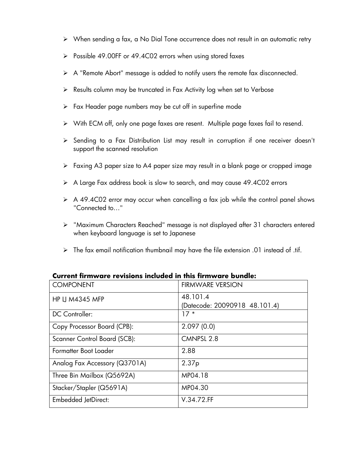- When sending a fax, a No Dial Tone occurrence does not result in an automatic retry
- Possible 49.00FF or 49.4C02 errors when using stored faxes
- $\triangleright$  A "Remote Abort" message is added to notify users the remote fax disconnected.
- $\triangleright$  Results column may be truncated in Fax Activity log when set to Verbose
- $\triangleright$  Fax Header page numbers may be cut off in superfine mode
- With ECM off, only one page faxes are resent. Multiple page faxes fail to resend.
- Sending to a Fax Distribution List may result in corruption if one receiver doesn't support the scanned resolution
- Faxing A3 paper size to A4 paper size may result in a blank page or cropped image
- A Large Fax address book is slow to search, and may cause 49.4C02 errors
- $\triangleright$  A 49.4C02 error may occur when cancelling a fax job while the control panel shows "Connected to…"
- "Maximum Characters Reached" message is not displayed after 31 characters entered when keyboard language is set to Japanese
- $\triangleright$  The fax email notification thumbnail may have the file extension .01 instead of .tif.

| <b>COMPONENT</b>              | <b>FIRMWARE VERSION</b>                   |
|-------------------------------|-------------------------------------------|
| <b>HP LJ M4345 MFP</b>        | 48.101.4<br>(Datecode: 20090918 48.101.4) |
| DC Controller:                | $17*$                                     |
| Copy Processor Board (CPB):   | 2.097(0.0)                                |
| Scanner Control Board (SCB):  | <b>CMNPSL 2.8</b>                         |
| Formatter Boot Loader         | 2.88                                      |
| Analog Fax Accessory (Q3701A) | 2.37 <sub>p</sub>                         |
| Three Bin Mailbox (Q5692A)    | MP04.18                                   |
| Stacker/Stapler (Q5691A)      | MP04.30                                   |
| <b>Embedded JetDirect:</b>    | V.34.72.FF                                |

**Current firmware revisions included in this firmware bundle:**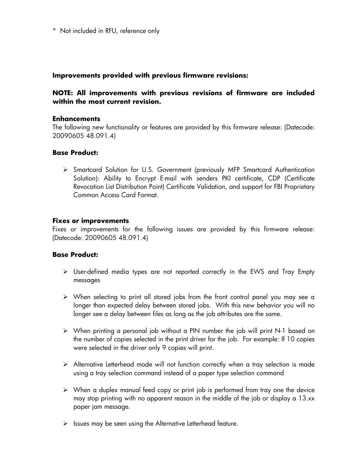\* Not included in RFU, reference only

### **Improvements provided with previous firmware revisions:**

## **NOTE: All improvements with previous revisions of firmware are included within the most current revision.**

#### **Enhancements**

The following new functionality or features are provided by this firmware release: (Datecode: 20090605 48.091.4)

## **Base Product:**

 Smartcard Solution for U.S. Government (previously MFP Smartcard Authentication Solution): Ability to Encrypt E-mail with senders PKI certificate, CDP (Certificate Revocation List Distribution Point) Certificate Validation, and support for FBI Proprietary Common Access Card Format.

### **Fixes or improvements**

Fixes or improvements for the following issues are provided by this firmware release: (Datecode: 20090605 48.091.4)

## **Base Product:**

- User-defined media types are not reported correctly in the EWS and Tray Empty messages
- > When selecting to print all stored jobs from the front control panel you may see a longer than expected delay between stored jobs. With this new behavior you will no longer see a delay between files as long as the job attributes are the same.
- When printing a personal job without a PIN number the job will print N-1 based on the number of copies selected in the print driver for the job. For example: If 10 copies were selected in the driver only 9 copies will print.
- Alternative Letterhead mode will not function correctly when a tray selection is made using a tray selection command instead of a paper type selection command
- $\triangleright$  When a duplex manual feed copy or print job is performed from tray one the device may stop printing with no apparent reason in the middle of the job or display a 13.xx paper jam message.
- $\triangleright$  Issues may be seen using the Alternative Letterhead feature.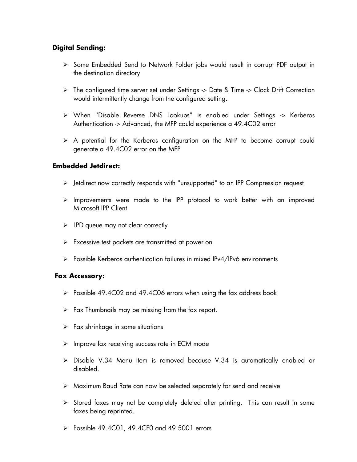## **Digital Sending:**

- Some Embedded Send to Network Folder jobs would result in corrupt PDF output in the destination directory
- > The configured time server set under Settings -> Date & Time -> Clock Drift Correction would intermittently change from the configured setting.
- When "Disable Reverse DNS Lookups" is enabled under Settings -> Kerberos Authentication -> Advanced, the MFP could experience a 49.4C02 error
- A potential for the Kerberos configuration on the MFP to become corrupt could generate a 49.4C02 error on the MFP

## **Embedded Jetdirect:**

- > Jetdirect now correctly responds with "unsupported" to an IPP Compression request
- $\triangleright$  Improvements were made to the IPP protocol to work better with an improved Microsoft IPP Client
- $\triangleright$  LPD queue may not clear correctly
- $\triangleright$  Excessive test packets are transmitted at power on
- Possible Kerberos authentication failures in mixed IPv4/IPv6 environments

## **Fax Accessory:**

- $\triangleright$  Possible 49.4C02 and 49.4C06 errors when using the fax address book
- $\triangleright$  Fax Thumbnails may be missing from the fax report.
- $\triangleright$  Fax shrinkage in some situations
- $\triangleright$  Improve fax receiving success rate in ECM mode
- Disable V.34 Menu Item is removed because V.34 is automatically enabled or disabled.
- Maximum Baud Rate can now be selected separately for send and receive
- $\triangleright$  Stored faxes may not be completely deleted after printing. This can result in some faxes being reprinted.
- $\triangleright$  Possible 49.4C01, 49.4CF0 and 49.5001 errors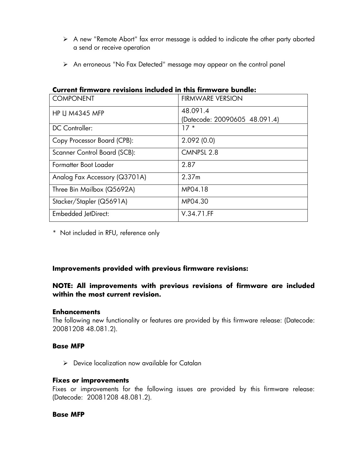- A new "Remote Abort" fax error message is added to indicate the other party aborted a send or receive operation
- An erroneous "No Fax Detected" message may appear on the control panel

| <b>COMPONENT</b>              | <b>FIRMWARE VERSION</b>                   |
|-------------------------------|-------------------------------------------|
| <b>HP LJ M4345 MFP</b>        | 48.091.4<br>(Datecode: 20090605 48.091.4) |
| DC Controller:                | $17*$                                     |
| Copy Processor Board (CPB):   | 2.092(0.0)                                |
| Scanner Control Board (SCB):  | <b>CMNPSL 2.8</b>                         |
| Formatter Boot Loader         | 2.87                                      |
| Analog Fax Accessory (Q3701A) | 2.37 <sub>m</sub>                         |
| Three Bin Mailbox (Q5692A)    | MP04.18                                   |
| Stacker/Stapler (Q5691A)      | MP04.30                                   |
| <b>Embedded JetDirect:</b>    | V.34.71.FF                                |

## **Current firmware revisions included in this firmware bundle:**

\* Not included in RFU, reference only

## **Improvements provided with previous firmware revisions:**

# **NOTE: All improvements with previous revisions of firmware are included within the most current revision.**

#### **Enhancements**

The following new functionality or features are provided by this firmware release: (Datecode: 20081208 48.081.2).

## **Base MFP**

 $\triangleright$  Device localization now available for Catalan

#### **Fixes or improvements**

Fixes or improvements for the following issues are provided by this firmware release: (Datecode: 20081208 48.081.2).

#### **Base MFP**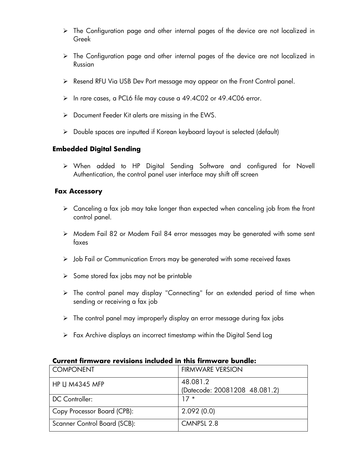- $\triangleright$  The Configuration page and other internal pages of the device are not localized in Greek
- $\triangleright$  The Configuration page and other internal pages of the device are not localized in Russian
- Resend RFU Via USB Dev Port message may appear on the Front Control panel.
- > In rare cases, a PCL6 file may cause a 49.4C02 or 49.4C06 error.
- $\triangleright$  Document Feeder Kit alerts are missing in the EWS.
- Double spaces are inputted if Korean keyboard layout is selected (default)

## **Embedded Digital Sending**

 When added to HP Digital Sending Software and configured for Novell Authentication, the control panel user interface may shift off screen

## **Fax Accessory**

- $\triangleright$  Canceling a fax job may take longer than expected when canceling job from the front control panel.
- Modem Fail 82 or Modem Fail 84 error messages may be generated with some sent faxes
- $\triangleright$  Job Fail or Communication Errors may be generated with some received faxes
- $\triangleright$  Some stored fax jobs may not be printable
- The control panel may display "Connecting" for an extended period of time when sending or receiving a fax job
- $\triangleright$  The control panel may improperly display an error message during fax jobs
- $\triangleright$  Fax Archive displays an incorrect timestamp within the Digital Send Log

| <b>COMPONENT</b>             | FIRMWARE VERSION              |
|------------------------------|-------------------------------|
| <b>HP LJ M4345 MFP</b>       | 48.081.2                      |
|                              | (Datecode: 20081208 48.081.2) |
| DC Controller:               | $17*$                         |
| Copy Processor Board (CPB):  | 2.092(0.0)                    |
| Scanner Control Board (SCB): | <b>CMNPSL 2.8</b>             |

#### **Current firmware revisions included in this firmware bundle:**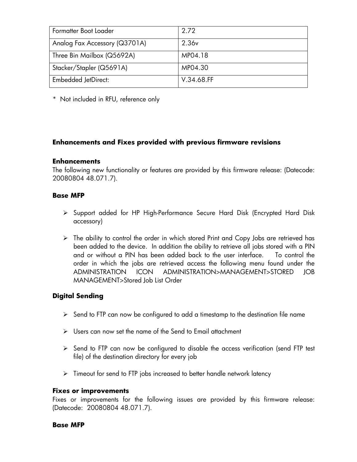| Formatter Boot Loader         | 2.72       |
|-------------------------------|------------|
| Analog Fax Accessory (Q3701A) | 2.36v      |
| Three Bin Mailbox (Q5692A)    | MP04.18    |
| Stacker/Stapler (Q5691A)      | MP04.30    |
| <b>Embedded JetDirect:</b>    | V.34.68.FF |

\* Not included in RFU, reference only

# **Enhancements and Fixes provided with previous firmware revisions**

## **Enhancements**

The following new functionality or features are provided by this firmware release: (Datecode: 20080804 48.071.7).

## **Base MFP**

- Support added for HP High-Performance Secure Hard Disk (Encrypted Hard Disk accessory)
- $\triangleright$  The ability to control the order in which stored Print and Copy Jobs are retrieved has been added to the device. In addition the ability to retrieve all jobs stored with a PIN and or without a PIN has been added back to the user interface. To control the order in which the jobs are retrieved access the following menu found under the ADMINISTRATION ICON ADMINISTRATION>MANAGEMENT>STORED JOB MANAGEMENT>Stored Job List Order

# **Digital Sending**

- $\triangleright$  Send to FTP can now be configured to add a timestamp to the destination file name
- $\triangleright$  Users can now set the name of the Send to Email attachment
- $\triangleright$  Send to FTP can now be configured to disable the access verification (send FTP test file) of the destination directory for every job
- $\triangleright$  Timeout for send to FTP jobs increased to better handle network latency

## **Fixes or improvements**

Fixes or improvements for the following issues are provided by this firmware release: (Datecode: 20080804 48.071.7).

## **Base MFP**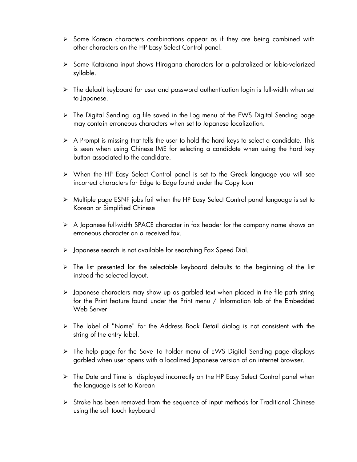- $\triangleright$  Some Korean characters combinations appear as if they are being combined with other characters on the HP Easy Select Control panel.
- $\triangleright$  Some Katakana input shows Hiragana characters for a palatalized or labio-velarized syllable.
- $\triangleright$  The default keyboard for user and password authentication login is full-width when set to Japanese.
- The Digital Sending log file saved in the Log menu of the EWS Digital Sending page may contain erroneous characters when set to Japanese localization.
- $\triangleright$  A Prompt is missing that tells the user to hold the hard keys to select a candidate. This is seen when using Chinese IME for selecting a candidate when using the hard key button associated to the candidate.
- When the HP Easy Select Control panel is set to the Greek language you will see incorrect characters for Edge to Edge found under the Copy Icon
- Multiple page ESNF jobs fail when the HP Easy Select Control panel language is set to Korean or Simplified Chinese
- $\triangleright$  A Japanese full-width SPACE character in fax header for the company name shows an erroneous character on a received fax.
- > Japanese search is not available for searching Fax Speed Dial.
- $\triangleright$  The list presented for the selectable keyboard defaults to the beginning of the list instead the selected layout.
- $\triangleright$  Japanese characters may show up as garbled text when placed in the file path string for the Print feature found under the Print menu / Information tab of the Embedded Web Server
- The label of "Name" for the Address Book Detail dialog is not consistent with the string of the entry label.
- The help page for the Save To Folder menu of EWS Digital Sending page displays garbled when user opens with a localized Japanese version of an internet browser.
- The Date and Time is displayed incorrectly on the HP Easy Select Control panel when the language is set to Korean
- $\triangleright$  Stroke has been removed from the sequence of input methods for Traditional Chinese using the soft touch keyboard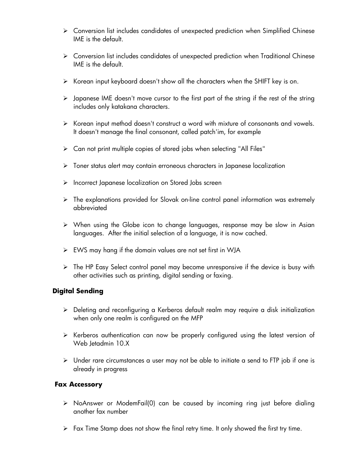- Conversion list includes candidates of unexpected prediction when Simplified Chinese IME is the default.
- Conversion list includes candidates of unexpected prediction when Traditional Chinese IME is the default.
- $\triangleright$  Korean input keyboard doesn't show all the characters when the SHIFT key is on.
- $\triangleright$  Japanese IME doesn't move cursor to the first part of the string if the rest of the string includes only katakana characters.
- $\triangleright$  Korean input method doesn't construct a word with mixture of consonants and vowels. It doesn't manage the final consonant, called patch'im, for example
- $\triangleright$  Can not print multiple copies of stored jobs when selecting "All Files"
- Toner status alert may contain erroneous characters in Japanese localization
- > Incorrect Japanese localization on Stored Jobs screen
- $\triangleright$  The explanations provided for Slovak on-line control panel information was extremely abbreviated
- When using the Globe icon to change languages, response may be slow in Asian languages. After the initial selection of a language, it is now cached.
- EWS may hang if the domain values are not set first in WJA
- $\triangleright$  The HP Easy Select control panel may become unresponsive if the device is busy with other activities such as printing, digital sending or faxing.

# **Digital Sending**

- Deleting and reconfiguring a Kerberos default realm may require a disk initialization when only one realm is configured on the MFP
- Kerberos authentication can now be properly configured using the latest version of Web letadmin 10.X
- $\triangleright$  Under rare circumstances a user may not be able to initiate a send to FTP job if one is already in progress

## **Fax Accessory**

- NoAnswer or ModemFail(0) can be caused by incoming ring just before dialing another fax number
- $\triangleright$  Fax Time Stamp does not show the final retry time. It only showed the first try time.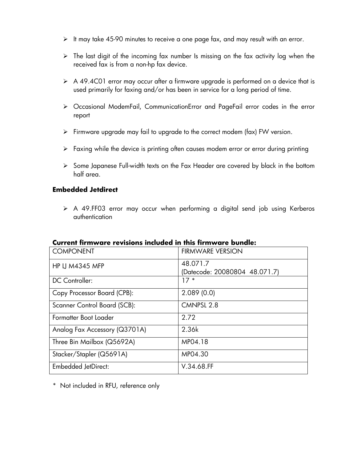- $\triangleright$  It may take 45-90 minutes to receive a one page fax, and may result with an error.
- $\triangleright$  The last digit of the incoming fax number Is missing on the fax activity log when the received fax is from a non-hp fax device.
- $\triangleright$  A 49.4C01 error may occur after a firmware upgrade is performed on a device that is used primarily for faxing and/or has been in service for a long period of time.
- Occasional ModemFail, CommunicationError and PageFail error codes in the error report
- $\triangleright$  Firmware upgrade may fail to upgrade to the correct modem (fax) FW version.
- $\triangleright$  Faxing while the device is printing often causes modem error or error during printing
- $\triangleright$  Some Japanese Full-width texts on the Fax Header are covered by black in the bottom half area.

## **Embedded Jetdirect**

 A 49.FF03 error may occur when performing a digital send job using Kerberos authentication

#### **Current firmware revisions included in this firmware bundle:**

| <b>COMPONENT</b>              | <b>FIRMWARE VERSION</b>                   |
|-------------------------------|-------------------------------------------|
| <b>HP LJ M4345 MFP</b>        | 48.071.7<br>(Datecode: 20080804 48.071.7) |
| DC Controller:                | $17*$                                     |
| Copy Processor Board (CPB):   | 2.089(0.0)                                |
| Scanner Control Board (SCB):  | <b>CMNPSL 2.8</b>                         |
| Formatter Boot Loader         | 2.72                                      |
| Analog Fax Accessory (Q3701A) | 2.36k                                     |
| Three Bin Mailbox (Q5692A)    | MP04.18                                   |
| Stacker/Stapler (Q5691A)      | MP04.30                                   |
| <b>Embedded JetDirect:</b>    | V.34.68.FF                                |

\* Not included in RFU, reference only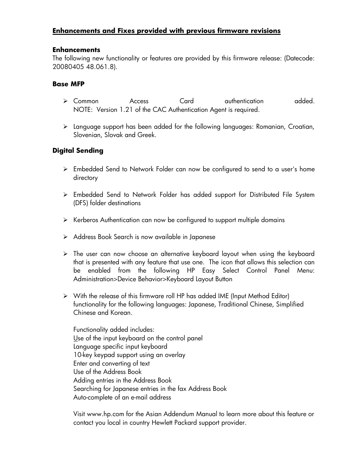## **Enhancements and Fixes provided with previous firmware revisions**

#### **Enhancements**

The following new functionality or features are provided by this firmware release: (Datecode: 20080405 48.061.8).

#### **Base MFP**

- Common Access Card authentication added. NOTE: Version 1.21 of the CAC Authentication Agent is required.
- Language support has been added for the following languages: Romanian, Croatian, Slovenian, Slovak and Greek.

## **Digital Sending**

- Embedded Send to Network Folder can now be configured to send to a user's home directory
- Embedded Send to Network Folder has added support for Distributed File System (DFS) folder destinations
- $\triangleright$  Kerberos Authentication can now be configured to support multiple domains
- > Address Book Search is now available in Japanese
- $\triangleright$  The user can now choose an alternative keyboard layout when using the keyboard that is presented with any feature that use one. The icon that allows this selection can be enabled from the following HP Easy Select Control Panel Menu: Administration>Device Behavior>Keyboard Layout Button
- $\triangleright$  With the release of this firmware roll HP has added IME (Input Method Editor) functionality for the following languages: Japanese, Traditional Chinese, Simplified Chinese and Korean.

Functionality added includes: Use of the input keyboard on the control panel Language specific input keyboard 10-key keypad support using an overlay Enter and converting of text Use of the Address Book Adding entries in the Address Book Searching for Japanese entries in the fax Address Book Auto-complete of an e-mail address

Visit www.hp.com for the Asian Addendum Manual to learn more about this feature or contact you local in country Hewlett Packard support provider.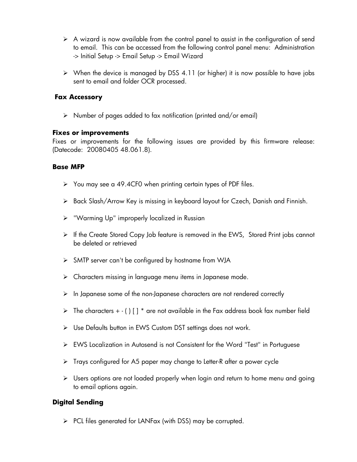- $\triangleright$  A wizard is now available from the control panel to assist in the configuration of send to email. This can be accessed from the following control panel menu: Administration -> Initial Setup -> Email Setup -> Email Wizard
- When the device is managed by DSS 4.11 (or higher) it is now possible to have jobs sent to email and folder OCR processed.

### **Fax Accessory**

 $\triangleright$  Number of pages added to fax notification (printed and/or email)

### **Fixes or improvements**

Fixes or improvements for the following issues are provided by this firmware release: (Datecode: 20080405 48.061.8).

### **Base MFP**

- $\triangleright$  You may see a 49.4CF0 when printing certain types of PDF files.
- Back Slash/Arrow Key is missing in keyboard layout for Czech, Danish and Finnish.
- "Warming Up" improperly localized in Russian
- $\triangleright$  If the Create Stored Copy Job feature is removed in the EWS, Stored Print jobs cannot be deleted or retrieved
- SMTP server can't be configured by hostname from WJA
- Characters missing in language menu items in Japanese mode.
- $\triangleright$  In Japanese some of the non-Japanese characters are not rendered correctly
- $\triangleright$  The characters + ( ) [ ]  $\ast$  are not available in the Fax address book fax number field
- Use Defaults button in EWS Custom DST settings does not work.
- EWS Localization in Autosend is not Consistent for the Word "Test" in Portuguese
- $\triangleright$  Trays configured for A5 paper may change to Letter-R after a power cycle
- Users options are not loaded properly when login and return to home menu and going to email options again.

## **Digital Sending**

 $\triangleright$  PCL files generated for LANFax (with DSS) may be corrupted.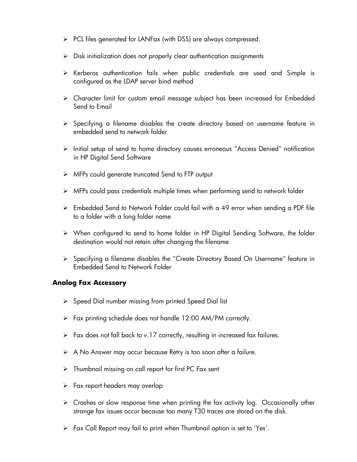- $\triangleright$  PCL files generated for LANFax (with DSS) are always compressed.
- $\triangleright$  Disk initialization does not properly clear authentication assignments
- $\triangleright$  Kerberos authentication fails when public credentials are used and Simple is configured as the LDAP server bind method
- Character limit for custom email message subject has been increased for Embedded Send to Email
- $\triangleright$  Specifying a filename disables the create directory based on username feature in embedded send to network folder
- $\triangleright$  Initial setup of send to home directory causes erroneous "Access Denied" notification in HP Digital Send Software
- > MFPs could generate truncated Send to FTP output
- $\triangleright$  MFPs could pass credentials multiple times when performing send to network folder
- Embedded Send to Network Folder could fail with a 49 error when sending a PDF file to a folder with a long folder name
- When configured to send to home folder in HP Digital Sending Software, the folder destination would not retain after changing the filename
- Specifying a filename disables the "Create Directory Based On Username" feature in Embedded Send to Network Folder

## **Analog Fax Accessory**

- $\triangleright$  Speed Dial number missing from printed Speed Dial list
- $\triangleright$  Fax printing schedule does not handle 12:00 AM/PM correctly.
- $\triangleright$  Fax does not fall back to v.17 correctly, resulting in increased fax failures.
- $\triangleright$  A No Answer may occur because Retry is too soon after a failure.
- $\triangleright$  Thumbnail missing on call report for first PC Fax sent
- $\triangleright$  Fax report headers may overlap
- Crashes or slow response time when printing the fax activity log. Occasionally other strange fax issues occur because too many T30 traces are stored on the disk.
- $\triangleright$  Fax Call Report may fail to print when Thumbnail option is set to 'Yes'.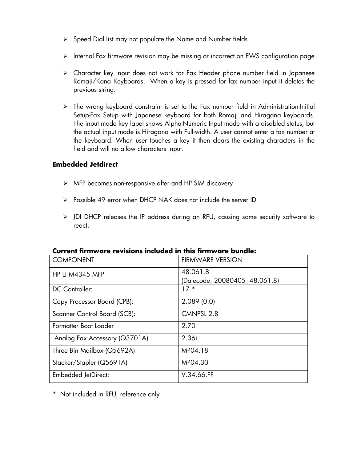- $\triangleright$  Speed Dial list may not populate the Name and Number fields
- $\triangleright$  Internal Fax firmware revision may be missing or incorrect on EWS configuration page
- Character key input does not work for Fax Header phone number field in Japanese Romaji/Kana Keyboards. When a key is pressed for fax number input it deletes the previous string.
- $\triangleright$  The wrong keyboard constraint is set to the Fax number field in Administration-Initial Setup-Fax Setup with Japanese keyboard for both Romaji and Hiragana keyboards. The input mode key label shows Alpha-Numeric Input mode with a disabled status, but the actual input mode is Hiragana with Full-width. A user cannot enter a fax number at the keyboard. When user touches a key it then clears the existing characters in the field and will no allow characters input.

### **Embedded Jetdirect**

- > MFP becomes non-responsive after and HP SIM discovery
- Possible 49 error when DHCP NAK does not include the server ID
- > JDI DHCP releases the IP address during an RFU, causing some security software to react.

| <b>COMPONENT</b>              | <b>FIRMWARE VERSION</b>       |
|-------------------------------|-------------------------------|
| <b>HP LJ M4345 MFP</b>        | 48.061.8                      |
|                               | (Datecode: 20080405 48.061.8) |
| DC Controller:                | $17*$                         |
| Copy Processor Board (CPB):   | 2.089(0.0)                    |
| Scanner Control Board (SCB):  | <b>CMNPSL 2.8</b>             |
| Formatter Boot Loader         | 2.70                          |
| Analog Fax Accessory (Q3701A) | 2.36i                         |
| Three Bin Mailbox (Q5692A)    | MP04.18                       |
| Stacker/Stapler (Q5691A)      | MP04.30                       |
| <b>Embedded JetDirect:</b>    | V.34.66.FF                    |

## **Current firmware revisions included in this firmware bundle:**

\* Not included in RFU, reference only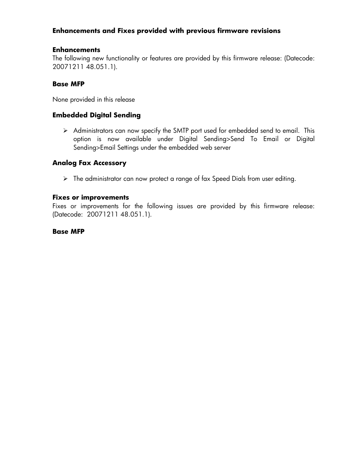## **Enhancements and Fixes provided with previous firmware revisions**

### **Enhancements**

The following new functionality or features are provided by this firmware release: (Datecode: 20071211 48.051.1).

### **Base MFP**

None provided in this release

## **Embedded Digital Sending**

 Administrators can now specify the SMTP port used for embedded send to email. This option is now available under Digital Sending>Send To Email or Digital Sending>Email Settings under the embedded web server

## **Analog Fax Accessory**

 $\triangleright$  The administrator can now protect a range of fax Speed Dials from user editing.

### **Fixes or improvements**

Fixes or improvements for the following issues are provided by this firmware release: (Datecode: 20071211 48.051.1).

#### **Base MFP**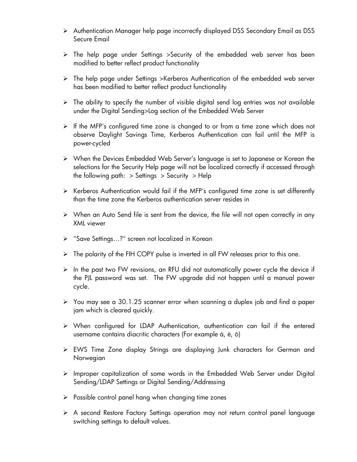- Authentication Manager help page incorrectly displayed DSS Secondary Email as DSS Secure Email
- The help page under Settings >Security of the embedded web server has been modified to better reflect product functionality
- The help page under Settings >Kerberos Authentication of the embedded web server has been modified to better reflect product functionality
- $\triangleright$  The ability to specify the number of visible digital send log entries was not available under the Digital Sending>Log section of the Embedded Web Server
- > If the MFP's configured time zone is changed to or from a time zone which does not observe Daylight Savings Time, Kerberos Authentication can fail until the MFP is power-cycled
- When the Devices Embedded Web Server's language is set to Japanese or Korean the selections for the Security Help page will not be localized correctly if accessed through the following path:  $>$  Settings  $>$  Security  $>$  Help
- $\triangleright$  Kerberos Authentication would fail if the MFP's configured time zone is set differently than the time zone the Kerberos authentication server resides in
- When an Auto Send file is sent from the device, the file will not open correctly in any XML viewer
- "Save Settings…?" screen not localized in Korean
- $\triangleright$  The polarity of the FIH COPY pulse is inverted in all FW releases prior to this one.
- $\triangleright$  In the past two FW revisions, an RFU did not automatically power cycle the device if the PJL password was set. The FW upgrade did not happen until a manual power cycle.
- $\triangleright$  You may see a 30.1.25 scanner error when scanning a duplex job and find a paper jam which is cleared quickly.
- When configured for LDAP Authentication, authentication can fail if the entered username contains diacritic characters (For example á, ë, õ)
- EWS Time Zone display Strings are displaying Junk characters for German and Norwegian
- > Improper capitalization of some words in the Embedded Web Server under Digital Sending/LDAP Settings or Digital Sending/Addressing
- $\triangleright$  Possible control panel hang when changing time zones
- A second Restore Factory Settings operation may not return control panel language switching settings to default values.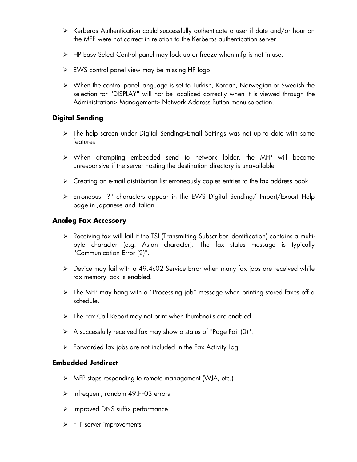- Kerberos Authentication could successfully authenticate a user if date and/or hour on the MFP were not correct in relation to the Kerberos authentication server
- $\triangleright$  HP Easy Select Control panel may lock up or freeze when mfp is not in use.
- $\triangleright$  EWS control panel view may be missing HP logo.
- $\triangleright$  When the control panel language is set to Turkish, Korean, Norwegian or Swedish the selection for "DISPLAY" will not be localized correctly when it is viewed through the Administration> Management> Network Address Button menu selection.

# **Digital Sending**

- The help screen under Digital Sending>Email Settings was not up to date with some features
- When attempting embedded send to network folder, the MFP will become unresponsive if the server hosting the destination directory is unavailable
- $\triangleright$  Creating an e-mail distribution list erroneously copies entries to the fax address book.
- Erroneous "?" characters appear in the EWS Digital Sending/ Import/Export Help page in Japanese and Italian

## **Analog Fax Accessory**

- $\triangleright$  Receiving fax will fail if the TSI (Transmitting Subscriber Identification) contains a multibyte character (e.g. Asian character). The fax status message is typically "Communication Error (2)".
- Device may fail with a 49.4c02 Service Error when many fax jobs are received while fax memory lock is enabled.
- The MFP may hang with a "Processing job" message when printing stored faxes off a schedule.
- $\triangleright$  The Fax Call Report may not print when thumbnails are enabled.
- $\triangleright$  A successfully received fax may show a status of "Page Fail (0)".
- $\triangleright$  Forwarded fax jobs are not included in the Fax Activity Log.

## **Embedded Jetdirect**

- $\triangleright$  MFP stops responding to remote management (WJA, etc.)
- $\triangleright$  Infrequent, random 49.FF03 errors
- $\triangleright$  Improved DNS suffix performance
- $\triangleright$  FTP server improvements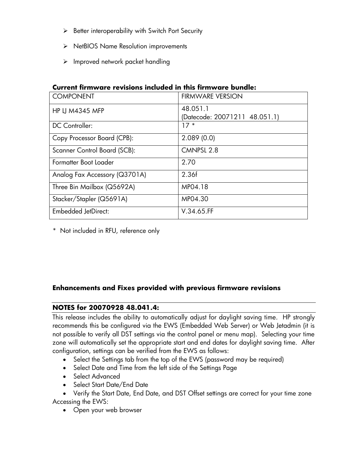- $\triangleright$  Better interoperability with Switch Port Security
- > NetBIOS Name Resolution improvements
- $\triangleright$  Improved network packet handling

|  |  | Current firmware revisions included in this firmware bundle: |  |
|--|--|--------------------------------------------------------------|--|
|  |  |                                                              |  |

| <b>COMPONENT</b>              | <b>FIRMWARE VERSION</b>                   |
|-------------------------------|-------------------------------------------|
| <b>HP LJ M4345 MFP</b>        | 48.051.1<br>(Datecode: 20071211 48.051.1) |
| DC Controller:                | $17*$                                     |
| Copy Processor Board (CPB):   | 2.089(0.0)                                |
| Scanner Control Board (SCB):  | <b>CMNPSL 2.8</b>                         |
| Formatter Boot Loader         | 2.70                                      |
| Analog Fax Accessory (Q3701A) | 2.36f                                     |
| Three Bin Mailbox (Q5692A)    | MP04.18                                   |
| Stacker/Stapler (Q5691A)      | MP04.30                                   |
| <b>Embedded JetDirect:</b>    | V.34.65.FF                                |

\* Not included in RFU, reference only

# **Enhancements and Fixes provided with previous firmware revisions**

# **NOTES for 20070928 48.041.4:**

This release includes the ability to automatically adjust for daylight saving time. HP strongly recommends this be configured via the EWS (Embedded Web Server) or Web Jetadmin (it is not possible to verify all DST settings via the control panel or menu map). Selecting your time zone will automatically set the appropriate start and end dates for daylight saving time. After configuration, settings can be verified from the EWS as follows:

- Select the Settings tab from the top of the EWS (password may be required)
- Select Date and Time from the left side of the Settings Page
- Select Advanced
- Select Start Date/End Date

 Verify the Start Date, End Date, and DST Offset settings are correct for your time zone Accessing the EWS:

• Open your web browser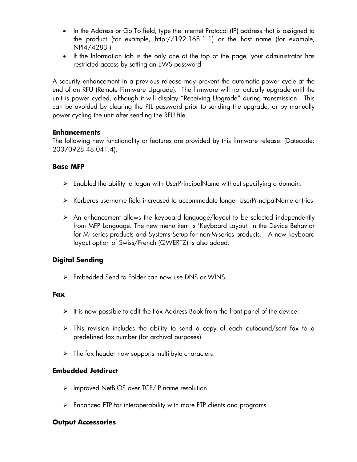- In the Address or Go To field, type the Internet Protocol (IP) address that is assigned to the product (for example, [http://192.168.1.1\)](http://192.168.1.1)/) or the host name (for example, NPI474283 )
- If the Information tab is the only one at the top of the page, your administrator has restricted access by setting an EWS password

A security enhancement in a previous release may prevent the automatic power cycle at the end of an RFU (Remote Firmware Upgrade). The firmware will not actually upgrade until the unit is power cycled, although it will display "Receiving Upgrade" during transmission. This can be avoided by clearing the PJL password prior to sending the upgrade, or by manually power cycling the unit after sending the RFU file.

## **Enhancements**

The following new functionality or features are provided by this firmware release: (Datecode: 20070928 48.041.4).

## **Base MFP**

- $\triangleright$  Enabled the ability to logon with UserPrincipalName without specifying a domain.
- Kerberos username field increased to accommodate longer UserPrincipalName entries
- $\triangleright$  An enhancement allows the keyboard language/layout to be selected independently from MFP Language. The new menu item is 'Keyboard Layout' in the Device Behavior for M- series products and Systems Setup for non-M-series products. A new keyboard layout option of Swiss/French (QWERTZ) is also added.

# **Digital Sending**

Embedded Send to Folder can now use DNS or WINS

## **Fax**

- $\triangleright$  It is now possible to edit the Fax Address Book from the front panel of the device.
- $\triangleright$  This revision includes the ability to send a copy of each outbound/sent fax to a predefined fax number (for archival purposes).
- $\triangleright$  The fax header now supports multi-byte characters.

# **Embedded Jetdirect**

- > Improved NetBIOS over TCP/IP name resolution
- $\triangleright$  Enhanced FTP for interoperability with more FTP clients and programs

## **Output Accessories**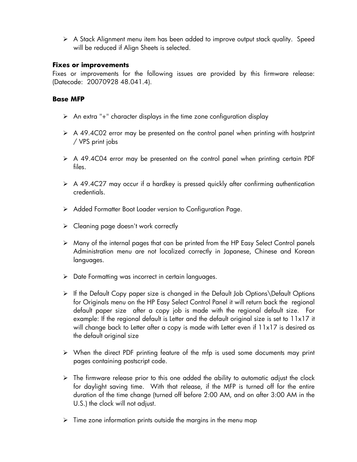$\triangleright$  A Stack Alignment menu item has been added to improve output stack quality. Speed will be reduced if Align Sheets is selected.

#### **Fixes or improvements**

Fixes or improvements for the following issues are provided by this firmware release: (Datecode: 20070928 48.041.4).

#### **Base MFP**

- $\triangleright$  An extra "+" character displays in the time zone configuration display
- A 49.4C02 error may be presented on the control panel when printing with hostprint / VPS print jobs
- A 49.4C04 error may be presented on the control panel when printing certain PDF files.
- A 49.4C27 may occur if a hardkey is pressed quickly after confirming authentication credentials.
- > Added Formatter Boot Loader version to Configuration Page.
- $\triangleright$  Cleaning page doesn't work correctly
- Many of the internal pages that can be printed from the HP Easy Select Control panels Administration menu are not localized correctly in Japanese, Chinese and Korean languages.
- $\triangleright$  Date Formatting was incorrect in certain languages.
- $\triangleright$  If the Default Copy paper size is changed in the Default Job Options \Default Options for Originals menu on the HP Easy Select Control Panel it will return back the regional default paper size after a copy job is made with the regional default size. For example: If the regional default is Letter and the default original size is set to 11x17 it will change back to Letter after a copy is made with Letter even if  $11x17$  is desired as the default original size
- When the direct PDF printing feature of the mfp is used some documents may print pages containing postscript code.
- $\triangleright$  The firmware release prior to this one added the ability to automatic adjust the clock for daylight saving time. With that release, if the MFP is turned off for the entire duration of the time change (turned off before 2:00 AM, and on after 3:00 AM in the U.S.) the clock will not adjust.
- $\triangleright$  Time zone information prints outside the margins in the menu map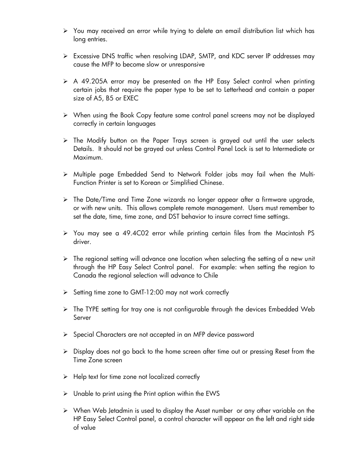- You may received an error while trying to delete an email distribution list which has long entries.
- Excessive DNS traffic when resolving LDAP, SMTP, and KDC server IP addresses may cause the MFP to become slow or unresponsive
- $\triangleright$  A 49.205A error may be presented on the HP Easy Select control when printing certain jobs that require the paper type to be set to Letterhead and contain a paper size of A5, B5 or EXEC
- When using the Book Copy feature some control panel screens may not be displayed correctly in certain languages
- $\triangleright$  The Modify button on the Paper Trays screen is grayed out until the user selects Details. It should not be grayed out unless Control Panel Lock is set to Intermediate or Maximum.
- Multiple page Embedded Send to Network Folder jobs may fail when the Multi-Function Printer is set to Korean or Simplified Chinese.
- The Date/Time and Time Zone wizards no longer appear after a firmware upgrade, or with new units. This allows complete remote management. Users must remember to set the date, time, time zone, and DST behavior to insure correct time settings.
- You may see a 49.4C02 error while printing certain files from the Macintosh PS driver.
- $\triangleright$  The regional setting will advance one location when selecting the setting of a new unit through the HP Easy Select Control panel. For example: when setting the region to Canada the regional selection will advance to Chile
- $\triangleright$  Setting time zone to GMT-12:00 may not work correctly
- $\triangleright$  The TYPE setting for tray one is not configurable through the devices Embedded Web Server
- $\triangleright$  Special Characters are not accepted in an MFP device password
- $\triangleright$  Display does not go back to the home screen after time out or pressing Reset from the Time Zone screen
- $\triangleright$  Help text for time zone not localized correctly
- $\triangleright$  Unable to print using the Print option within the EWS
- When Web Jetadmin is used to display the Asset number or any other variable on the HP Easy Select Control panel, a control character will appear on the left and right side of value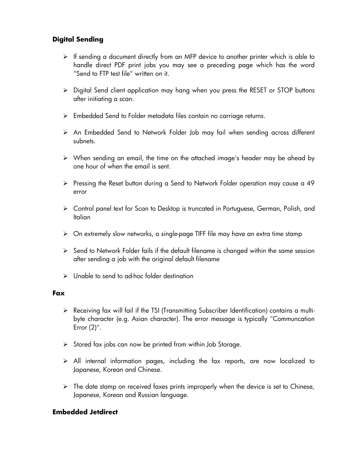## **Digital Sending**

- $\triangleright$  If sending a document directly from an MFP device to another printer which is able to handle direct PDF print jobs you may see a preceding page which has the word "Send to FTP test file" written on it.
- Digital Send client application may hang when you press the RESET or STOP buttons after initiating a scan.
- $\triangleright$  Embedded Send to Folder metadata files contain no carriage returns.
- An Embedded Send to Network Folder Job may fail when sending across different subnets.
- $\triangleright$  When sending an email, the time on the attached image's header may be ahead by one hour of when the email is sent.
- Pressing the Reset button during a Send to Network Folder operation may cause a 49 error
- Control panel text for Scan to Desktop is truncated in Portuguese, German, Polish, and Italian
- On extremely slow networks, a single-page TIFF file may have an extra time stamp
- $\triangleright$  Send to Network Folder fails if the default filename is changed within the same session after sending a job with the original default filename
- $\triangleright$  Unable to send to ad-hoc folder destination

## **Fax**

- $\triangleright$  Receiving fax will fail if the TSI (Transmitting Subscriber Identification) contains a multibyte character (e.g. Asian character). The error message is typically "Communcation Error (2)".
- $\triangleright$  Stored fax jobs can now be printed from within Job Storage.
- All internal information pages, including the fax reports, are now localized to Japanese, Korean and Chinese.
- $\triangleright$  The date stamp on received faxes prints improperly when the device is set to Chinese, Japanese, Korean and Russian language.

# **Embedded Jetdirect**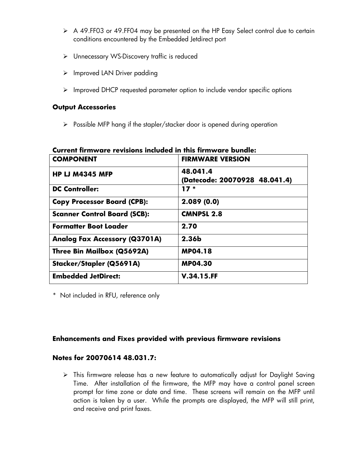- A 49. FF03 or 49. FF04 may be presented on the HP Easy Select control due to certain conditions encountered by the Embedded Jetdirect port
- Unnecessary WS-Discovery traffic is reduced
- > Improved LAN Driver padding
- $\triangleright$  Improved DHCP requested parameter option to include vendor specific options

## **Output Accessories**

 $\triangleright$  Possible MFP hang if the stapler/stacker door is opened during operation

| <b>COMPONENT</b>                     | <b>FIRMWARE VERSION</b>                   |
|--------------------------------------|-------------------------------------------|
| <b>HP LJ M4345 MFP</b>               | 48.041.4<br>(Datecode: 20070928 48.041.4) |
| <b>DC Controller:</b>                | $17*$                                     |
| <b>Copy Processor Board (CPB):</b>   | 2.089(0.0)                                |
| <b>Scanner Control Board (SCB):</b>  | <b>CMNPSL 2.8</b>                         |
| <b>Formatter Boot Loader</b>         | 2.70                                      |
| <b>Analog Fax Accessory (Q3701A)</b> | 2.36b                                     |
| Three Bin Mailbox (Q5692A)           | <b>MP04.18</b>                            |
| Stacker/Stapler (Q5691A)             | <b>MP04.30</b>                            |
| <b>Embedded JetDirect:</b>           | <b>V.34.15.FF</b>                         |

## **Current firmware revisions included in this firmware bundle:**

\* Not included in RFU, reference only

## **Enhancements and Fixes provided with previous firmware revisions**

# **Notes for 20070614 48.031.7:**

 This firmware release has a new feature to automatically adjust for Daylight Saving Time. After installation of the firmware, the MFP may have a control panel screen prompt for time zone or date and time. These screens will remain on the MFP until action is taken by a user. While the prompts are displayed, the MFP will still print, and receive and print faxes.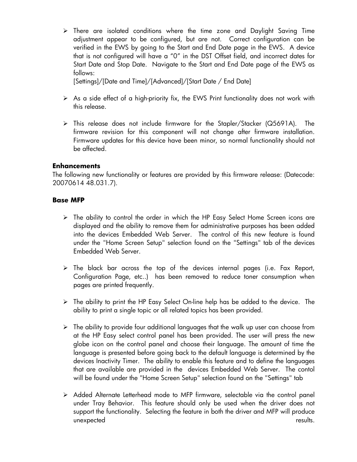There are isolated conditions where the time zone and Daylight Saving Time adjustment appear to be configured, but are not. Correct configuration can be verified in the EWS by going to the Start and End Date page in the EWS. A device that is not configured will have a "0" in the DST Offset field, and incorrect dates for Start Date and Stop Date. Navigate to the Start and End Date page of the EWS as follows:

[Settings]/[Date and Time]/[Advanced]/[Start Date / End Date]

- $\triangleright$  As a side effect of a high-priority fix, the EWS Print functionality does not work with this release.
- $\triangleright$  This release does not include firmware for the Stapler/Stacker (Q5691A). The firmware revision for this component will not change after firmware installation. Firmware updates for this device have been minor, so normal functionality should not be affected.

### **Enhancements**

The following new functionality or features are provided by this firmware release: (Datecode: 20070614 48.031.7).

### **Base MFP**

- $\triangleright$  The ability to control the order in which the HP Easy Select Home Screen icons are displayed and the ability to remove them for administrative purposes has been added into the devices Embedded Web Server. The control of this new feature is found under the "Home Screen Setup" selection found on the "Settings" tab of the devices Embedded Web Server.
- $\triangleright$  The black bar across the top of the devices internal pages (i.e. Fax Report, Configuration Page, etc..) has been removed to reduce toner consumption when pages are printed frequently.
- $\triangleright$  The ability to print the HP Easy Select On-line help has be added to the device. The ability to print a single topic or all related topics has been provided.
- $\triangleright$  The ability to provide four additional languages that the walk up user can choose from at the HP Easy select control panel has been provided. The user will press the new globe icon on the control panel and choose their language. The amount of time the language is presented before going back to the default language is determined by the devices Inactivity Timer. The ability to enable this feature and to define the languages that are available are provided in the devices Embedded Web Server. The contol will be found under the "Home Screen Setup" selection found on the "Settings" tab
- > Added Alternate Letterhead mode to MFP firmware, selectable via the control panel under Tray Behavior. This feature should only be used when the driver does not support the functionality. Selecting the feature in both the driver and MFP will produce unexpected results.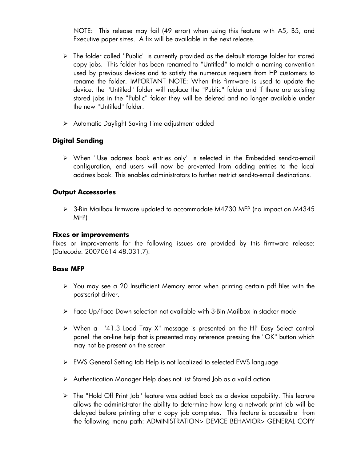NOTE: This release may fail (49 error) when using this feature with A5, B5, and Executive paper sizes. A fix will be available in the next release.

- The folder called "Public" is currently provided as the default storage folder for stored copy jobs. This folder has been renamed to "Untitled" to match a naming convention used by previous devices and to satisfy the numerous requests from HP customers to rename the folder. IMPORTANT NOTE: When this firmware is used to update the device, the "Untitled" folder will replace the "Public" folder and if there are existing stored jobs in the "Public" folder they will be deleted and no longer available under the new "Untitled" folder.
- Automatic Daylight Saving Time adjustment added

# **Digital Sending**

 When "Use address book entries only" is selected in the Embedded send-to-email configuration, end users will now be prevented from adding entries to the local address book. This enables administrators to further restrict send-to-email destinations.

# **Output Accessories**

 3-Bin Mailbox firmware updated to accommodate M4730 MFP (no impact on M4345 MFP)

### **Fixes or improvements**

Fixes or improvements for the following issues are provided by this firmware release: (Datecode: 20070614 48.031.7).

## **Base MFP**

- You may see a 20 Insufficient Memory error when printing certain pdf files with the postscript driver.
- Face Up/Face Down selection not available with 3-Bin Mailbox in stacker mode
- When a "41.3 Load Tray X" message is presented on the HP Easy Select control panel the on-line help that is presented may reference pressing the "OK" button which may not be present on the screen
- EWS General Setting tab Help is not localized to selected EWS language
- Authentication Manager Help does not list Stored Job as a vaild action
- The "Hold Off Print Job" feature was added back as a device capability. This feature allows the administrator the ability to determine how long a network print job will be delayed before printing after a copy job completes. This feature is accessible from the following menu path: ADMINISTRATION> DEVICE BEHAVIOR> GENERAL COPY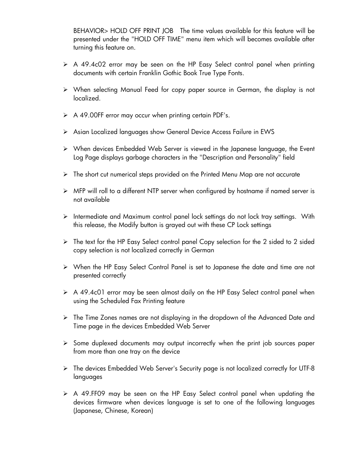BEHAVIOR> HOLD OFF PRINT JOB The time values available for this feature will be presented under the "HOLD OFF TIME" menu item which will becomes available after turning this feature on.

- A 49.4c02 error may be seen on the HP Easy Select control panel when printing documents with certain Franklin Gothic Book True Type Fonts.
- When selecting Manual Feed for copy paper source in German, the display is not localized.
- $\triangleright$  A 49.00FF error may occur when printing certain PDF's.
- Asian Localized languages show General Device Access Failure in EWS
- When devices Embedded Web Server is viewed in the Japanese language, the Event Log Page displays garbage characters in the "Description and Personality" field
- $\triangleright$  The short cut numerical steps provided on the Printed Menu Map are not accurate
- $\triangleright$  MFP will roll to a different NTP server when configured by hostname if named server is not available
- $\triangleright$  Intermediate and Maximum control panel lock settings do not lock tray settings. With this release, the Modify button is grayed out with these CP Lock settings
- $\triangleright$  The text for the HP Easy Select control panel Copy selection for the 2 sided to 2 sided copy selection is not localized correctly in German
- When the HP Easy Select Control Panel is set to Japanese the date and time are not presented correctly
- A 49.4c01 error may be seen almost daily on the HP Easy Select control panel when using the Scheduled Fax Printing feature
- The Time Zones names are not displaying in the dropdown of the Advanced Date and Time page in the devices Embedded Web Server
- $\triangleright$  Some duplexed documents may output incorrectly when the print job sources paper from more than one tray on the device
- The devices Embedded Web Server's Security page is not localized correctly for UTF-8 languages
- A 49.FF09 may be seen on the HP Easy Select control panel when updating the devices firmware when devices language is set to one of the following languages (Japanese, Chinese, Korean)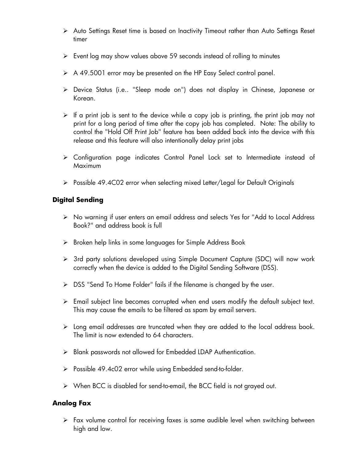- Auto Settings Reset time is based on Inactivity Timeout rather than Auto Settings Reset timer
- $\triangleright$  Event log may show values above 59 seconds instead of rolling to minutes
- $\triangleright$  A 49.5001 error may be presented on the HP Easy Select control panel.
- Device Status (i.e.. "Sleep mode on") does not display in Chinese, Japanese or Korean.
- $\triangleright$  If a print job is sent to the device while a copy job is printing, the print job may not print for a long period of time after the copy job has completed. Note: The ability to control the "Hold Off Print Job" feature has been added back into the device with this release and this feature will also intentionally delay print jobs
- Configuration page indicates Control Panel Lock set to Intermediate instead of Maximum
- Possible 49.4C02 error when selecting mixed Letter/Legal for Default Originals

#### **Digital Sending**

- No warning if user enters an email address and selects Yes for "Add to Local Address Book?" and address book is full
- $\triangleright$  Broken help links in some languages for Simple Address Book
- 3rd party solutions developed using Simple Document Capture (SDC) will now work correctly when the device is added to the Digital Sending Software (DSS).
- DSS "Send To Home Folder" fails if the filename is changed by the user.
- $\triangleright$  Email subject line becomes corrupted when end users modify the default subject text. This may cause the emails to be filtered as spam by email servers.
- $\triangleright$  Long email addresses are truncated when they are added to the local address book. The limit is now extended to 64 characters.
- $\triangleright$  Blank passwords not allowed for Embedded LDAP Authentication.
- Possible 49.4c02 error while using Embedded send-to-folder.
- When BCC is disabled for send-to-email, the BCC field is not grayed out.

## **Analog Fax**

 Fax volume control for receiving faxes is same audible level when switching between high and low.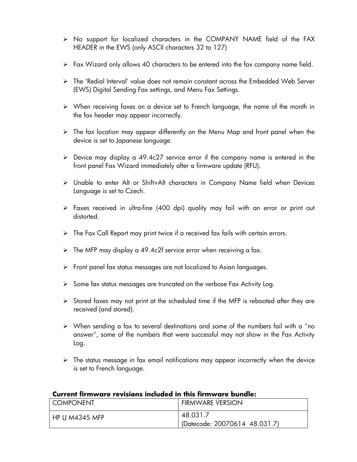- No support for localized characters in the COMPANY NAME field of the FAX HEADER in the EWS (only ASCII characters 32 to 127)
- $\triangleright$  Fax Wizard only allows 40 characters to be entered into the fax company name field.
- The 'Redial Interval' value does not remain constant across the Embedded Web Server (EWS) Digital Sending Fax settings, and Menu Fax Settings.
- When receiving faxes on a device set to French language, the name of the month in the fax header may appear incorrectly.
- $\triangleright$  The fax location may appear differently on the Menu Map and front panel when the device is set to Japanese language.
- Device may display a 49.4c27 service error if the company name is entered in the front panel Fax Wizard immediately after a firmware update (RFU).
- Unable to enter Alt or Shift+Alt characters in Company Name field when Devices Language is set to Czech.
- $\triangleright$  Faxes received in ultra-fine (400 dpi) quality may fail with an error or print out distorted.
- $\triangleright$  The Fax Call Report may print twice if a received fax fails with certain errors.
- $\triangleright$  The MFP may display a 49.4c2f service error when receiving a fax.
- $\triangleright$  Front panel fax status messages are not localized to Asian languages.
- $\triangleright$  Some fax status messages are truncated on the verbose Fax Activity Log.
- $\triangleright$  Stored faxes may not print at the scheduled time if the MFP is rebooted after they are received (and stored).
- $\triangleright$  When sending a fax to several destinations and some of the numbers fail with a "no answer", some of the numbers that were successful may not show in the Fax Activity Log.
- $\triangleright$  The status message in fax email notifications may appear incorrectly when the device is set to French language.

#### **Current firmware revisions included in this firmware bundle:**

| I COMPONENT     | <b>FIRMWARE VERSION</b>                  |
|-----------------|------------------------------------------|
| HP LJ M4345 MFP | 48.031.7<br>Datecode: 20070614 48.031.7) |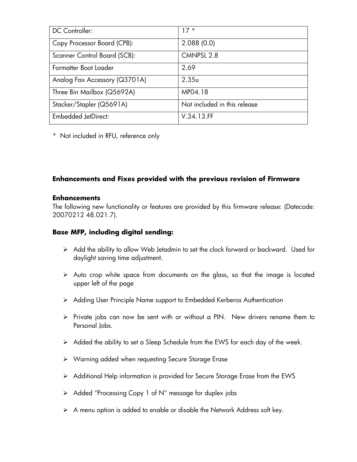| DC Controller:                | $17*$                        |  |  |
|-------------------------------|------------------------------|--|--|
| Copy Processor Board (CPB):   | 2.088(0.0)                   |  |  |
| Scanner Control Board (SCB):  | <b>CMNPSL 2.8</b>            |  |  |
| Formatter Boot Loader         | 2.69                         |  |  |
| Analog Fax Accessory (Q3701A) | 2.35 <sub>u</sub>            |  |  |
| Three Bin Mailbox (Q5692A)    | MP04.18                      |  |  |
| Stacker/Stapler (Q5691A)      | Not included in this release |  |  |
| <b>Embedded JetDirect:</b>    | V.34.13.FF                   |  |  |

\* Not included in RFU, reference only

# **Enhancements and Fixes provided with the previous revision of Firmware**

#### **Enhancements**

The following new functionality or features are provided by this firmware release: (Datecode: 20070212 48.021.7).

#### **Base MFP, including digital sending:**

- Add the ability to allow Web Jetadmin to set the clock forward or backward. Used for daylight saving time adjustment.
- $\triangleright$  Auto crop white space from documents on the glass, so that the image is located upper left of the page
- Adding User Principle Name support to Embedded Kerberos Authentication
- $\triangleright$  Private jobs can now be sent with or without a PIN. New drivers rename them to Personal Jobs.
- $\triangleright$  Added the ability to set a Sleep Schedule from the EWS for each day of the week.
- Warning added when requesting Secure Storage Erase
- Additional Help information is provided for Secure Storage Erase from the EWS
- > Added "Processing Copy 1 of N" message for duplex jobs
- $\triangleright$  A menu option is added to enable or disable the Network Address soft key.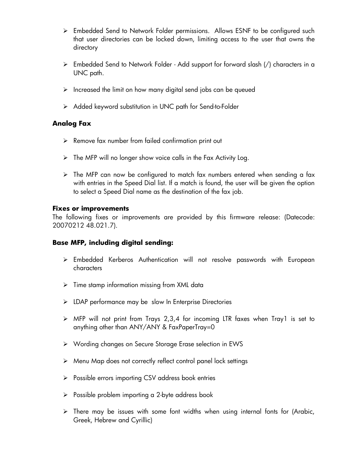- Embedded Send to Network Folder permissions. Allows ESNF to be configured such that user directories can be locked down, limiting access to the user that owns the directory
- Embedded Send to Network Folder Add support for forward slash (/) characters in a UNC path.
- $\triangleright$  Increased the limit on how many digital send jobs can be queued
- Added keyword substitution in UNC path for Send-to-Folder

#### **Analog Fax**

- $\triangleright$  Remove fax number from failed confirmation print out
- $\triangleright$  The MFP will no longer show voice calls in the Fax Activity Log.
- $\triangleright$  The MFP can now be configured to match fax numbers entered when sending a fax with entries in the Speed Dial list. If a match is found, the user will be given the option to select a Speed Dial name as the destination of the fax job.

#### **Fixes or improvements**

The following fixes or improvements are provided by this firmware release: (Datecode: 20070212 48.021.7).

#### **Base MFP, including digital sending:**

- Embedded Kerberos Authentication will not resolve passwords with European characters
- $\triangleright$  Time stamp information missing from XML data
- > LDAP performance may be slow In Enterprise Directories
- $\triangleright$  MFP will not print from Trays 2,3,4 for incoming LTR faxes when Tray1 is set to anything other than ANY/ANY & FaxPaperTray=0
- Wording changes on Secure Storage Erase selection in EWS
- $\triangleright$  Menu Map does not correctly reflect control panel lock settings
- Possible errors importing CSV address book entries
- $\triangleright$  Possible problem importing a 2-byte address book
- $\triangleright$  There may be issues with some font widths when using internal fonts for (Arabic, Greek, Hebrew and Cyrillic)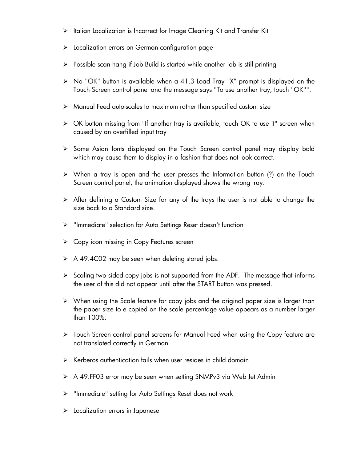- $\triangleright$  Italian Localization is Incorrect for Image Cleaning Kit and Transfer Kit
- > Localization errors on German configuration page
- $\triangleright$  Possible scan hang if Job Build is started while another job is still printing
- No "OK" button is available when a 41.3 Load Tray "X" prompt is displayed on the Touch Screen control panel and the message says "To use another tray, touch "OK"".
- $\triangleright$  Manual Feed auto-scales to maximum rather than specified custom size
- OK button missing from "If another tray is available, touch OK to use it" screen when caused by an overfilled input tray
- $\triangleright$  Some Asian fonts displayed on the Touch Screen control panel may display bold which may cause them to display in a fashion that does not look correct.
- $\triangleright$  When a tray is open and the user presses the Information button (?) on the Touch Screen control panel, the animation displayed shows the wrong tray.
- $\triangleright$  After defining a Custom Size for any of the trays the user is not able to change the size back to a Standard size.
- "Immediate" selection for Auto Settings Reset doesn't function
- ▶ Copy icon missing in Copy Features screen
- $\triangleright$  A 49.4C02 may be seen when deleting stored jobs.
- $\triangleright$  Scaling two sided copy jobs is not supported from the ADF. The message that informs the user of this did not appear until after the START button was pressed.
- When using the Scale feature for copy jobs and the original paper size is larger than the paper size to e copied on the scale percentage value appears as a number larger than 100%.
- Touch Screen control panel screens for Manual Feed when using the Copy feature are not translated correctly in German
- $\triangleright$  Kerberos authentication fails when user resides in child domain
- A 49.FF03 error may be seen when setting SNMPv3 via Web Jet Admin
- > "Immediate" setting for Auto Settings Reset does not work
- > Localization errors in Japanese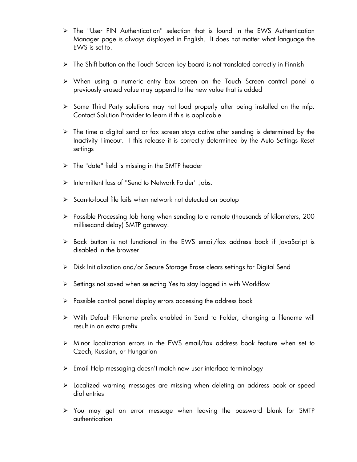- $\triangleright$  The "User PIN Authentication" selection that is found in the EWS Authentication Manager page is always displayed in English. It does not matter what language the EWS is set to.
- $\triangleright$  The Shift button on the Touch Screen key board is not translated correctly in Finnish
- When using a numeric entry box screen on the Touch Screen control panel a previously erased value may append to the new value that is added
- $\triangleright$  Some Third Party solutions may not load properly after being installed on the mfp. Contact Solution Provider to learn if this is applicable
- $\triangleright$  The time a digital send or fax screen stays active after sending is determined by the Inactivity Timeout. I this release it is correctly determined by the Auto Settings Reset settings
- $\triangleright$  The "date" field is missing in the SMTP header
- > Intermittent loss of "Send to Network Folder" Jobs.
- $\triangleright$  Scan-to-local file fails when network not detected on bootup
- Possible Processing Job hang when sending to a remote (thousands of kilometers, 200 millisecond delay) SMTP gateway.
- Back button is not functional in the EWS email/fax address book if JavaScript is disabled in the browser
- Disk Initialization and/or Secure Storage Erase clears settings for Digital Send
- $\triangleright$  Settings not saved when selecting Yes to stay logged in with Workflow
- $\triangleright$  Possible control panel display errors accessing the address book
- With Default Filename prefix enabled in Send to Folder, changing a filename will result in an extra prefix
- $\triangleright$  Minor localization errors in the EWS email/fax address book feature when set to Czech, Russian, or Hungarian
- Email Help messaging doesn't match new user interface terminology
- Localized warning messages are missing when deleting an address book or speed dial entries
- You may get an error message when leaving the password blank for SMTP authentication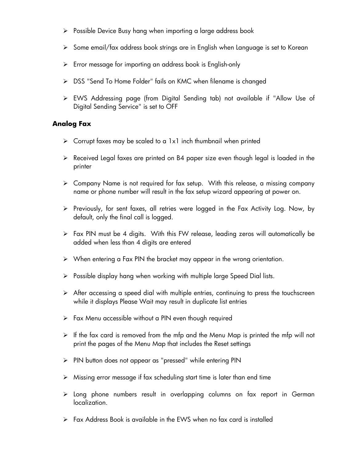- $\triangleright$  Possible Device Busy hang when importing a large address book
- $\triangleright$  Some email/fax address book strings are in English when Language is set to Korean
- $\triangleright$  Error message for importing an address book is English-only
- DSS "Send To Home Folder" fails on KMC when filename is changed
- EWS Addressing page (from Digital Sending tab) not available if "Allow Use of Digital Sending Service" is set to OFF

## **Analog Fax**

- $\triangleright$  Corrupt faxes may be scaled to a 1x1 inch thumbnail when printed
- Received Legal faxes are printed on B4 paper size even though legal is loaded in the printer
- Company Name is not required for fax setup. With this release, a missing company name or phone number will result in the fax setup wizard appearing at power on.
- Previously, for sent faxes, all retries were logged in the Fax Activity Log. Now, by default, only the final call is logged.
- Fax PIN must be 4 digits. With this FW release, leading zeros will automatically be added when less than 4 digits are entered
- $\triangleright$  When entering a Fax PIN the bracket may appear in the wrong orientation.
- $\triangleright$  Possible display hang when working with multiple large Speed Dial lists.
- $\triangleright$  After accessing a speed dial with multiple entries, continuing to press the touchscreen while it displays Please Wait may result in duplicate list entries
- $\triangleright$  Fax Menu accessible without a PIN even though required
- $\triangleright$  If the fax card is removed from the mfp and the Menu Map is printed the mfp will not print the pages of the Menu Map that includes the Reset settings
- > PIN button does not appear as "pressed" while entering PIN
- $\triangleright$  Missing error message if fax scheduling start time is later than end time
- $\triangleright$  Long phone numbers result in overlapping columns on fax report in German localization.
- $\triangleright$  Fax Address Book is available in the EWS when no fax card is installed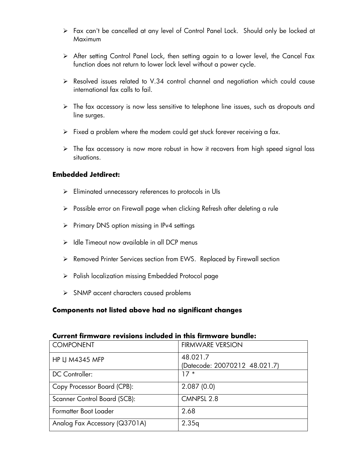- Fax can't be cancelled at any level of Control Panel Lock. Should only be locked at Maximum
- After setting Control Panel Lock, then setting again to a lower level, the Cancel Fax function does not return to lower lock level without a power cycle.
- Resolved issues related to V.34 control channel and negotiation which could cause international fax calls to fail.
- $\triangleright$  The fax accessory is now less sensitive to telephone line issues, such as dropouts and line surges.
- $\triangleright$  Fixed a problem where the modem could get stuck forever receiving a fax.
- $\triangleright$  The fax accessory is now more robust in how it recovers from high speed signal loss situations.

#### **Embedded Jetdirect:**

- Eliminated unnecessary references to protocols in UIs
- Possible error on Firewall page when clicking Refresh after deleting a rule
- $\triangleright$  Primary DNS option missing in IPv4 settings
- $\triangleright$  Idle Timeout now available in all DCP menus
- Removed Printer Services section from EWS. Replaced by Firewall section
- > Polish localization missing Embedded Protocol page
- > SNMP accent characters caused problems

#### **Components not listed above had no significant changes**

| Current firmware revisions included in this firmware bundle: |                                           |  |
|--------------------------------------------------------------|-------------------------------------------|--|
| <b>COMPONENT</b>                                             | <b>FIRMWARE VERSION</b>                   |  |
| <b>HP LJ M4345 MFP</b>                                       | 48.021.7<br>(Datecode: 20070212 48.021.7) |  |
| <b>DC</b> Controller:                                        | $17*$                                     |  |
| Copy Processor Board (CPB):                                  | 2.087(0.0)                                |  |
| Scanner Control Board (SCB):                                 | <b>CMNPSL 2.8</b>                         |  |
| Formatter Boot Loader                                        | 2.68                                      |  |
| Analog Fax Accessory (Q3701A)                                | 2.35q                                     |  |
|                                                              |                                           |  |

## **Current firmware revisions included in this firmware bundle:**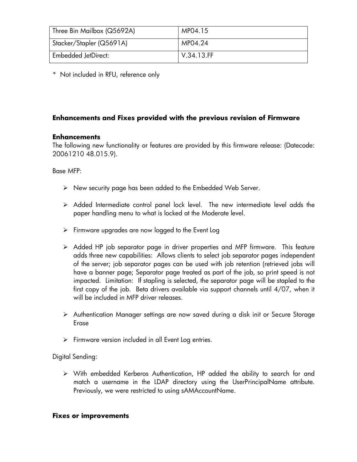| Three Bin Mailbox (Q5692A) | MP04.15    |
|----------------------------|------------|
| Stacker/Stapler (Q5691A)   | MP04.24    |
| <b>Embedded JetDirect:</b> | V.34.13.FF |

\* Not included in RFU, reference only

#### **Enhancements and Fixes provided with the previous revision of Firmware**

#### **Enhancements**

The following new functionality or features are provided by this firmware release: (Datecode: 20061210 48.015.9).

Base MFP:

- $\triangleright$  New security page has been added to the Embedded Web Server.
- Added Intermediate control panel lock level. The new intermediate level adds the paper handling menu to what is locked at the Moderate level.
- $\triangleright$  Firmware upgrades are now logged to the Event Log
- Added HP job separator page in driver properties and MFP firmware. This feature adds three new capabilities: Allows clients to select job separator pages independent of the server; job separator pages can be used with job retention (retrieved jobs will have a banner page; Separator page treated as part of the job, so print speed is not impacted. Limitation: If stapling is selected, the separator page will be stapled to the first copy of the job. Beta drivers available via support channels until 4/07, when it will be included in MFP driver releases.
- Authentication Manager settings are now saved during a disk init or Secure Storage Erase
- $\triangleright$  Firmware version included in all Event Log entries.

Digital Sending:

 With embedded Kerberos Authentication, HP added the ability to search for and match a username in the LDAP directory using the UserPrincipalName attribute. Previously, we were restricted to using sAMAccountName.

#### **Fixes or improvements**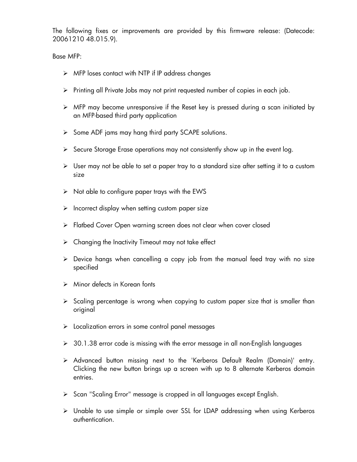The following fixes or improvements are provided by this firmware release: (Datecode: 20061210 48.015.9).

Base MFP:

- $\triangleright$  MFP loses contact with NTP if IP address changes
- $\triangleright$  Printing all Private Jobs may not print requested number of copies in each job.
- MFP may become unresponsive if the Reset key is pressed during a scan initiated by an MFP-based third party application
- $\triangleright$  Some ADF jams may hang third party SCAPE solutions.
- $\triangleright$  Secure Storage Erase operations may not consistently show up in the event log.
- $\triangleright$  User may not be able to set a paper tray to a standard size after setting it to a custom size
- $\triangleright$  Not able to configure paper trays with the EWS
- $\triangleright$  Incorrect display when setting custom paper size
- > Flatbed Cover Open warning screen does not clear when cover closed
- $\triangleright$  Changing the Inactivity Timeout may not take effect
- $\triangleright$  Device hangs when cancelling a copy job from the manual feed tray with no size specified
- $\triangleright$  Minor defects in Korean fonts
- $\triangleright$  Scaling percentage is wrong when copying to custom paper size that is smaller than original
- > Localization errors in some control panel messages
- > 30.1.38 error code is missing with the error message in all non-English languages
- Advanced button missing next to the 'Kerberos Default Realm (Domain)' entry. Clicking the new button brings up a screen with up to 8 alternate Kerberos domain entries.
- $\triangleright$  Scan "Scaling Error" message is cropped in all languages except English.
- Unable to use simple or simple over SSL for LDAP addressing when using Kerberos authentication.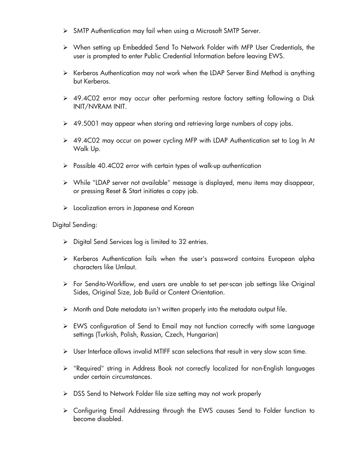- SMTP Authentication may fail when using a Microsoft SMTP Server.
- When setting up Embedded Send To Network Folder with MFP User Credentials, the user is prompted to enter Public Credential Information before leaving EWS.
- $\triangleright$  Kerberos Authentication may not work when the LDAP Server Bind Method is anything but Kerberos.
- 49.4C02 error may occur after performing restore factory setting following a Disk INIT/NVRAM INIT.
- 49.5001 may appear when storing and retrieving large numbers of copy jobs.
- ▶ 49.4C02 may occur on power cycling MFP with LDAP Authentication set to Log In At Walk Up.
- $\triangleright$  Possible 40.4C02 error with certain types of walk-up authentication
- While "LDAP server not available" message is displayed, menu items may disappear, or pressing Reset & Start initiates a copy job.
- Localization errors in Japanese and Korean

#### Digital Sending:

- $\triangleright$  Digital Send Services log is limited to 32 entries.
- $\triangleright$  Kerberos Authentication fails when the user's password contains European alpha characters like Umlaut.
- For Send-to-Workflow, end users are unable to set per-scan job settings like Original Sides, Original Size, Job Build or Content Orientation.
- $\triangleright$  Month and Date metadata isn't written properly into the metadata output file.
- EWS configuration of Send to Email may not function correctly with some Language settings (Turkish, Polish, Russian, Czech, Hungarian)
- $\triangleright$  User Interface allows invalid MTIFF scan selections that result in very slow scan time.
- "Required" string in Address Book not correctly localized for non-English languages under certain circumstances.
- ▶ DSS Send to Network Folder file size setting may not work properly
- Configuring Email Addressing through the EWS causes Send to Folder function to become disabled.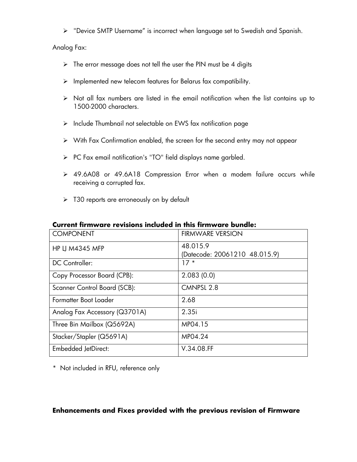"Device SMTP Username" is incorrect when language set to Swedish and Spanish.

Analog Fax:

- $\triangleright$  The error message does not tell the user the PIN must be 4 digits
- $\triangleright$  Implemented new telecom features for Belarus fax compatibility.
- $\triangleright$  Not all fax numbers are listed in the email notification when the list contains up to 1500-2000 characters.
- $\triangleright$  Include Thumbnail not selectable on EWS fax notification page
- $\triangleright$  With Fax Confirmation enabled, the screen for the second entry may not appear
- PC Fax email notification's "TO" field displays name garbled.
- > 49.6A08 or 49.6A18 Compression Error when a modem failure occurs while receiving a corrupted fax.
- > T30 reports are erroneously on by default

| <b>COMPONENT</b>              | <b>FIRMWARE VERSION</b>       |  |
|-------------------------------|-------------------------------|--|
| <b>HP LJ M4345 MFP</b>        | 48.015.9                      |  |
|                               | (Datecode: 20061210 48.015.9) |  |
| DC Controller:                | $17*$                         |  |
| Copy Processor Board (CPB):   | 2.083(0.0)                    |  |
| Scanner Control Board (SCB):  | <b>CMNPSL 2.8</b>             |  |
| Formatter Boot Loader         | 2.68                          |  |
| Analog Fax Accessory (Q3701A) | 2.35i                         |  |
| Three Bin Mailbox (Q5692A)    | MP04.15                       |  |
| Stacker/Stapler (Q5691A)      | MP04.24                       |  |
| <b>Embedded JetDirect:</b>    | V.34.08.FF                    |  |

#### **Current firmware revisions included in this firmware bundle:**

\* Not included in RFU, reference only

#### **Enhancements and Fixes provided with the previous revision of Firmware**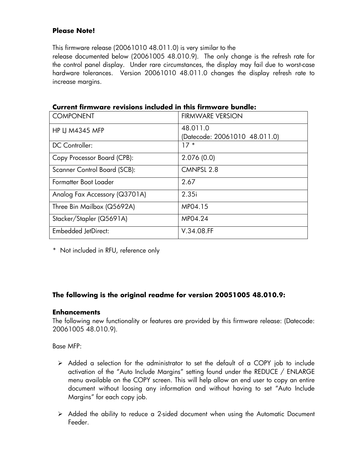### **Please Note!**

This firmware release (20061010 48.011.0) is very similar to the

release documented below (20061005 48.010.9). The only change is the refresh rate for the control panel display. Under rare circumstances, the display may fail due to worst-case hardware tolerances. Version 20061010 48.011.0 changes the display refresh rate to increase margins.

| <b>COMPONENT</b>              | <b>FIRMWARE VERSION</b>       |  |
|-------------------------------|-------------------------------|--|
| <b>HP LJ M4345 MFP</b>        | 48.011.0                      |  |
|                               | (Datecode: 20061010 48.011.0) |  |
| DC Controller:                | $17*$                         |  |
| Copy Processor Board (CPB):   | 2.076(0.0)                    |  |
| Scanner Control Board (SCB):  | <b>CMNPSL 2.8</b>             |  |
| Formatter Boot Loader         | 2.67                          |  |
| Analog Fax Accessory (Q3701A) | 2.35i                         |  |
| Three Bin Mailbox (Q5692A)    | MP04.15                       |  |
| Stacker/Stapler (Q5691A)      | MP04.24                       |  |
| <b>Embedded JetDirect:</b>    | V.34.08.FF                    |  |

| Current firmware revisions included in this firmware bundle: |  |  |  |  |
|--------------------------------------------------------------|--|--|--|--|
|--------------------------------------------------------------|--|--|--|--|

\* Not included in RFU, reference only

## **The following is the original readme for version 20051005 48.010.9:**

#### **Enhancements**

The following new functionality or features are provided by this firmware release: (Datecode: 20061005 48.010.9).

Base MFP:

- Added a selection for the administrator to set the default of a COPY job to include activation of the "Auto Include Margins" setting found under the REDUCE / ENLARGE menu available on the COPY screen. This will help allow an end user to copy an entire document without loosing any information and without having to set "Auto Include Margins" for each copy job.
- Added the ability to reduce a 2-sided document when using the Automatic Document Feeder.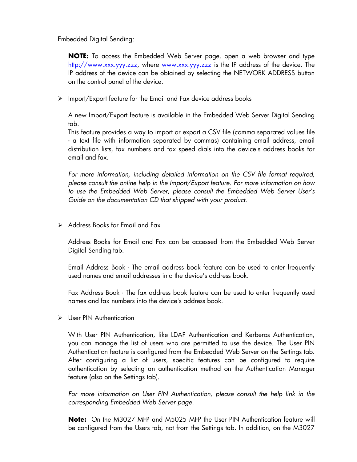Embedded Digital Sending:

**NOTE:** To access the Embedded Web Server page, open a web browser and type [http://www.xxx.yyy.zzz,](http://www.xxx.yyy.zzz/) where [www.xxx.yyy.zzz](../../KMC%20CPE1/www.xxx.yyy.zzz) is the IP address of the device. The IP address of the device can be obtained by selecting the NETWORK ADDRESS button on the control panel of the device.

 $\triangleright$  Import/Export feature for the Email and Fax device address books

A new Import/Export feature is available in the Embedded Web Server Digital Sending tab.

This feature provides a way to import or export a CSV file (comma separated values file - a text file with information separated by commas) containing email address, email distribution lists, fax numbers and fax speed dials into the device's address books for email and fax.

*For more information, including detailed information on the CSV file format required, please consult the online help in the Import/Export feature. For more information on how to use the Embedded Web Server, please consult the Embedded Web Server User's Guide on the documentation CD that shipped with your product.*

 $\triangleright$  Address Books for Email and Fax

Address Books for Email and Fax can be accessed from the Embedded Web Server Digital Sending tab.

Email Address Book - The email address book feature can be used to enter frequently used names and email addresses into the device's address book.

Fax Address Book - The fax address book feature can be used to enter frequently used names and fax numbers into the device's address book.

> User PIN Authentication

With User PIN Authentication, like LDAP Authentication and Kerberos Authentication, you can manage the list of users who are permitted to use the device. The User PIN Authentication feature is configured from the Embedded Web Server on the Settings tab. After configuring a list of users, specific features can be configured to require authentication by selecting an authentication method on the Authentication Manager feature (also on the Settings tab).

For more information on User PIN Authentication, please consult the help link in the *corresponding Embedded Web Server page.* 

**Note:** On the M3027 MFP and M5025 MFP the User PIN Authentication feature will be configured from the Users tab, not from the Settings tab. In addition, on the M3027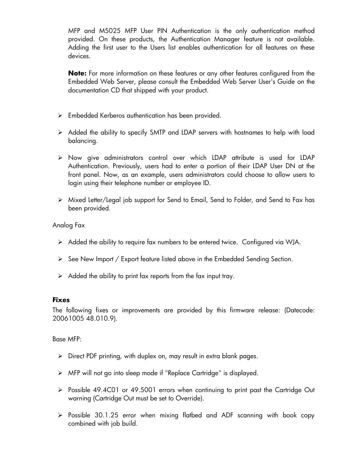MFP and M5025 MFP User PIN Authentication is the only authentication method provided. On these products, the Authentication Manager feature is not available. Adding the first user to the Users list enables authentication for all features on these devices.

**Note:** For more information on these features or any other features configured from the Embedded Web Server, please consult the Embedded Web Server User's Guide on the documentation CD that shipped with your product.

- Embedded Kerberos authentication has been provided.
- Added the ability to specify SMTP and LDAP servers with hostnames to help with load balancing.
- Now give administrators control over which LDAP attribute is used for LDAP Authentication. Previously, users had to enter a portion of their LDAP User DN at the front panel. Now, as an example, users administrators could choose to allow users to login using their telephone number or employee ID.
- Mixed Letter/Legal job support for Send to Email, Send to Folder, and Send to Fax has been provided.

Analog Fax

- $\triangleright$  Added the ability to require fax numbers to be entered twice. Configured via WJA.
- $\triangleright$  See New Import / Export feature listed above in the Embedded Sending Section.
- $\triangleright$  Added the ability to print fax reports from the fax input tray.

#### **Fixes**

The following fixes or improvements are provided by this firmware release: (Datecode: 20061005 48.010.9).

Base MFP:

- $\triangleright$  Direct PDF printing, with duplex on, may result in extra blank pages.
- MFP will not go into sleep mode if "Replace Cartridge" is displayed.
- Possible 49.4C01 or 49.5001 errors when continuing to print past the Cartridge Out warning (Cartridge Out must be set to Override).
- $\triangleright$  Possible 30.1.25 error when mixing flatbed and ADF scanning with book copy combined with job build.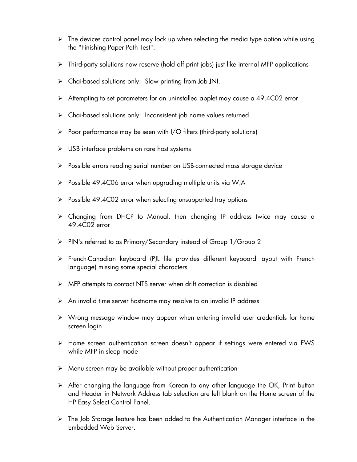- $\triangleright$  The devices control panel may lock up when selecting the media type option while using the "Finishing Paper Path Test".
- Third-party solutions now reserve (hold off print jobs) just like internal MFP applications
- > Chai-based solutions only: Slow printing from Job JNI.
- Attempting to set parameters for an uninstalled applet may cause a 49.4C02 error
- Chai-based solutions only: Inconsistent job name values returned.
- $\triangleright$  Poor performance may be seen with I/O filters (third-party solutions)
- $\triangleright$  USB interface problems on rare host systems
- Possible errors reading serial number on USB-connected mass storage device
- $\triangleright$  Possible 49.4C06 error when upgrading multiple units via WJA
- $\triangleright$  Possible 49.4C02 error when selecting unsupported tray options
- Changing from DHCP to Manual, then changing IP address twice may cause a 49.4C02 error
- PIN's referred to as Primary/Secondary instead of Group 1/Group 2
- French-Canadian keyboard (PJL file provides different keyboard layout with French language) missing some special characters
- $\triangleright$  MFP attempts to contact NTS server when drift correction is disabled
- $\triangleright$  An invalid time server hostname may resolve to an invalid IP address
- Wrong message window may appear when entering invalid user credentials for home screen login
- Home screen authentication screen doesn't appear if settings were entered via EWS while MFP in sleep mode
- $\triangleright$  Menu screen may be available without proper authentication
- After changing the language from Korean to any other language the OK, Print button and Header in Network Address tab selection are left blank on the Home screen of the HP Easy Select Control Panel.
- The Job Storage feature has been added to the Authentication Manager interface in the Embedded Web Server.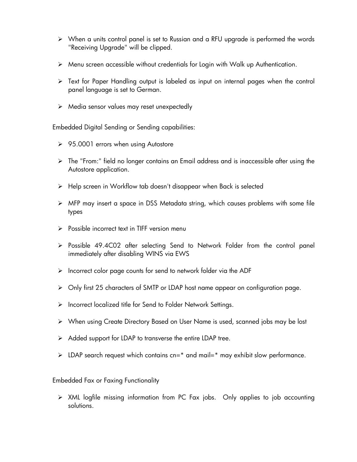- $\triangleright$  When a units control panel is set to Russian and a RFU upgrade is performed the words "Receiving Upgrade" will be clipped.
- Menu screen accessible without credentials for Login with Walk up Authentication.
- Text for Paper Handling output is labeled as input on internal pages when the control panel language is set to German.
- Media sensor values may reset unexpectedly

Embedded Digital Sending or Sending capabilities:

- ▶ 95.0001 errors when using Autostore
- The "From:" field no longer contains an Email address and is inaccessible after using the Autostore application.
- $\triangleright$  Help screen in Workflow tab doesn't disappear when Back is selected
- MFP may insert a space in DSS Metadata string, which causes problems with some file types
- $\triangleright$  Possible incorrect text in TIFF version menu
- Possible 49.4C02 after selecting Send to Network Folder from the control panel immediately after disabling WINS via EWS
- $\triangleright$  Incorrect color page counts for send to network folder via the ADF
- Only first 25 characters of SMTP or LDAP host name appear on configuration page.
- $\triangleright$  Incorrect localized title for Send to Folder Network Settings.
- When using Create Directory Based on User Name is used, scanned jobs may be lost
- $\triangleright$  Added support for LDAP to transverse the entire LDAP tree.
- $\triangleright$  LDAP search request which contains cn=\* and mail=\* may exhibit slow performance.

Embedded Fax or Faxing Functionality

 XML logfile missing information from PC Fax jobs. Only applies to job accounting solutions.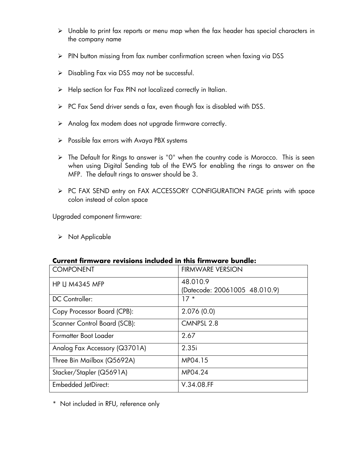- $\triangleright$  Unable to print fax reports or menu map when the fax header has special characters in the company name
- $\triangleright$  PIN button missing from fax number confirmation screen when faxing via DSS
- $\triangleright$  Disabling Fax via DSS may not be successful.
- $\triangleright$  Help section for Fax PIN not localized correctly in Italian.
- $\triangleright$  PC Fax Send driver sends a fax, even though fax is disabled with DSS.
- $\triangleright$  Analog fax modem does not upgrade firmware correctly.
- $\triangleright$  Possible fax errors with Avaya PBX systems
- The Default for Rings to answer is "0" when the country code is Morocco. This is seen when using Digital Sending tab of the EWS for enabling the rings to answer on the MFP. The default rings to answer should be 3.
- > PC FAX SEND entry on FAX ACCESSORY CONFIGURATION PAGE prints with space colon instead of colon space

Upgraded component firmware:

 $\triangleright$  Not Applicable

#### **Current firmware revisions included in this firmware bundle:**

| <b>COMPONENT</b>              | <b>FIRMWARE VERSION</b>                   |
|-------------------------------|-------------------------------------------|
| <b>HP LJ M4345 MFP</b>        | 48.010.9<br>(Datecode: 20061005 48.010.9) |
| DC Controller:                | $17*$                                     |
| Copy Processor Board (CPB):   | 2.076(0.0)                                |
| Scanner Control Board (SCB):  | <b>CMNPSL 2.8</b>                         |
| Formatter Boot Loader         | 2.67                                      |
| Analog Fax Accessory (Q3701A) | 2.35i                                     |
| Three Bin Mailbox (Q5692A)    | MP04.15                                   |
| Stacker/Stapler (Q5691A)      | MP04.24                                   |
| <b>Embedded JetDirect:</b>    | V.34.08.FF                                |

\* Not included in RFU, reference only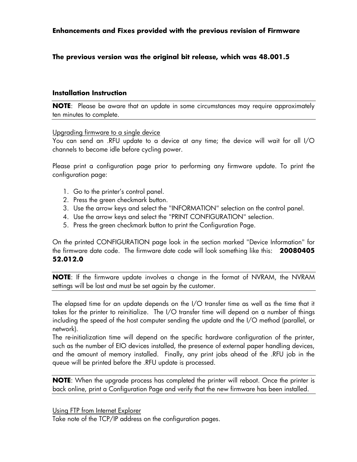#### **Enhancements and Fixes provided with the previous revision of Firmware**

#### **The previous version was the original bit release, which was 48.001.5**

#### **Installation Instruction**

**NOTE**: Please be aware that an update in some circumstances may require approximately ten minutes to complete.

#### Upgrading firmware to a single device

You can send an .RFU update to a device at any time; the device will wait for all I/O channels to become idle before cycling power.

Please print a configuration page prior to performing any firmware update. To print the configuration page:

- 1. Go to the printer's control panel.
- 2. Press the green checkmark button.
- 3. Use the arrow keys and select the "INFORMATION" selection on the control panel.
- 4. Use the arrow keys and select the "PRINT CONFIGURATION" selection.
- 5. Press the green checkmark button to print the Configuration Page.

On the printed CONFIGURATION page look in the section marked "Device Information" for the firmware date code. The firmware date code will look something like this: **20080405 52.012.0**

**NOTE**: If the firmware update involves a change in the format of NVRAM, the NVRAM settings will be lost and must be set again by the customer.

The elapsed time for an update depends on the I/O transfer time as well as the time that it takes for the printer to reinitialize. The I/O transfer time will depend on a number of things including the speed of the host computer sending the update and the I/O method (parallel, or network).

The re-initialization time will depend on the specific hardware configuration of the printer, such as the number of EIO devices installed, the presence of external paper handling devices, and the amount of memory installed. Finally, any print jobs ahead of the .RFU job in the queue will be printed before the .RFU update is processed.

**NOTE**: When the upgrade process has completed the printer will reboot. Once the printer is back online, print a Configuration Page and verify that the new firmware has been installed.

Using FTP from Internet Explorer

Take note of the TCP/IP address on the configuration pages.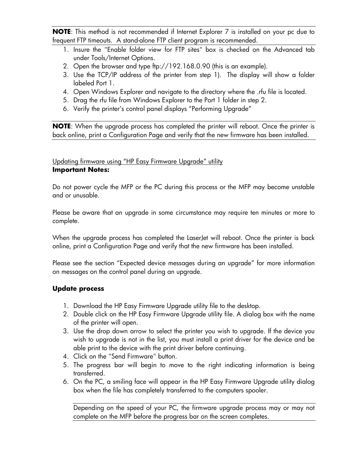**NOTE**: This method is not recommended if Internet Explorer 7 is installed on your pc due to frequent FTP timeouts. A stand-alone FTP client program is recommended.

- 1. Insure the "Enable folder view for FTP sites" box is checked on the Advanced tab under Tools/Internet Options.
- 2. Open the browser and type ftp://192.168.0.90 (this is an example).
- 3. Use the TCP/IP address of the printer from step 1). The display will show a folder labeled Port 1.
- 4. Open Windows Explorer and navigate to the directory where the .rfu file is located.
- 5. Drag the rfu file from Windows Explorer to the Port 1 folder in step 2.
- 6. Verify the printer's control panel displays "Performing Upgrade"

**NOTE**: When the upgrade process has completed the printer will reboot. Once the printer is back online, print a Configuration Page and verify that the new firmware has been installed.

Updating firmware using "HP Easy Firmware Upgrade" utility **Important Notes:**

Do not power cycle the MFP or the PC during this process or the MFP may become unstable and or unusable.

Please be aware that an upgrade in some circumstance may require ten minutes or more to complete.

When the upgrade process has completed the LaserJet will reboot. Once the printer is back online, print a Configuration Page and verify that the new firmware has been installed.

Please see the section "Expected device messages during an upgrade" for more information on messages on the control panel during an upgrade.

# **Update process**

- 1. Download the HP Easy Firmware Upgrade utility file to the desktop.
- 2. Double click on the HP Easy Firmware Upgrade utility file. A dialog box with the name of the printer will open.
- 3. Use the drop down arrow to select the printer you wish to upgrade. If the device you wish to upgrade is not in the list, you must install a print driver for the device and be able print to the device with the print driver before continuing.
- 4. Click on the "Send Firmware" button.
- 5. The progress bar will begin to move to the right indicating information is being transferred.
- 6. On the PC, a smiling face will appear in the HP Easy Firmware Upgrade utility dialog box when the file has completely transferred to the computers spooler.

Depending on the speed of your PC, the firmware upgrade process may or may not complete on the MFP before the progress bar on the screen completes.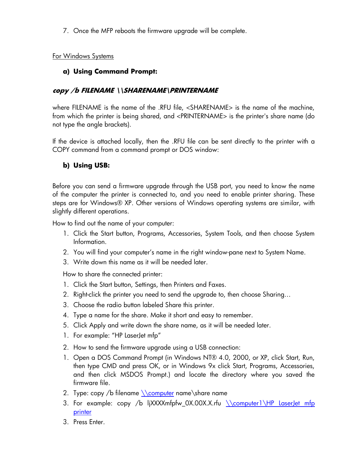7. Once the MFP reboots the firmware upgrade will be complete.

#### For Windows Systems

## **a) Using Command Prompt:**

## **copy /b FILENAME \\SHARENAME\PRINTERNAME**

where FILENAME is the name of the .RFU file, <SHARENAME> is the name of the machine, from which the printer is being shared, and <PRINTERNAME> is the printer's share name (do not type the angle brackets).

If the device is attached locally, then the .RFU file can be sent directly to the printer with a COPY command from a command prompt or DOS window:

# **b) Using USB:**

Before you can send a firmware upgrade through the USB port, you need to know the name of the computer the printer is connected to, and you need to enable printer sharing. These steps are for Windows® XP. Other versions of Windows operating systems are similar, with slightly different operations.

How to find out the name of your computer:

- 1. Click the Start button, Programs, Accessories, System Tools, and then choose System Information.
- 2. You will find your computer's name in the right window-pane next to System Name.
- 3. Write down this name as it will be needed later.

How to share the connected printer:

- 1. Click the Start button, Settings, then Printers and Faxes.
- 2. Right-click the printer you need to send the upgrade to, then choose Sharing…
- 3. Choose the radio button labeled Share this printer.
- 4. Type a name for the share. Make it short and easy to remember.
- 5. Click Apply and write down the share name, as it will be needed later.
- 1. For example: "HP LaserJet mfp"
- 2. How to send the firmware upgrade using a USB connection:
- 1. Open a DOS Command Prompt (in Windows NT® 4.0, 2000, or XP, click Start, Run, then type CMD and press OK, or in Windows 9x click Start, Programs, Accessories, and then click MSDOS Prompt.) and locate the directory where you saved the firmware file.
- 2. Type: copy /b filename <u>\\computer</u> name\share name
- 3. For example: copy /b ljXXXXmfpfw\_0X.00X.X.rfu \\computer1\HP LaserJet mfp [printer](file://///computer1/HP%20LaserJet%20mfp%20printer)
- 3. Press Enter.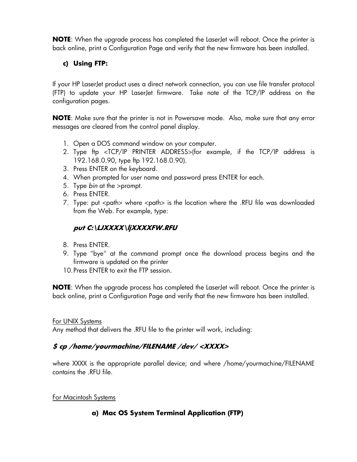**NOTE:** When the upgrade process has completed the LaserJet will reboot. Once the printer is back online, print a Configuration Page and verify that the new firmware has been installed.

# **c) Using FTP:**

If your HP LaserJet product uses a direct network connection, you can use file transfer protocol (FTP) to update your HP LaserJet firmware. Take note of the TCP/IP address on the configuration pages.

**NOTE**: Make sure that the printer is not in Powersave mode. Also, make sure that any error messages are cleared from the control panel display.

- 1. Open a DOS command window on your computer.
- 2. Type ftp <TCP/IP PRINTER ADDRESS>(for example, if the TCP/IP address is 192.168.0.90, type ftp 192.168.0.90).
- 3. Press ENTER on the keyboard.
- 4. When prompted for user name and password press ENTER for each.
- 5. Type *bin* at the >prompt.
- 6. Press ENTER.
- 7. Type: put <path> where <path> is the location where the .RFU file was downloaded from the Web. For example, type:

# **put C:\LJXXXX\ljXXXXFW.RFU**

- 8. Press ENTER.
- 9. Type "bye" at the command prompt once the download process begins and the firmware is updated on the printer
- 10.Press ENTER to exit the FTP session.

**NOTE:** When the upgrade process has completed the LaserJet will reboot. Once the printer is back online, print a Configuration Page and verify that the new firmware has been installed.

#### For UNIX Systems

Any method that delivers the .RFU file to the printer will work, including:

# **\$ cp /home/yourmachine/FILENAME /dev/ <XXXX>**

where XXXX is the appropriate parallel device; and where /home/yourmachine/FILENAME contains the .RFU file.

#### For Macintosh Systems

## **a) Mac OS System Terminal Application (FTP)**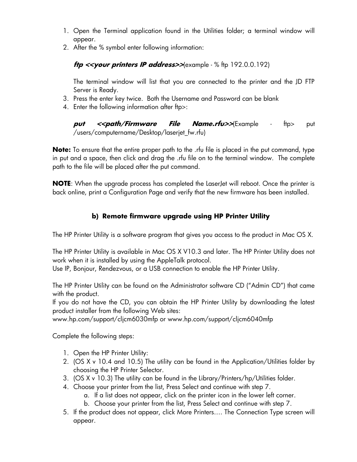- 1. Open the Terminal application found in the Utilities folder; a terminal window will appear.
- 2. After the % symbol enter following information:

**ftp <<your printers IP address>>**(example - % ftp 192.0.0.192)

The terminal window will list that you are connected to the printer and the JD FTP Server is Ready.

- 3. Press the enter key twice. Both the Username and Password can be blank
- 4. Enter the following information after ftp>:

*put << path/Firmware File Name.rfu>>***(Example - ftp> put** /users/computername/Desktop/laserjet\_fw.rfu)

**Note:** To ensure that the entire proper path to the .rfu file is placed in the put command, type in put and a space, then click and drag the .rfu file on to the terminal window. The complete path to the file will be placed after the put command.

**NOTE**: When the upgrade process has completed the LaserJet will reboot. Once the printer is back online, print a Configuration Page and verify that the new firmware has been installed.

# **b) Remote firmware upgrade using HP Printer Utility**

The HP Printer Utility is a software program that gives you access to the product in Mac OS X.

The HP Printer Utility is available in Mac OS X V10.3 and later. The HP Printer Utility does not work when it is installed by using the AppleTalk protocol.

Use IP, Bonjour, Rendezvous, or a USB connection to enable the HP Printer Utility.

The HP Printer Utility can be found on the Administrator software CD ("Admin CD") that came with the product.

If you do not have the CD, you can obtain the HP Printer Utility by downloading the latest product installer from the following Web sites:

www.hp.com/support/cljcm6030mfp or www.hp.com/support/cljcm6040mfp

Complete the following steps:

- 1. Open the HP Printer Utility:
- 2. (OS X v 10.4 and 10.5) The utility can be found in the Application/Utilities folder by choosing the HP Printer Selector.
- 3. (OS X v 10.3) The utility can be found in the Library/Printers/hp/Utilities folder.
- 4. Choose your printer from the list, Press Select and continue with step 7.
	- a. If a list does not appear, click on the printer icon in the lower left corner.
	- b. Choose your printer from the list, Press Select and continue with step 7.
- 5. If the product does not appear, click More Printers…. The Connection Type screen will appear.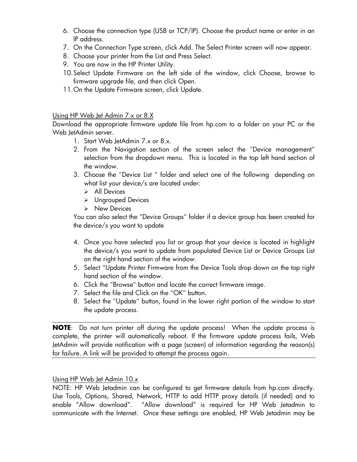- 6. Choose the connection type (USB or TCP/IP). Choose the product name or enter in an IP address.
- 7. On the Connection Type screen, click Add. The Select Printer screen will now appear.
- 8. Choose your printer from the List and Press Select.
- 9. You are now in the HP Printer Utility.
- 10.Select Update Firmware on the left side of the window, click Choose, browse to firmware upgrade file, and then click Open.
- 11.On the Update Firmware screen, click Update.

Using HP Web Jet Admin 7.x or 8.X

Download the appropriate firmware update file from hp.com to a folder on your PC or the Web JetAdmin server.

- 1. Start Web JetAdmin 7.x or 8.x.
- 2. From the Navigation section of the screen select the "Device management" selection from the dropdown menu. This is located in the top left hand section of the window.
- 3. Choose the "Device List " folder and select one of the following depending on what list your device/s are located under:
	- > All Devices
	- > Ungrouped Devices
	- $\triangleright$  New Devices

You can also select the "Device Groups" folder if a device group has been created for the device/s you want to update

- 4. Once you have selected you list or group that your device is located in highlight the device/s you want to update from populated Device List or Device Groups List on the right hand section of the window.
- 5. Select "Update Printer Firmware from the Device Tools drop down on the top right hand section of the window.
- 6. Click the "Browse" button and locate the correct firmware image.
- 7. Select the file and Click on the "OK" button.
- 8. Select the "Update" button, found in the lower right portion of the window to start the update process.

**NOTE**: Do not turn printer off during the update process! When the update process is complete, the printer will automatically reboot. If the firmware update process fails, Web JetAdmin will provide notification with a page (screen) of information regarding the reason(s) for failure. A link will be provided to attempt the process again.

#### Using HP Web Jet Admin 10.x

NOTE: HP Web Jetadmin can be configured to get firmware details from hp.com directly. Use Tools, Options, Shared, Network, HTTP to add HTTP proxy details (if needed) and to enable "Allow download". "Allow download" is required for HP Web Jetadmin to communicate with the Internet. Once these settings are enabled, HP Web Jetadmin may be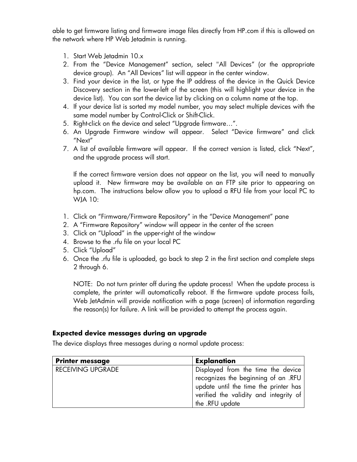able to get firmware listing and firmware image files directly from HP.com if this is allowed on the network where HP Web Jetadmin is running.

- 1. Start Web Jetadmin 10.x
- 2. From the "Device Management" section, select "All Devices" (or the appropriate device group). An "All Devices" list will appear in the center window.
- 3. Find your device in the list, or type the IP address of the device in the Quick Device Discovery section in the lower-left of the screen (this will highlight your device in the device list). You can sort the device list by clicking on a column name at the top.
- 4. If your device list is sorted my model number, you may select multiple devices with the same model number by Control-Click or Shift-Click.
- 5. Right-click on the device and select "Upgrade firmware…".
- 6. An Upgrade Firmware window will appear. Select "Device firmware" and click "Next"
- 7. A list of available firmware will appear. If the correct version is listed, click "Next", and the upgrade process will start.

If the correct firmware version does not appear on the list, you will need to manually upload it. New firmware may be available on an FTP site prior to appearing on hp.com. The instructions below allow you to upload a RFU file from your local PC to WJA 10:

- 1. Click on "Firmware/Firmware Repository" in the "Device Management" pane
- 2. A "Firmware Repository" window will appear in the center of the screen
- 3. Click on "Upload" in the upper-right of the window
- 4. Browse to the .rfu file on your local PC
- 5. Click "Upload"
- 6. Once the .rfu file is uploaded, go back to step 2 in the first section and complete steps 2 through 6.

NOTE: Do not turn printer off during the update process! When the update process is complete, the printer will automatically reboot. If the firmware update process fails, Web JetAdmin will provide notification with a page (screen) of information regarding the reason(s) for failure. A link will be provided to attempt the process again.

## **Expected device messages during an upgrade**

The device displays three messages during a normal update process:

| <b>Printer message</b>   | <b>Explanation</b>                     |
|--------------------------|----------------------------------------|
| <b>RECEIVING UPGRADE</b> | Displayed from the time the device     |
|                          | recognizes the beginning of an .RFU    |
|                          | update until the time the printer has  |
|                          | verified the validity and integrity of |
|                          | the .RFU update                        |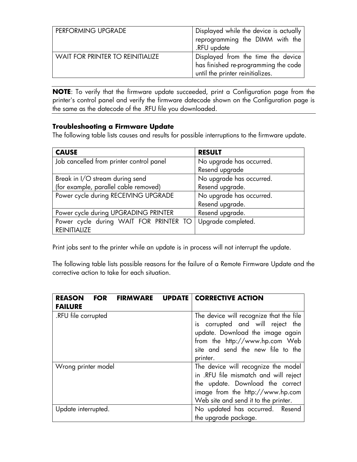| PERFORMING UPGRADE               | Displayed while the device is actually |
|----------------------------------|----------------------------------------|
|                                  | reprogramming the DIMM with the        |
|                                  | .RFU update                            |
| WAIT FOR PRINTER TO REINITIALIZE | Displayed from the time the device     |
|                                  | has finished re-programming the code   |
|                                  | until the printer reinitializes.       |

**NOTE**: To verify that the firmware update succeeded, print a Configuration page from the printer's control panel and verify the firmware datecode shown on the Configuration page is the same as the datecode of the .RFU file you downloaded.

#### **Troubleshooting a Firmware Update**

The following table lists causes and results for possible interruptions to the firmware update.

| <b>CAUSE</b>                             | <b>RESULT</b>            |  |
|------------------------------------------|--------------------------|--|
| Job cancelled from printer control panel | No upgrade has occurred. |  |
|                                          | Resend upgrade           |  |
| Break in I/O stream during send          | No upgrade has occurred. |  |
| (for example, parallel cable removed)    | Resend upgrade.          |  |
| Power cycle during RECEIVING UPGRADE     | No upgrade has occurred. |  |
|                                          | Resend upgrade.          |  |
| Power cycle during UPGRADING PRINTER     | Resend upgrade.          |  |
| Power cycle during WAIT FOR PRINTER TO   | Upgrade completed.       |  |
| <b>REINITIALIZE</b>                      |                          |  |

Print jobs sent to the printer while an update is in process will not interrupt the update.

The following table lists possible reasons for the failure of a Remote Firmware Update and the corrective action to take for each situation.

| <b>REASON</b>       | <b>FOR</b> | <b>FIRMWARE</b> | <b>UPDATE</b> | <b>CORRECTIVE ACTION</b>                                                                                                                                                                           |
|---------------------|------------|-----------------|---------------|----------------------------------------------------------------------------------------------------------------------------------------------------------------------------------------------------|
| <b>FAILURE</b>      |            |                 |               |                                                                                                                                                                                                    |
| .RFU file corrupted |            |                 |               | The device will recognize that the file<br>is corrupted and will reject the<br>update. Download the image again<br>from the http://www.hp.com Web<br>site and send the new file to the<br>printer. |
| Wrong printer model |            |                 |               | The device will recognize the model<br>in .RFU file mismatch and will reject<br>the update. Download the correct<br>image from the http://www.hp.com<br>Web site and send it to the printer.       |
| Update interrupted. |            |                 |               | No updated has occurred. Resend<br>the upgrade package.                                                                                                                                            |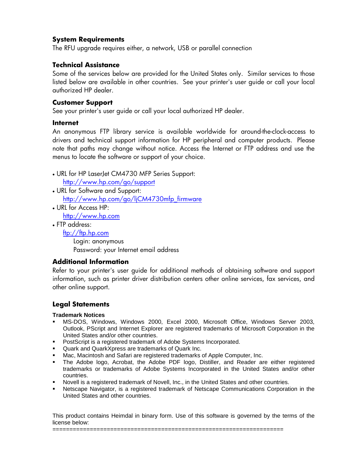#### **System Requirements**

The RFU upgrade requires either, a network, USB or parallel connection

## **Technical Assistance**

Some of the services below are provided for the United States only. Similar services to those listed below are available in other countries. See your printer's user guide or call your local authorized HP dealer.

#### **Customer Support**

See your printer's user guide or call your local authorized HP dealer.

#### **Internet**

An anonymous FTP library service is available worldwide for around-the-clock-access to drivers and technical support information for HP peripheral and computer products. Please note that paths may change without notice. Access the Internet or FTP address and use the menus to locate the software or support of your choice.

- URL for HP LaserJet CM4730 MFP Series Support: <http://www.hp.com/go/support>
- URL for Software and Support: [http://www.hp.com/go/ljCM4730mfp\\_firmware](http://www.hp.com/go/ljCM4730mfp_firmware)
- URL for Access HP: [http://www.hp.com](http://www.hp.com/)
- FTP address: [ftp://ftp.hp.com](ftp://ftp.hp.com/)

Login: anonymous Password: your Internet email address

## **Additional Information**

Refer to your printer's user guide for additional methods of obtaining software and support information, such as printer driver distribution centers other online services, fax services, and other online support.

## **Legal Statements**

#### **Trademark Notices**

- MS-DOS, Windows, Windows 2000, Excel 2000, Microsoft Office, Windows Server 2003, Outlook, PScript and Internet Explorer are registered trademarks of Microsoft Corporation in the United States and/or other countries.
- **PostScript is a registered trademark of Adobe Systems Incorporated.**
- Quark and QuarkXpress are trademarks of Quark Inc.
- Mac, Macintosh and Safari are registered trademarks of Apple Computer, Inc.
- The Adobe logo, Acrobat, the Adobe PDF logo, Distiller, and Reader are either registered trademarks or trademarks of Adobe Systems Incorporated in the United States and/or other countries.
- Novell is a registered trademark of Novell, Inc., in the United States and other countries.
- Netscape Navigator, is a registered trademark of Netscape Communications Corporation in the United States and other countries.

This product contains Heimdal in binary form. Use of this software is governed by the terms of the license below:

====================================================================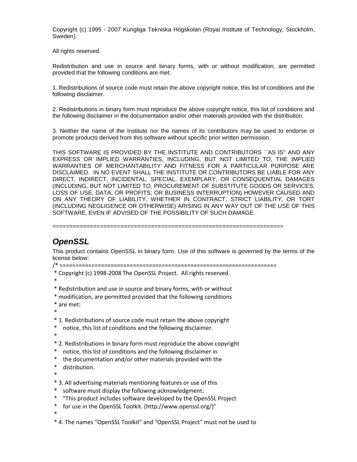Copyright (c) 1995 - 2007 Kungliga Tekniska Högskolan (Royal Institute of Technology, Stockholm, Sweden).

All rights reserved.

Redistribution and use in source and binary forms, with or without modification, are permitted provided that the following conditions are met:

1. Redistributions of source code must retain the above copyright notice, this list of conditions and the following disclaimer.

2. Redistributions in binary form must reproduce the above copyright notice, this list of conditions and the following disclaimer in the documentation and/or other materials provided with the distribution.

3. Neither the name of the Institute nor the names of its contributors may be used to endorse or promote products derived from this software without specific prior written permission.

THIS SOFTWARE IS PROVIDED BY THE INSTITUTE AND CONTRIBUTORS ``AS IS'' AND ANY EXPRESS OR IMPLIED WARRANTIES, INCLUDING, BUT NOT LIMITED TO, THE IMPLIED WARRANTIES OF MERCHANTABILITY AND FITNESS FOR A PARTICULAR PURPOSE ARE DISCLAIMED. IN NO EVENT SHALL THE INSTITUTE OR CONTRIBUTORS BE LIABLE FOR ANY DIRECT, INDIRECT, INCIDENTAL, SPECIAL, EXEMPLARY, OR CONSEQUENTIAL DAMAGES (INCLUDING, BUT NOT LIMITED TO, PROCUREMENT OF SUBSTITUTE GOODS OR SERVICES; LOSS OF USE, DATA, OR PROFITS; OR BUSINESS INTERRUPTION) HOWEVER CAUSED AND ON ANY THEORY OF LIABILITY, WHETHER IN CONTRACT, STRICT LIABILITY, OR TORT (INCLUDING NEGLIGENCE OR OTHERWISE) ARISING IN ANY WAY OUT OF THE USE OF THIS SOFTWARE, EVEN IF ADVISED OF THE POSSIBILITY OF SUCH DAMAGE.

#### ====================================================================

# *OpenSSL*

This product contains OpenSSL in binary form. Use of this software is governed by the terms of the license below:

/\* ====================================================================

\* Copyright (c) 1998-2008 The OpenSSL Project. All rights reserved.

\*

- \* Redistribution and use in source and binary forms, with or without
- \* modification, are permitted provided that the following conditions
- \* are met:
- \*
- \* 1. Redistributions of source code must retain the above copyright
- \* notice, this list of conditions and the following disclaimer.
- \*
- \* 2. Redistributions in binary form must reproduce the above copyright
- \* notice, this list of conditions and the following disclaimer in
- \* the documentation and/or other materials provided with the
- \* distribution.
- \*
- \* 3. All advertising materials mentioning features or use of this
- \* software must display the following acknowledgment:
- \* "This product includes software developed by the OpenSSL Project
- \* for use in the OpenSSL Toolkit. [\(http://www.openssl.org/\)](http://www.openssl.org/)"

\*

\* 4. The names "OpenSSL Toolkit" and "OpenSSL Project" must not be used to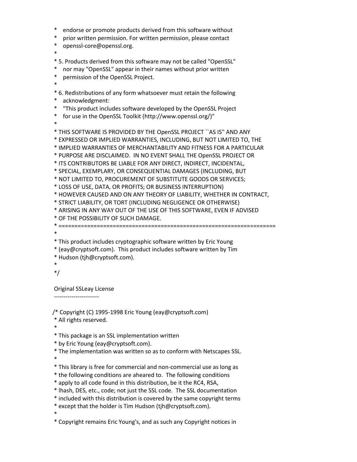- prior written permission. For written permission, please contact
- [openssl-core@openssl.org.](mailto:openssl-core@openssl.org)

\*

\* 5. Products derived from this software may not be called "OpenSSL"

- \* nor may "OpenSSL" appear in their names without prior written
- \* permission of the OpenSSL Project.
- \* \* 6. Redistributions of any form whatsoever must retain the following
- \* acknowledgment:
- \* "This product includes software developed by the OpenSSL Project
- \* for use in the OpenSSL Toolkit [\(http://www.openssl.org/\)](http://www.openssl.org/)"
- \*

\* THIS SOFTWARE IS PROVIDED BY THE OpenSSL PROJECT ``AS IS'' AND ANY

- \* EXPRESSED OR IMPLIED WARRANTIES, INCLUDING, BUT NOT LIMITED TO, THE
- \* IMPLIED WARRANTIES OF MERCHANTABILITY AND FITNESS FOR A PARTICULAR
- \* PURPOSE ARE DISCLAIMED. IN NO EVENT SHALL THE OpenSSL PROJECT OR
- \* ITS CONTRIBUTORS BE LIABLE FOR ANY DIRECT, INDIRECT, INCIDENTAL,
- \* SPECIAL, EXEMPLARY, OR CONSEQUENTIAL DAMAGES (INCLUDING, BUT
- \* NOT LIMITED TO, PROCUREMENT OF SUBSTITUTE GOODS OR SERVICES;
- \* LOSS OF USE, DATA, OR PROFITS; OR BUSINESS INTERRUPTION)
- \* HOWEVER CAUSED AND ON ANY THEORY OF LIABILITY, WHETHER IN CONTRACT,
- \* STRICT LIABILITY, OR TORT (INCLUDING NEGLIGENCE OR OTHERWISE)
- \* ARISING IN ANY WAY OUT OF THE USE OF THIS SOFTWARE, EVEN IF ADVISED
- \* OF THE POSSIBILITY OF SUCH DAMAGE.

\* ====================================================================

\*

- \* This product includes cryptographic software written by Eric Young
- \* [\(eay@cryptsoft.com\)](mailto:eay@cryptsoft.com). This product includes software written by Tim
- \* Hudson [\(tjh@cryptsoft.com\)](mailto:tjh@cryptsoft.com).
- \*
- \*/

Original SSLeay License

-----------------------

/\* Copyright (C) 1995-1998 Eric Young [\(eay@cryptsoft.com\)](mailto:eay@cryptsoft.com)

\* All rights reserved.

\*

- \* This package is an SSL implementation written
- \* by Eric Young [\(eay@cryptsoft.com\)](mailto:eay@cryptsoft.com).
- \* The implementation was written so as to conform with Netscapes SSL.
- \*
- \* This library is free for commercial and non-commercial use as long as
- \* the following conditions are aheared to. The following conditions
- \* apply to all code found in this distribution, be it the RC4, RSA,
- \* lhash, DES, etc., code; not just the SSL code. The SSL documentation
- \* included with this distribution is covered by the same copyright terms
- \* except that the holder is Tim Hudson [\(tjh@cryptsoft.com\)](mailto:tjh@cryptsoft.com).

\*

\* Copyright remains Eric Young's, and as such any Copyright notices in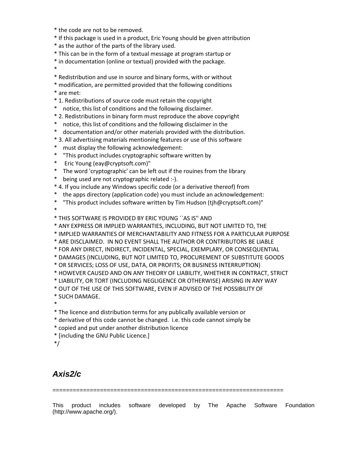- \* the code are not to be removed.
- \* If this package is used in a product, Eric Young should be given attribution
- \* as the author of the parts of the library used.
- \* This can be in the form of a textual message at program startup or
- \* in documentation (online or textual) provided with the package.
- \*
- \* Redistribution and use in source and binary forms, with or without
- \* modification, are permitted provided that the following conditions \* are met:
- \* 1. Redistributions of source code must retain the copyright
- \* notice, this list of conditions and the following disclaimer.
- \* 2. Redistributions in binary form must reproduce the above copyright
- \* notice, this list of conditions and the following disclaimer in the
- \* documentation and/or other materials provided with the distribution.
- \* 3. All advertising materials mentioning features or use of this software
- \* must display the following acknowledgement:
- \* "This product includes cryptographic software written by
- \* Eric Young [\(eay@cryptsoft.com\)](mailto:eay@cryptsoft.com)"
- \* The word 'cryptographic' can be left out if the rouines from the library
- \* being used are not cryptographic related :-).
- \* 4. If you include any Windows specific code (or a derivative thereof) from
- \* the apps directory (application code) you must include an acknowledgement:
- \* "This product includes software written by Tim Hudson [\(tjh@cryptsoft.com\)](mailto:tjh@cryptsoft.com)"

\*

- \* THIS SOFTWARE IS PROVIDED BY ERIC YOUNG ``AS IS'' AND
- \* ANY EXPRESS OR IMPLIED WARRANTIES, INCLUDING, BUT NOT LIMITED TO, THE
- \* IMPLIED WARRANTIES OF MERCHANTABILITY AND FITNESS FOR A PARTICULAR PURPOSE
- \* ARE DISCLAIMED. IN NO EVENT SHALL THE AUTHOR OR CONTRIBUTORS BE LIABLE
- \* FOR ANY DIRECT, INDIRECT, INCIDENTAL, SPECIAL, EXEMPLARY, OR CONSEQUENTIAL
- \* DAMAGES (INCLUDING, BUT NOT LIMITED TO, PROCUREMENT OF SUBSTITUTE GOODS
- \* OR SERVICES; LOSS OF USE, DATA, OR PROFITS; OR BUSINESS INTERRUPTION)
- \* HOWEVER CAUSED AND ON ANY THEORY OF LIABILITY, WHETHER IN CONTRACT, STRICT
- \* LIABILITY, OR TORT (INCLUDING NEGLIGENCE OR OTHERWISE) ARISING IN ANY WAY
- \* OUT OF THE USE OF THIS SOFTWARE, EVEN IF ADVISED OF THE POSSIBILITY OF
- \* SUCH DAMAGE.

\*

\* The licence and distribution terms for any publically available version or

\* derivative of this code cannot be changed. i.e. this code cannot simply be

- \* copied and put under another distribution licence
- \* [including the GNU Public Licence.]
- \*/

# *Axis2/c*

====================================================================

This product includes software developed by The Apache Software Foundation (http://www.apache.org/).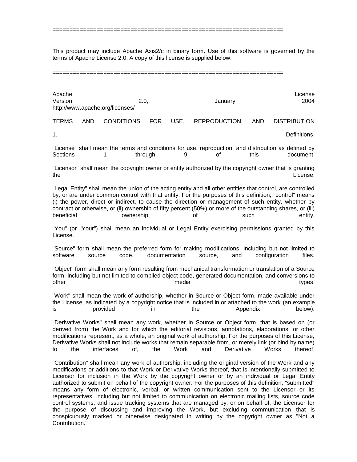====================================================================

This product may include Apache Axis2/c in binary form. Use of this software is governed by the terms of Apache License 2.0. A copy of this license is supplied below.

====================================================================

| Apache<br>Version |            | 2.0.<br>http://www.apache.org/licenses/ |      | January       |     | License<br>2004     |  |  |
|-------------------|------------|-----------------------------------------|------|---------------|-----|---------------------|--|--|
| <b>TERMS</b>      | <b>AND</b> | CONDITIONS FOR                          | USE. | REPRODUCTION, | AND | <b>DISTRIBUTION</b> |  |  |
| 1 <sub>1</sub>    |            |                                         |      |               |     | Definitions.        |  |  |

"License" shall mean the terms and conditions for use, reproduction, and distribution as defined by Sections 1 through 9 of this document.

"Licensor" shall mean the copyright owner or entity authorized by the copyright owner that is granting the the contract of the contract of the contract of the contract of the contract of the contract of the contract of the contract of the contract of the contract of the contract of the contract of the contract of the contra

"Legal Entity" shall mean the union of the acting entity and all other entities that control, are controlled by, or are under common control with that entity. For the purposes of this definition, "control" means (i) the power, direct or indirect, to cause the direction or management of such entity, whether by contract or otherwise, or (ii) ownership of fifty percent (50%) or more of the outstanding shares, or (iii) beneficial ownership of such entity.

"You" (or "Your") shall mean an individual or Legal Entity exercising permissions granted by this License.

"Source" form shall mean the preferred form for making modifications, including but not limited to software source code, documentation source, and configuration files.

"Object" form shall mean any form resulting from mechanical transformation or translation of a Source form, including but not limited to compiled object code, generated documentation, and conversions to other types. The media types of the media types of the state of types.

"Work" shall mean the work of authorship, whether in Source or Object form, made available under the License, as indicated by a copyright notice that is included in or attached to the work (an example is provided in the Appendix below).

"Derivative Works" shall mean any work, whether in Source or Object form, that is based on (or derived from) the Work and for which the editorial revisions, annotations, elaborations, or other modifications represent, as a whole, an original work of authorship. For the purposes of this License, Derivative Works shall not include works that remain separable from, or merely link (or bind by name) to the interfaces of, the Work and Derivative Works thereof.

"Contribution" shall mean any work of authorship, including the original version of the Work and any modifications or additions to that Work or Derivative Works thereof, that is intentionally submitted to Licensor for inclusion in the Work by the copyright owner or by an individual or Legal Entity authorized to submit on behalf of the copyright owner. For the purposes of this definition, "submitted" means any form of electronic, verbal, or written communication sent to the Licensor or its representatives, including but not limited to communication on electronic mailing lists, source code control systems, and issue tracking systems that are managed by, or on behalf of, the Licensor for the purpose of discussing and improving the Work, but excluding communication that is conspicuously marked or otherwise designated in writing by the copyright owner as "Not a Contribution."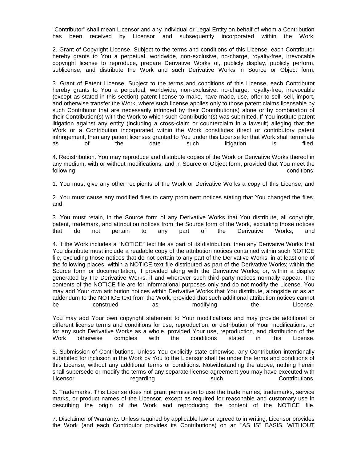"Contributor" shall mean Licensor and any individual or Legal Entity on behalf of whom a Contribution has been received by Licensor and subsequently incorporated within the Work.

2. Grant of Copyright License. Subject to the terms and conditions of this License, each Contributor hereby grants to You a perpetual, worldwide, non-exclusive, no-charge, royalty-free, irrevocable copyright license to reproduce, prepare Derivative Works of, publicly display, publicly perform, sublicense, and distribute the Work and such Derivative Works in Source or Object form.

3. Grant of Patent License. Subject to the terms and conditions of this License, each Contributor hereby grants to You a perpetual, worldwide, non-exclusive, no-charge, royalty-free, irrevocable (except as stated in this section) patent license to make, have made, use, offer to sell, sell, import, and otherwise transfer the Work, where such license applies only to those patent claims licensable by such Contributor that are necessarily infringed by their Contribution(s) alone or by combination of their Contribution(s) with the Work to which such Contribution(s) was submitted. If You institute patent litigation against any entity (including a cross-claim or counterclaim in a lawsuit) alleging that the Work or a Contribution incorporated within the Work constitutes direct or contributory patent infringement, then any patent licenses granted to You under this License for that Work shall terminate as of the date such litigation is filed.

4. Redistribution. You may reproduce and distribute copies of the Work or Derivative Works thereof in any medium, with or without modifications, and in Source or Object form, provided that You meet the following conditions:

1. You must give any other recipients of the Work or Derivative Works a copy of this License; and

2. You must cause any modified files to carry prominent notices stating that You changed the files; and

3. You must retain, in the Source form of any Derivative Works that You distribute, all copyright, patent, trademark, and attribution notices from the Source form of the Work, excluding those notices that do not pertain to any part of the Derivative Works; and

4. If the Work includes a "NOTICE" text file as part of its distribution, then any Derivative Works that You distribute must include a readable copy of the attribution notices contained within such NOTICE file, excluding those notices that do not pertain to any part of the Derivative Works, in at least one of the following places: within a NOTICE text file distributed as part of the Derivative Works; within the Source form or documentation, if provided along with the Derivative Works; or, within a display generated by the Derivative Works, if and wherever such third-party notices normally appear. The contents of the NOTICE file are for informational purposes only and do not modify the License. You may add Your own attribution notices within Derivative Works that You distribute, alongside or as an addendum to the NOTICE text from the Work, provided that such additional attribution notices cannot be construed as modifying the License.

You may add Your own copyright statement to Your modifications and may provide additional or different license terms and conditions for use, reproduction, or distribution of Your modifications, or for any such Derivative Works as a whole, provided Your use, reproduction, and distribution of the Work otherwise complies with the conditions stated in this License.

5. Submission of Contributions. Unless You explicitly state otherwise, any Contribution intentionally submitted for inclusion in the Work by You to the Licensor shall be under the terms and conditions of this License, without any additional terms or conditions. Notwithstanding the above, nothing herein shall supersede or modify the terms of any separate license agreement you may have executed with Licensor **Exercise Contributions** regarding the such such contributions.

6. Trademarks. This License does not grant permission to use the trade names, trademarks, service marks, or product names of the Licensor, except as required for reasonable and customary use in describing the origin of the Work and reproducing the content of the NOTICE file.

7. Disclaimer of Warranty. Unless required by applicable law or agreed to in writing, Licensor provides the Work (and each Contributor provides its Contributions) on an "AS IS" BASIS, WITHOUT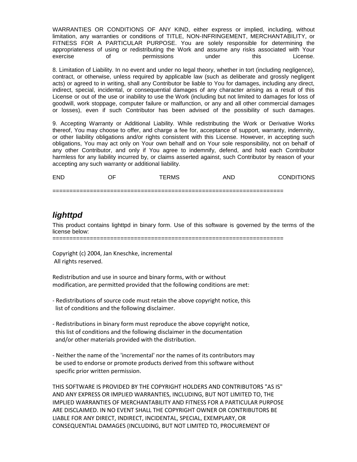WARRANTIES OR CONDITIONS OF ANY KIND, either express or implied, including, without limitation, any warranties or conditions of TITLE, NON-INFRINGEMENT, MERCHANTABILITY, or FITNESS FOR A PARTICULAR PURPOSE. You are solely responsible for determining the appropriateness of using or redistributing the Work and assume any risks associated with Your exercise of permissions under this License.

8. Limitation of Liability. In no event and under no legal theory, whether in tort (including negligence), contract, or otherwise, unless required by applicable law (such as deliberate and grossly negligent acts) or agreed to in writing, shall any Contributor be liable to You for damages, including any direct, indirect, special, incidental, or consequential damages of any character arising as a result of this License or out of the use or inability to use the Work (including but not limited to damages for loss of goodwill, work stoppage, computer failure or malfunction, or any and all other commercial damages or losses), even if such Contributor has been advised of the possibility of such damages.

9. Accepting Warranty or Additional Liability. While redistributing the Work or Derivative Works thereof, You may choose to offer, and charge a fee for, acceptance of support, warranty, indemnity, or other liability obligations and/or rights consistent with this License. However, in accepting such obligations, You may act only on Your own behalf and on Your sole responsibility, not on behalf of any other Contributor, and only if You agree to indemnify, defend, and hold each Contributor harmless for any liability incurred by, or claims asserted against, such Contributor by reason of your accepting any such warranty or additional liability.

| <b>END</b> | JF | TERMS | AND | <b>CONDITIONS</b> |
|------------|----|-------|-----|-------------------|
|            |    |       |     |                   |

====================================================================

# *lighttpd*

This product contains lighttpd in binary form. Use of this software is governed by the terms of the license below:

====================================================================

Copyright (c) 2004, Jan Kneschke, incremental All rights reserved.

Redistribution and use in source and binary forms, with or without modification, are permitted provided that the following conditions are met:

- Redistributions of source code must retain the above copyright notice, this list of conditions and the following disclaimer.
- Redistributions in binary form must reproduce the above copyright notice, this list of conditions and the following disclaimer in the documentation and/or other materials provided with the distribution.
- Neither the name of the 'incremental' nor the names of its contributors may be used to endorse or promote products derived from this software without specific prior written permission.

THIS SOFTWARE IS PROVIDED BY THE COPYRIGHT HOLDERS AND CONTRIBUTORS "AS IS" AND ANY EXPRESS OR IMPLIED WARRANTIES, INCLUDING, BUT NOT LIMITED TO, THE IMPLIED WARRANTIES OF MERCHANTABILITY AND FITNESS FOR A PARTICULAR PURPOSE ARE DISCLAIMED. IN NO EVENT SHALL THE COPYRIGHT OWNER OR CONTRIBUTORS BE LIABLE FOR ANY DIRECT, INDIRECT, INCIDENTAL, SPECIAL, EXEMPLARY, OR CONSEQUENTIAL DAMAGES (INCLUDING, BUT NOT LIMITED TO, PROCUREMENT OF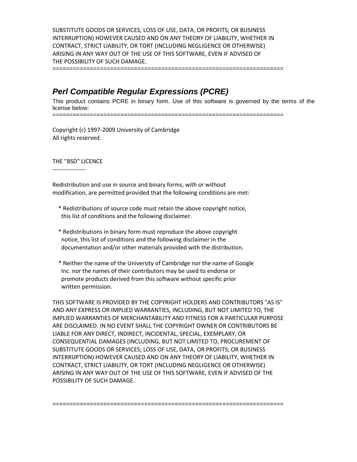SUBSTITUTE GOODS OR SERVICES; LOSS OF USE, DATA, OR PROFITS; OR BUSINESS INTERRUPTION) HOWEVER CAUSED AND ON ANY THEORY OF LIABILITY, WHETHER IN CONTRACT, STRICT LIABILITY, OR TORT (INCLUDING NEGLIGENCE OR OTHERWISE) ARISING IN ANY WAY OUT OF THE USE OF THIS SOFTWARE, EVEN IF ADVISED OF THE POSSIBILITY OF SUCH DAMAGE.

===================================

# *Perl Compatible Regular Expressions (PCRE)*

This product contains PCRE in binary form. Use of this software is governed by the terms of the license below:

====================================================================

Copyright (c) 1997-2009 University of Cambridge All rights reserved.

THE "BSD" LICENCE

-----------------

Redistribution and use in source and binary forms, with or without modification, are permitted provided that the following conditions are met:

- \* Redistributions of source code must retain the above copyright notice, this list of conditions and the following disclaimer.
- \* Redistributions in binary form must reproduce the above copyright notice, this list of conditions and the following disclaimer in the documentation and/or other materials provided with the distribution.
- \* Neither the name of the University of Cambridge nor the name of Google Inc. nor the names of their contributors may be used to endorse or promote products derived from this software without specific prior written permission.

THIS SOFTWARE IS PROVIDED BY THE COPYRIGHT HOLDERS AND CONTRIBUTORS "AS IS" AND ANY EXPRESS OR IMPLIED WARRANTIES, INCLUDING, BUT NOT LIMITED TO, THE IMPLIED WARRANTIES OF MERCHANTABILITY AND FITNESS FOR A PARTICULAR PURPOSE ARE DISCLAIMED. IN NO EVENT SHALL THE COPYRIGHT OWNER OR CONTRIBUTORS BE LIABLE FOR ANY DIRECT, INDIRECT, INCIDENTAL, SPECIAL, EXEMPLARY, OR CONSEQUENTIAL DAMAGES (INCLUDING, BUT NOT LIMITED TO, PROCUREMENT OF SUBSTITUTE GOODS OR SERVICES; LOSS OF USE, DATA, OR PROFITS; OR BUSINESS INTERRUPTION) HOWEVER CAUSED AND ON ANY THEORY OF LIABILITY, WHETHER IN CONTRACT, STRICT LIABILITY, OR TORT (INCLUDING NEGLIGENCE OR OTHERWISE) ARISING IN ANY WAY OUT OF THE USE OF THIS SOFTWARE, EVEN IF ADVISED OF THE POSSIBILITY OF SUCH DAMAGE.

====================================================================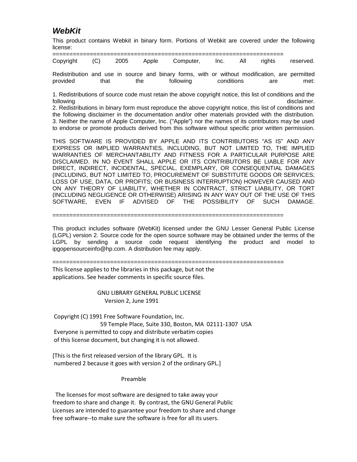# *WebKit*

This product contains Webkit in binary form. Portions of Webkit are covered under the following license:

| Copyright (C) 2005 Apple Computer, Inc. All rights reserved.                                   |  |  |  |  |  |  |  |
|------------------------------------------------------------------------------------------------|--|--|--|--|--|--|--|
| Redistribution and use in source and binary forms, with or without modification, are permitted |  |  |  |  |  |  |  |

1. Redistributions of source code must retain the above copyright notice, this list of conditions and the following disclaimer. The contract of the contract of the contract of the contract of the contract of the contract of the contract of the contract of the contract of the contract of the contract of the contract of the cont

provided that the following conditions are met:

2. Redistributions in binary form must reproduce the above copyright notice, this list of conditions and the following disclaimer in the documentation and/or other materials provided with the distribution. 3. Neither the name of Apple Computer, Inc. ("Apple") nor the names of its contributors may be used to endorse or promote products derived from this software without specific prior written permission.

THIS SOFTWARE IS PROVIDED BY APPLE AND ITS CONTRIBUTORS "AS IS" AND ANY EXPRESS OR IMPLIED WARRANTIES, INCLUDING, BUT NOT LIMITED TO, THE IMPLIED WARRANTIES OF MERCHANTABILITY AND FITNESS FOR A PARTICULAR PURPOSE ARE DISCLAIMED. IN NO EVENT SHALL APPLE OR ITS CONTRIBUTORS BE LIABLE FOR ANY DIRECT, INDIRECT, INCIDENTAL, SPECIAL, EXEMPLARY, OR CONSEQUENTIAL DAMAGES (INCLUDING, BUT NOT LIMITED TO, PROCUREMENT OF SUBSTITUTE GOODS OR SERVICES; LOSS OF USE, DATA, OR PROFITS; OR BUSINESS INTERRUPTION) HOWEVER CAUSED AND ON ANY THEORY OF LIABILITY, WHETHER IN CONTRACT, STRICT LIABILITY, OR TORT (INCLUDING NEGLIGENCE OR OTHERWISE) ARISING IN ANY WAY OUT OF THE USE OF THIS SOFTWARE, EVEN IF ADVISED OF THE POSSIBILITY OF SUCH DAMAGE.

====================================================================

This product includes software (WebKit) licensed under the GNU Lesser General Public License (LGPL) version 2. Source code for the open source software may be obtained under the terms of the LGPL by sending a source code request identifying the product and model to ipgopensourceinfo@hp.com. A distribution fee may apply.

====================================

This license applies to the libraries in this package, but not the applications. See header comments in specific source files.

> GNU LIBRARY GENERAL PUBLIC LICENSE Version 2, June 1991

Copyright (C) 1991 Free Software Foundation, Inc.

 59 Temple Place, Suite 330, Boston, MA 02111-1307 USA Everyone is permitted to copy and distribute verbatim copies of this license document, but changing it is not allowed.

[This is the first released version of the library GPL. It is numbered 2 because it goes with version 2 of the ordinary GPL.]

Preamble

 The licenses for most software are designed to take away your freedom to share and change it. By contrast, the GNU General Public Licenses are intended to guarantee your freedom to share and change free software--to make sure the software is free for all its users.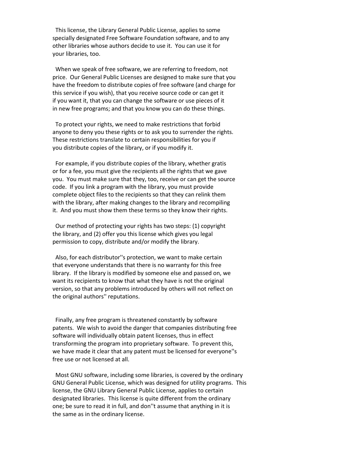This license, the Library General Public License, applies to some specially designated Free Software Foundation software, and to any other libraries whose authors decide to use it. You can use it for your libraries, too.

 When we speak of free software, we are referring to freedom, not price. Our General Public Licenses are designed to make sure that you have the freedom to distribute copies of free software (and charge for this service if you wish), that you receive source code or can get it if you want it, that you can change the software or use pieces of it in new free programs; and that you know you can do these things.

 To protect your rights, we need to make restrictions that forbid anyone to deny you these rights or to ask you to surrender the rights. These restrictions translate to certain responsibilities for you if you distribute copies of the library, or if you modify it.

 For example, if you distribute copies of the library, whether gratis or for a fee, you must give the recipients all the rights that we gave you. You must make sure that they, too, receive or can get the source code. If you link a program with the library, you must provide complete object files to the recipients so that they can relink them with the library, after making changes to the library and recompiling it. And you must show them these terms so they know their rights.

 Our method of protecting your rights has two steps: (1) copyright the library, and (2) offer you this license which gives you legal permission to copy, distribute and/or modify the library.

 Also, for each distributor''s protection, we want to make certain that everyone understands that there is no warranty for this free library. If the library is modified by someone else and passed on, we want its recipients to know that what they have is not the original version, so that any problems introduced by others will not reflect on the original authors'' reputations.

 Finally, any free program is threatened constantly by software patents. We wish to avoid the danger that companies distributing free software will individually obtain patent licenses, thus in effect transforming the program into proprietary software. To prevent this, we have made it clear that any patent must be licensed for everyone''s free use or not licensed at all.

 Most GNU software, including some libraries, is covered by the ordinary GNU General Public License, which was designed for utility programs. This license, the GNU Library General Public License, applies to certain designated libraries. This license is quite different from the ordinary one; be sure to read it in full, and don''t assume that anything in it is the same as in the ordinary license.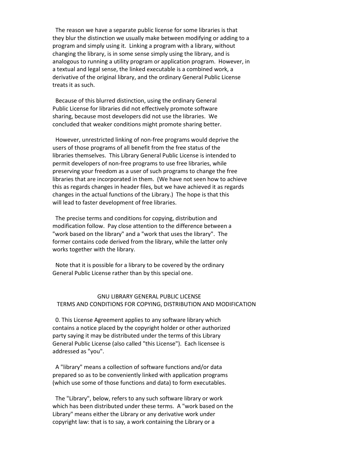The reason we have a separate public license for some libraries is that they blur the distinction we usually make between modifying or adding to a program and simply using it. Linking a program with a library, without changing the library, is in some sense simply using the library, and is analogous to running a utility program or application program. However, in a textual and legal sense, the linked executable is a combined work, a derivative of the original library, and the ordinary General Public License treats it as such.

 Because of this blurred distinction, using the ordinary General Public License for libraries did not effectively promote software sharing, because most developers did not use the libraries. We concluded that weaker conditions might promote sharing better.

 However, unrestricted linking of non-free programs would deprive the users of those programs of all benefit from the free status of the libraries themselves. This Library General Public License is intended to permit developers of non-free programs to use free libraries, while preserving your freedom as a user of such programs to change the free libraries that are incorporated in them. (We have not seen how to achieve this as regards changes in header files, but we have achieved it as regards changes in the actual functions of the Library.) The hope is that this will lead to faster development of free libraries.

 The precise terms and conditions for copying, distribution and modification follow. Pay close attention to the difference between a "work based on the library" and a "work that uses the library". The former contains code derived from the library, while the latter only works together with the library.

 Note that it is possible for a library to be covered by the ordinary General Public License rather than by this special one.

#### GNU LIBRARY GENERAL PUBLIC LICENSE TERMS AND CONDITIONS FOR COPYING, DISTRIBUTION AND MODIFICATION

 0. This License Agreement applies to any software library which contains a notice placed by the copyright holder or other authorized party saying it may be distributed under the terms of this Library General Public License (also called "this License"). Each licensee is addressed as "you".

 A "library" means a collection of software functions and/or data prepared so as to be conveniently linked with application programs (which use some of those functions and data) to form executables.

 The "Library", below, refers to any such software library or work which has been distributed under these terms. A "work based on the Library" means either the Library or any derivative work under copyright law: that is to say, a work containing the Library or a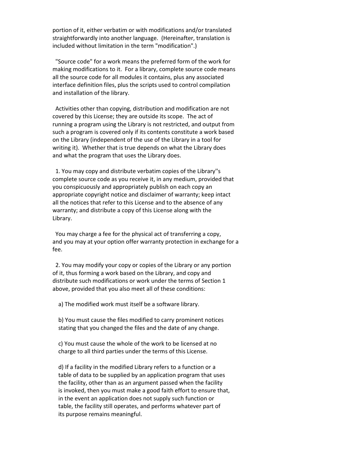portion of it, either verbatim or with modifications and/or translated straightforwardly into another language. (Hereinafter, translation is included without limitation in the term "modification".)

 "Source code" for a work means the preferred form of the work for making modifications to it. For a library, complete source code means all the source code for all modules it contains, plus any associated interface definition files, plus the scripts used to control compilation and installation of the library.

 Activities other than copying, distribution and modification are not covered by this License; they are outside its scope. The act of running a program using the Library is not restricted, and output from such a program is covered only if its contents constitute a work based on the Library (independent of the use of the Library in a tool for writing it). Whether that is true depends on what the Library does and what the program that uses the Library does.

 1. You may copy and distribute verbatim copies of the Library''s complete source code as you receive it, in any medium, provided that you conspicuously and appropriately publish on each copy an appropriate copyright notice and disclaimer of warranty; keep intact all the notices that refer to this License and to the absence of any warranty; and distribute a copy of this License along with the Library.

 You may charge a fee for the physical act of transferring a copy, and you may at your option offer warranty protection in exchange for a fee.

 2. You may modify your copy or copies of the Library or any portion of it, thus forming a work based on the Library, and copy and distribute such modifications or work under the terms of Section 1 above, provided that you also meet all of these conditions:

a) The modified work must itself be a software library.

 b) You must cause the files modified to carry prominent notices stating that you changed the files and the date of any change.

 c) You must cause the whole of the work to be licensed at no charge to all third parties under the terms of this License.

 d) If a facility in the modified Library refers to a function or a table of data to be supplied by an application program that uses the facility, other than as an argument passed when the facility is invoked, then you must make a good faith effort to ensure that, in the event an application does not supply such function or table, the facility still operates, and performs whatever part of its purpose remains meaningful.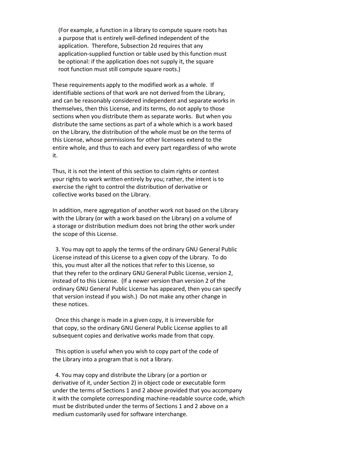(For example, a function in a library to compute square roots has a purpose that is entirely well-defined independent of the application. Therefore, Subsection 2d requires that any application-supplied function or table used by this function must be optional: if the application does not supply it, the square root function must still compute square roots.)

These requirements apply to the modified work as a whole. If identifiable sections of that work are not derived from the Library, and can be reasonably considered independent and separate works in themselves, then this License, and its terms, do not apply to those sections when you distribute them as separate works. But when you distribute the same sections as part of a whole which is a work based on the Library, the distribution of the whole must be on the terms of this License, whose permissions for other licensees extend to the entire whole, and thus to each and every part regardless of who wrote it.

Thus, it is not the intent of this section to claim rights or contest your rights to work written entirely by you; rather, the intent is to exercise the right to control the distribution of derivative or collective works based on the Library.

In addition, mere aggregation of another work not based on the Library with the Library (or with a work based on the Library) on a volume of a storage or distribution medium does not bring the other work under the scope of this License.

 3. You may opt to apply the terms of the ordinary GNU General Public License instead of this License to a given copy of the Library. To do this, you must alter all the notices that refer to this License, so that they refer to the ordinary GNU General Public License, version 2, instead of to this License. (If a newer version than version 2 of the ordinary GNU General Public License has appeared, then you can specify that version instead if you wish.) Do not make any other change in these notices.

 Once this change is made in a given copy, it is irreversible for that copy, so the ordinary GNU General Public License applies to all subsequent copies and derivative works made from that copy.

 This option is useful when you wish to copy part of the code of the Library into a program that is not a library.

 4. You may copy and distribute the Library (or a portion or derivative of it, under Section 2) in object code or executable form under the terms of Sections 1 and 2 above provided that you accompany it with the complete corresponding machine-readable source code, which must be distributed under the terms of Sections 1 and 2 above on a medium customarily used for software interchange.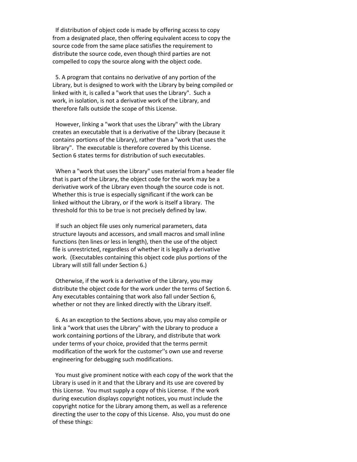If distribution of object code is made by offering access to copy from a designated place, then offering equivalent access to copy the source code from the same place satisfies the requirement to distribute the source code, even though third parties are not compelled to copy the source along with the object code.

 5. A program that contains no derivative of any portion of the Library, but is designed to work with the Library by being compiled or linked with it, is called a "work that uses the Library". Such a work, in isolation, is not a derivative work of the Library, and therefore falls outside the scope of this License.

 However, linking a "work that uses the Library" with the Library creates an executable that is a derivative of the Library (because it contains portions of the Library), rather than a "work that uses the library". The executable is therefore covered by this License. Section 6 states terms for distribution of such executables.

 When a "work that uses the Library" uses material from a header file that is part of the Library, the object code for the work may be a derivative work of the Library even though the source code is not. Whether this is true is especially significant if the work can be linked without the Library, or if the work is itself a library. The threshold for this to be true is not precisely defined by law.

 If such an object file uses only numerical parameters, data structure layouts and accessors, and small macros and small inline functions (ten lines or less in length), then the use of the object file is unrestricted, regardless of whether it is legally a derivative work. (Executables containing this object code plus portions of the Library will still fall under Section 6.)

 Otherwise, if the work is a derivative of the Library, you may distribute the object code for the work under the terms of Section 6. Any executables containing that work also fall under Section 6, whether or not they are linked directly with the Library itself.

 6. As an exception to the Sections above, you may also compile or link a "work that uses the Library" with the Library to produce a work containing portions of the Library, and distribute that work under terms of your choice, provided that the terms permit modification of the work for the customer''s own use and reverse engineering for debugging such modifications.

 You must give prominent notice with each copy of the work that the Library is used in it and that the Library and its use are covered by this License. You must supply a copy of this License. If the work during execution displays copyright notices, you must include the copyright notice for the Library among them, as well as a reference directing the user to the copy of this License. Also, you must do one of these things: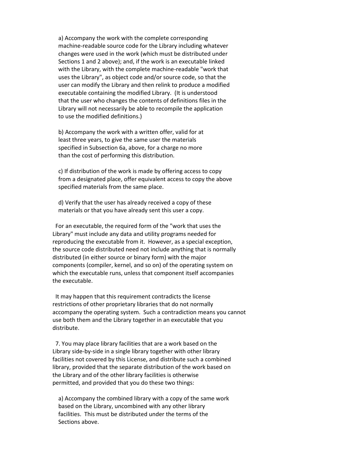a) Accompany the work with the complete corresponding machine-readable source code for the Library including whatever changes were used in the work (which must be distributed under Sections 1 and 2 above); and, if the work is an executable linked with the Library, with the complete machine-readable "work that uses the Library", as object code and/or source code, so that the user can modify the Library and then relink to produce a modified executable containing the modified Library. (It is understood that the user who changes the contents of definitions files in the Library will not necessarily be able to recompile the application to use the modified definitions.)

 b) Accompany the work with a written offer, valid for at least three years, to give the same user the materials specified in Subsection 6a, above, for a charge no more than the cost of performing this distribution.

 c) If distribution of the work is made by offering access to copy from a designated place, offer equivalent access to copy the above specified materials from the same place.

 d) Verify that the user has already received a copy of these materials or that you have already sent this user a copy.

 For an executable, the required form of the "work that uses the Library" must include any data and utility programs needed for reproducing the executable from it. However, as a special exception, the source code distributed need not include anything that is normally distributed (in either source or binary form) with the major components (compiler, kernel, and so on) of the operating system on which the executable runs, unless that component itself accompanies the executable.

 It may happen that this requirement contradicts the license restrictions of other proprietary libraries that do not normally accompany the operating system. Such a contradiction means you cannot use both them and the Library together in an executable that you distribute.

 7. You may place library facilities that are a work based on the Library side-by-side in a single library together with other library facilities not covered by this License, and distribute such a combined library, provided that the separate distribution of the work based on the Library and of the other library facilities is otherwise permitted, and provided that you do these two things:

 a) Accompany the combined library with a copy of the same work based on the Library, uncombined with any other library facilities. This must be distributed under the terms of the Sections above.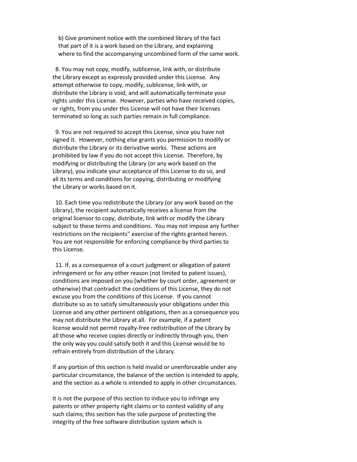b) Give prominent notice with the combined library of the fact that part of it is a work based on the Library, and explaining where to find the accompanying uncombined form of the same work.

 8. You may not copy, modify, sublicense, link with, or distribute the Library except as expressly provided under this License. Any attempt otherwise to copy, modify, sublicense, link with, or distribute the Library is void, and will automatically terminate your rights under this License. However, parties who have received copies, or rights, from you under this License will not have their licenses terminated so long as such parties remain in full compliance.

 9. You are not required to accept this License, since you have not signed it. However, nothing else grants you permission to modify or distribute the Library or its derivative works. These actions are prohibited by law if you do not accept this License. Therefore, by modifying or distributing the Library (or any work based on the Library), you indicate your acceptance of this License to do so, and all its terms and conditions for copying, distributing or modifying the Library or works based on it.

 10. Each time you redistribute the Library (or any work based on the Library), the recipient automatically receives a license from the original licensor to copy, distribute, link with or modify the Library subject to these terms and conditions. You may not impose any further restrictions on the recipients'' exercise of the rights granted herein. You are not responsible for enforcing compliance by third parties to this License.

 11. If, as a consequence of a court judgment or allegation of patent infringement or for any other reason (not limited to patent issues), conditions are imposed on you (whether by court order, agreement or otherwise) that contradict the conditions of this License, they do not excuse you from the conditions of this License. If you cannot distribute so as to satisfy simultaneously your obligations under this License and any other pertinent obligations, then as a consequence you may not distribute the Library at all. For example, if a patent license would not permit royalty-free redistribution of the Library by all those who receive copies directly or indirectly through you, then the only way you could satisfy both it and this License would be to refrain entirely from distribution of the Library.

If any portion of this section is held invalid or unenforceable under any particular circumstance, the balance of the section is intended to apply, and the section as a whole is intended to apply in other circumstances.

It is not the purpose of this section to induce you to infringe any patents or other property right claims or to contest validity of any such claims; this section has the sole purpose of protecting the integrity of the free software distribution system which is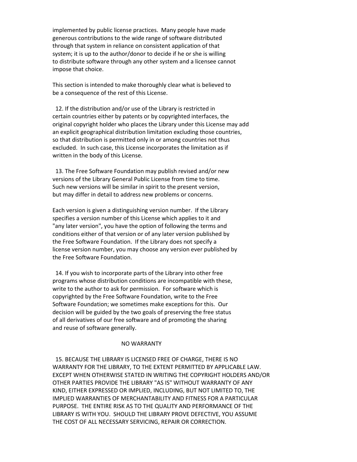implemented by public license practices. Many people have made generous contributions to the wide range of software distributed through that system in reliance on consistent application of that system; it is up to the author/donor to decide if he or she is willing to distribute software through any other system and a licensee cannot impose that choice.

This section is intended to make thoroughly clear what is believed to be a consequence of the rest of this License.

 12. If the distribution and/or use of the Library is restricted in certain countries either by patents or by copyrighted interfaces, the original copyright holder who places the Library under this License may add an explicit geographical distribution limitation excluding those countries, so that distribution is permitted only in or among countries not thus excluded. In such case, this License incorporates the limitation as if written in the body of this License.

 13. The Free Software Foundation may publish revised and/or new versions of the Library General Public License from time to time. Such new versions will be similar in spirit to the present version, but may differ in detail to address new problems or concerns.

Each version is given a distinguishing version number. If the Library specifies a version number of this License which applies to it and "any later version", you have the option of following the terms and conditions either of that version or of any later version published by the Free Software Foundation. If the Library does not specify a license version number, you may choose any version ever published by the Free Software Foundation.

 14. If you wish to incorporate parts of the Library into other free programs whose distribution conditions are incompatible with these, write to the author to ask for permission. For software which is copyrighted by the Free Software Foundation, write to the Free Software Foundation; we sometimes make exceptions for this. Our decision will be guided by the two goals of preserving the free status of all derivatives of our free software and of promoting the sharing and reuse of software generally.

#### NO WARRANTY

 15. BECAUSE THE LIBRARY IS LICENSED FREE OF CHARGE, THERE IS NO WARRANTY FOR THE LIBRARY, TO THE EXTENT PERMITTED BY APPLICABLE LAW. EXCEPT WHEN OTHERWISE STATED IN WRITING THE COPYRIGHT HOLDERS AND/OR OTHER PARTIES PROVIDE THE LIBRARY "AS IS" WITHOUT WARRANTY OF ANY KIND, EITHER EXPRESSED OR IMPLIED, INCLUDING, BUT NOT LIMITED TO, THE IMPLIED WARRANTIES OF MERCHANTABILITY AND FITNESS FOR A PARTICULAR PURPOSE. THE ENTIRE RISK AS TO THE QUALITY AND PERFORMANCE OF THE LIBRARY IS WITH YOU. SHOULD THE LIBRARY PROVE DEFECTIVE, YOU ASSUME THE COST OF ALL NECESSARY SERVICING, REPAIR OR CORRECTION.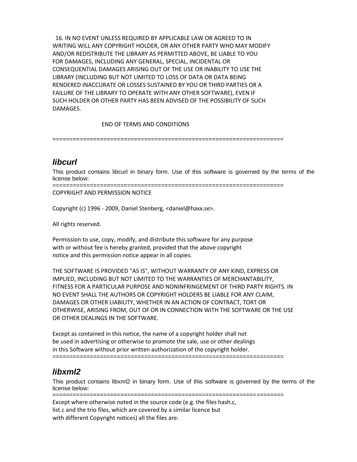16. IN NO EVENT UNLESS REQUIRED BY APPLICABLE LAW OR AGREED TO IN WRITING WILL ANY COPYRIGHT HOLDER, OR ANY OTHER PARTY WHO MAY MODIFY AND/OR REDISTRIBUTE THE LIBRARY AS PERMITTED ABOVE, BE LIABLE TO YOU FOR DAMAGES, INCLUDING ANY GENERAL, SPECIAL, INCIDENTAL OR CONSEQUENTIAL DAMAGES ARISING OUT OF THE USE OR INABILITY TO USE THE LIBRARY (INCLUDING BUT NOT LIMITED TO LOSS OF DATA OR DATA BEING RENDERED INACCURATE OR LOSSES SUSTAINED BY YOU OR THIRD PARTIES OR A FAILURE OF THE LIBRARY TO OPERATE WITH ANY OTHER SOFTWARE), EVEN IF SUCH HOLDER OR OTHER PARTY HAS BEEN ADVISED OF THE POSSIBILITY OF SUCH DAMAGES.

END OF TERMS AND CONDITIONS

====================================================================

### *libcurl*

This product contains libcurl in binary form. Use of this software is governed by the terms of the license below:

====================================================================

COPYRIGHT AND PERMISSION NOTICE

Copyright (c) 1996 - 2009, Daniel Stenberg, <daniel@haxx.se>.

All rights reserved.

Permission to use, copy, modify, and distribute this software for any purpose with or without fee is hereby granted, provided that the above copyright notice and this permission notice appear in all copies.

THE SOFTWARE IS PROVIDED "AS IS", WITHOUT WARRANTY OF ANY KIND, EXPRESS OR IMPLIED, INCLUDING BUT NOT LIMITED TO THE WARRANTIES OF MERCHANTABILITY, FITNESS FOR A PARTICULAR PURPOSE AND NONINFRINGEMENT OF THIRD PARTY RIGHTS. IN NO EVENT SHALL THE AUTHORS OR COPYRIGHT HOLDERS BE LIABLE FOR ANY CLAIM, DAMAGES OR OTHER LIABILITY, WHETHER IN AN ACTION OF CONTRACT, TORT OR OTHERWISE, ARISING FROM, OUT OF OR IN CONNECTION WITH THE SOFTWARE OR THE USE OR OTHER DEALINGS IN THE SOFTWARE.

Except as contained in this notice, the name of a copyright holder shall not be used in advertising or otherwise to promote the sale, use or other dealings in this Software without prior written authorization of the copyright holder.

#### ====================================================================

# *libxml2*

This product contains libxml2 in binary form. Use of this software is governed by the terms of the license below:

==================================================================== Except where otherwise noted in the source code (e.g. the files hash.c, list.c and the trio files, which are covered by a similar licence but with different Copyright notices) all the files are: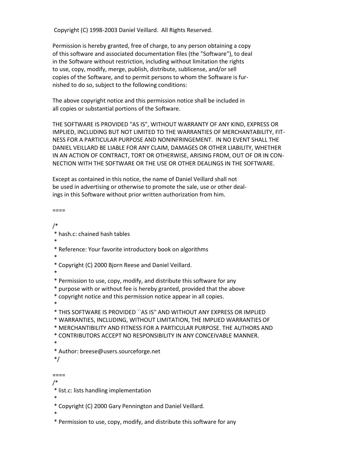Copyright (C) 1998-2003 Daniel Veillard. All Rights Reserved.

Permission is hereby granted, free of charge, to any person obtaining a copy of this software and associated documentation files (the "Software"), to deal in the Software without restriction, including without limitation the rights to use, copy, modify, merge, publish, distribute, sublicense, and/or sell copies of the Software, and to permit persons to whom the Software is furnished to do so, subject to the following conditions:

The above copyright notice and this permission notice shall be included in all copies or substantial portions of the Software.

THE SOFTWARE IS PROVIDED "AS IS", WITHOUT WARRANTY OF ANY KIND, EXPRESS OR IMPLIED, INCLUDING BUT NOT LIMITED TO THE WARRANTIES OF MERCHANTABILITY, FIT-NESS FOR A PARTICULAR PURPOSE AND NONINFRINGEMENT. IN NO EVENT SHALL THE DANIEL VEILLARD BE LIABLE FOR ANY CLAIM, DAMAGES OR OTHER LIABILITY, WHETHER IN AN ACTION OF CONTRACT, TORT OR OTHERWISE, ARISING FROM, OUT OF OR IN CON-NECTION WITH THE SOFTWARE OR THE USE OR OTHER DEALINGS IN THE SOFTWARE.

Except as contained in this notice, the name of Daniel Veillard shall not be used in advertising or otherwise to promote the sale, use or other dealings in this Software without prior written authorization from him.

- ====
- /\* \* hash.c: chained hash tables
- \*
- \* Reference: Your favorite introductory book on algorithms
- \*
- \* Copyright (C) 2000 Bjorn Reese and Daniel Veillard.
- \*

\* Permission to use, copy, modify, and distribute this software for any

- \* purpose with or without fee is hereby granted, provided that the above
- \* copyright notice and this permission notice appear in all copies.
- \*

\* THIS SOFTWARE IS PROVIDED ``AS IS'' AND WITHOUT ANY EXPRESS OR IMPLIED

- \* WARRANTIES, INCLUDING, WITHOUT LIMITATION, THE IMPLIED WARRANTIES OF
- \* MERCHANTIBILITY AND FITNESS FOR A PARTICULAR PURPOSE. THE AUTHORS AND

```
* CONTRIBUTORS ACCEPT NO RESPONSIBILITY IN ANY CONCEIVABLE MANNER.
```
- \*
- \* Author: breese@users.sourceforge.net
- \*/

====

/\*

```
* list.c: lists handling implementation
```
- \*
- \* Copyright (C) 2000 Gary Pennington and Daniel Veillard.
- \*
- \* Permission to use, copy, modify, and distribute this software for any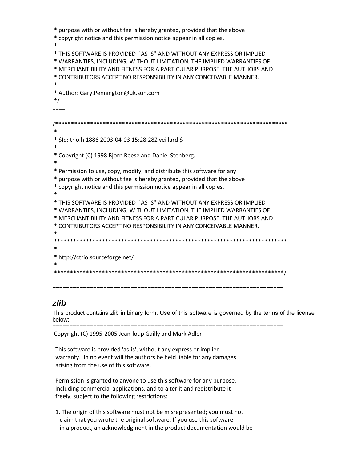\* purpose with or without fee is hereby granted, provided that the above \* copyright notice and this permission notice appear in all copies. \* \* THIS SOFTWARE IS PROVIDED ``AS IS'' AND WITHOUT ANY EXPRESS OR IMPLIED \* WARRANTIES, INCLUDING, WITHOUT LIMITATION, THE IMPLIED WARRANTIES OF \* MERCHANTIBILITY AND FITNESS FOR A PARTICULAR PURPOSE. THE AUTHORS AND \* CONTRIBUTORS ACCEPT NO RESPONSIBILITY IN ANY CONCEIVABLE MANNER. \* \* Author: Gary.Pennington@uk.sun.com \*/ ==== /\*\*\*\*\*\*\*\*\*\*\*\*\*\*\*\*\*\*\*\*\*\*\*\*\*\*\*\*\*\*\*\*\*\*\*\*\*\*\*\*\*\*\*\*\*\*\*\*\*\*\*\*\*\*\*\*\*\*\*\*\*\*\*\*\*\*\*\*\*\*\*\*\* \* \* \$Id: trio.h 1886 2003-04-03 15:28:28Z veillard \$ \* \* Copyright (C) 1998 Bjorn Reese and Daniel Stenberg. \* \* Permission to use, copy, modify, and distribute this software for any \* purpose with or without fee is hereby granted, provided that the above \* copyright notice and this permission notice appear in all copies. \* \* THIS SOFTWARE IS PROVIDED ``AS IS'' AND WITHOUT ANY EXPRESS OR IMPLIED \* WARRANTIES, INCLUDING, WITHOUT LIMITATION, THE IMPLIED WARRANTIES OF \* MERCHANTIBILITY AND FITNESS FOR A PARTICULAR PURPOSE. THE AUTHORS AND \* CONTRIBUTORS ACCEPT NO RESPONSIBILITY IN ANY CONCEIVABLE MANNER. \* \*\*\*\*\*\*\*\*\*\*\*\*\*\*\*\*\*\*\*\*\*\*\*\*\*\*\*\*\*\*\*\*\*\*\*\*\*\*\*\*\*\*\*\*\*\*\*\*\*\*\*\*\*\*\*\*\*\*\*\*\*\*\*\*\*\*\*\*\*\*\*\*\* \* \* http://ctrio.sourceforge.net/ \* \*\*\*\*\*\*\*\*\*\*\*\*\*\*\*\*\*\*\*\*\*\*\*\*\*\*\*\*\*\*\*\*\*\*\*\*\*\*\*\*\*\*\*\*\*\*\*\*\*\*\*\*\*\*\*\*\*\*\*\*\*\*\*\*\*\*\*\*\*\*\*\*/

### *zlib*

====================================================================

This product contains zlib in binary form. Use of this software is governed by the terms of the license below:

==================================================================== Copyright (C) 1995-2005 Jean-loup Gailly and Mark Adler

 This software is provided 'as-is', without any express or implied warranty. In no event will the authors be held liable for any damages arising from the use of this software.

 Permission is granted to anyone to use this software for any purpose, including commercial applications, and to alter it and redistribute it freely, subject to the following restrictions:

 1. The origin of this software must not be misrepresented; you must not claim that you wrote the original software. If you use this software in a product, an acknowledgment in the product documentation would be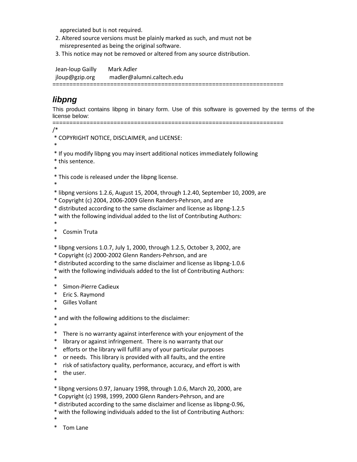appreciated but is not required.

- 2. Altered source versions must be plainly marked as such, and must not be misrepresented as being the original software.
- 3. This notice may not be removed or altered from any source distribution.

 Jean-loup Gailly Mark Adler jloup@gzip.org madler@alumni.caltech.edu ====================================================================

## *libpng*

This product contains libpng in binary form. Use of this software is governed by the terms of the

license below: ==================================================================== /\* \* COPYRIGHT NOTICE, DISCLAIMER, and LICENSE: \* \* If you modify libpng you may insert additional notices immediately following \* this sentence. \* \* This code is released under the libpng license. \* \* libpng versions 1.2.6, August 15, 2004, through 1.2.40, September 10, 2009, are \* Copyright (c) 2004, 2006-2009 Glenn Randers-Pehrson, and are \* distributed according to the same disclaimer and license as libpng-1.2.5 \* with the following individual added to the list of Contributing Authors: \* Cosmin Truta \* \* libpng versions 1.0.7, July 1, 2000, through 1.2.5, October 3, 2002, are \* Copyright (c) 2000-2002 Glenn Randers-Pehrson, and are \* distributed according to the same disclaimer and license as libpng-1.0.6 \* with the following individuals added to the list of Contributing Authors: \* \* Simon-Pierre Cadieux \* Eric S. Raymond \* Gilles Vollant \* \* and with the following additions to the disclaimer: \* \* There is no warranty against interference with your enjoyment of the \* library or against infringement. There is no warranty that our \* efforts or the library will fulfill any of your particular purposes \* or needs. This library is provided with all faults, and the entire \* risk of satisfactory quality, performance, accuracy, and effort is with \* the user. \* \* libpng versions 0.97, January 1998, through 1.0.6, March 20, 2000, are \* Copyright (c) 1998, 1999, 2000 Glenn Randers-Pehrson, and are \* distributed according to the same disclaimer and license as libpng-0.96, \* with the following individuals added to the list of Contributing Authors: \*

Tom Lane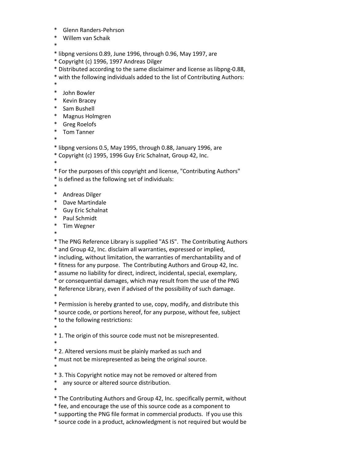- Glenn Randers-Pehrson
- Willem van Schaik

\*

- \* libpng versions 0.89, June 1996, through 0.96, May 1997, are
- \* Copyright (c) 1996, 1997 Andreas Dilger
- \* Distributed according to the same disclaimer and license as libpng-0.88,
- \* with the following individuals added to the list of Contributing Authors:
- \*
- \* John Bowler
- \* Kevin Bracey
- \* Sam Bushell
- \* Magnus Holmgren
- \* Greg Roelofs
- \* Tom Tanner
- \*

\* libpng versions 0.5, May 1995, through 0.88, January 1996, are

\* Copyright (c) 1995, 1996 Guy Eric Schalnat, Group 42, Inc.

\*

- \* For the purposes of this copyright and license, "Contributing Authors"
- \* is defined as the following set of individuals:

\*

- \* Andreas Dilger
- \* Dave Martindale
- \* Guy Eric Schalnat
- \* Paul Schmidt
- \* Tim Wegner

\*

\* The PNG Reference Library is supplied "AS IS". The Contributing Authors

- \* and Group 42, Inc. disclaim all warranties, expressed or implied,
- \* including, without limitation, the warranties of merchantability and of
- \* fitness for any purpose. The Contributing Authors and Group 42, Inc.
- \* assume no liability for direct, indirect, incidental, special, exemplary,
- \* or consequential damages, which may result from the use of the PNG
- \* Reference Library, even if advised of the possibility of such damage.

\*

\* Permission is hereby granted to use, copy, modify, and distribute this

- \* source code, or portions hereof, for any purpose, without fee, subject
- \* to the following restrictions:

\*

\* 1. The origin of this source code must not be misrepresented.

\*

- \* 2. Altered versions must be plainly marked as such and
- \* must not be misrepresented as being the original source.

\*

- \* 3. This Copyright notice may not be removed or altered from
- \* any source or altered source distribution.

\*

- \* The Contributing Authors and Group 42, Inc. specifically permit, without
- \* fee, and encourage the use of this source code as a component to
- \* supporting the PNG file format in commercial products. If you use this
- \* source code in a product, acknowledgment is not required but would be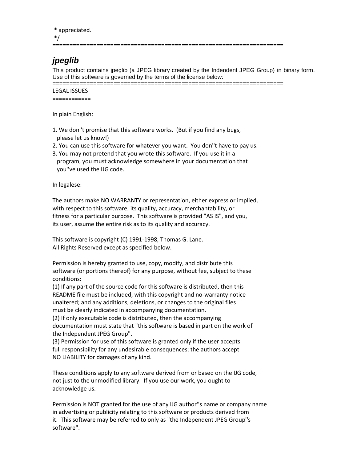```
* appreciated.
```
\*/

# *jpeglib*

This product contains jpeglib (a JPEG library created by the Indendent JPEG Group) in binary form. Use of this software is governed by the terms of the license below:

==================================================================== LEGAL ISSUES

====================================================================

============

In plain English:

- 1. We don''t promise that this software works. (But if you find any bugs, please let us know!)
- 2. You can use this software for whatever you want. You don''t have to pay us.
- 3. You may not pretend that you wrote this software. If you use it in a program, you must acknowledge somewhere in your documentation that you''ve used the IJG code.

In legalese:

The authors make NO WARRANTY or representation, either express or implied, with respect to this software, its quality, accuracy, merchantability, or fitness for a particular purpose. This software is provided "AS IS", and you, its user, assume the entire risk as to its quality and accuracy.

This software is copyright (C) 1991-1998, Thomas G. Lane. All Rights Reserved except as specified below.

Permission is hereby granted to use, copy, modify, and distribute this software (or portions thereof) for any purpose, without fee, subject to these conditions:

(1) If any part of the source code for this software is distributed, then this README file must be included, with this copyright and no-warranty notice unaltered; and any additions, deletions, or changes to the original files must be clearly indicated in accompanying documentation.

(2) If only executable code is distributed, then the accompanying documentation must state that "this software is based in part on the work of the Independent JPEG Group".

(3) Permission for use of this software is granted only if the user accepts full responsibility for any undesirable consequences; the authors accept NO LIABILITY for damages of any kind.

These conditions apply to any software derived from or based on the IJG code, not just to the unmodified library. If you use our work, you ought to acknowledge us.

Permission is NOT granted for the use of any IJG author''s name or company name in advertising or publicity relating to this software or products derived from it. This software may be referred to only as "the Independent JPEG Group''s software".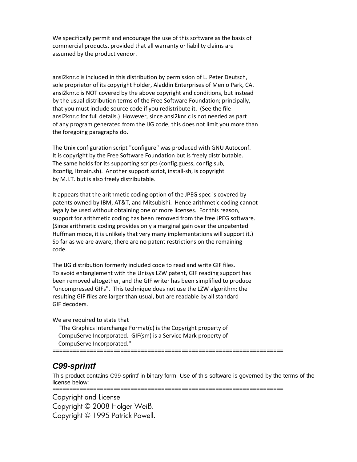We specifically permit and encourage the use of this software as the basis of commercial products, provided that all warranty or liability claims are assumed by the product vendor.

ansi2knr.c is included in this distribution by permission of L. Peter Deutsch, sole proprietor of its copyright holder, Aladdin Enterprises of Menlo Park, CA. ansi2knr.c is NOT covered by the above copyright and conditions, but instead by the usual distribution terms of the Free Software Foundation; principally, that you must include source code if you redistribute it. (See the file ansi2knr.c for full details.) However, since ansi2knr.c is not needed as part of any program generated from the IJG code, this does not limit you more than the foregoing paragraphs do.

The Unix configuration script "configure" was produced with GNU Autoconf. It is copyright by the Free Software Foundation but is freely distributable. The same holds for its supporting scripts (config.guess, config.sub, ltconfig, ltmain.sh). Another support script, install-sh, is copyright by M.I.T. but is also freely distributable.

It appears that the arithmetic coding option of the JPEG spec is covered by patents owned by IBM, AT&T, and Mitsubishi. Hence arithmetic coding cannot legally be used without obtaining one or more licenses. For this reason, support for arithmetic coding has been removed from the free JPEG software. (Since arithmetic coding provides only a marginal gain over the unpatented Huffman mode, it is unlikely that very many implementations will support it.) So far as we are aware, there are no patent restrictions on the remaining code.

The IJG distribution formerly included code to read and write GIF files. To avoid entanglement with the Unisys LZW patent, GIF reading support has been removed altogether, and the GIF writer has been simplified to produce "uncompressed GIFs". This technique does not use the LZW algorithm; the resulting GIF files are larger than usual, but are readable by all standard GIF decoders.

We are required to state that

 "The Graphics Interchange Format(c) is the Copyright property of CompuServe Incorporated. GIF(sm) is a Service Mark property of CompuServe Incorporated."

====================================================================

# *C99-sprintf*

This product contains C99-sprintf in binary form. Use of this software is governed by the terms of the license below:

====================================================================

Copyright and License Copyright © 2008 Holger Weiß. Copyright © 1995 Patrick Powell.